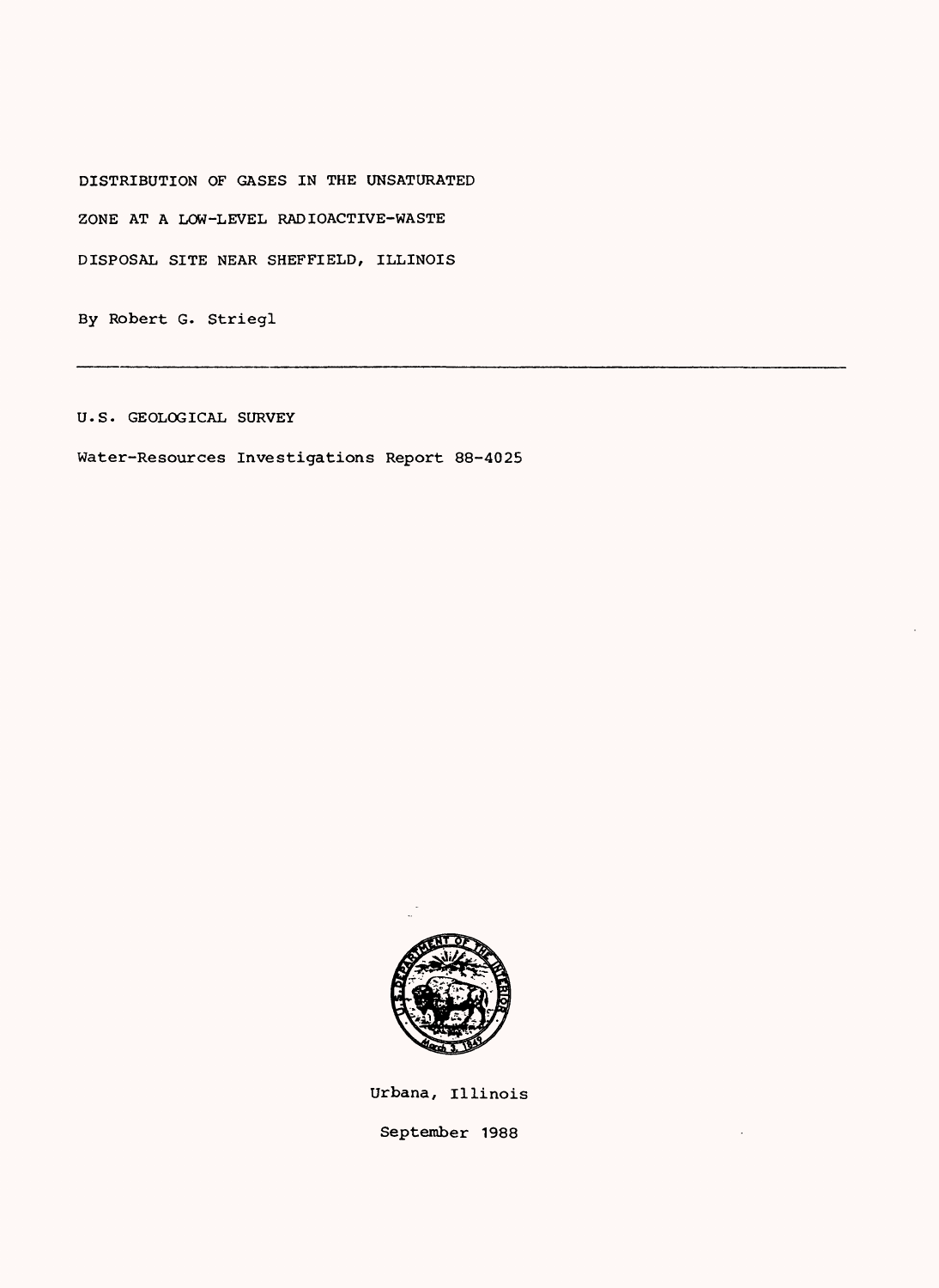DISTRIBUTION OF GASES IN THE UNSATURATED

ZONE AT A LOW-LEVEL RADIOACTIVE-WASTE

DISPOSAL SITE NEAR SHEFFIELD, ILLINOIS

By Robert G. Striegl

U.S. GEOLOGICAL SURVEY

Water-Resources Investigations Report 88-4025



Urbana, Illinois September 1988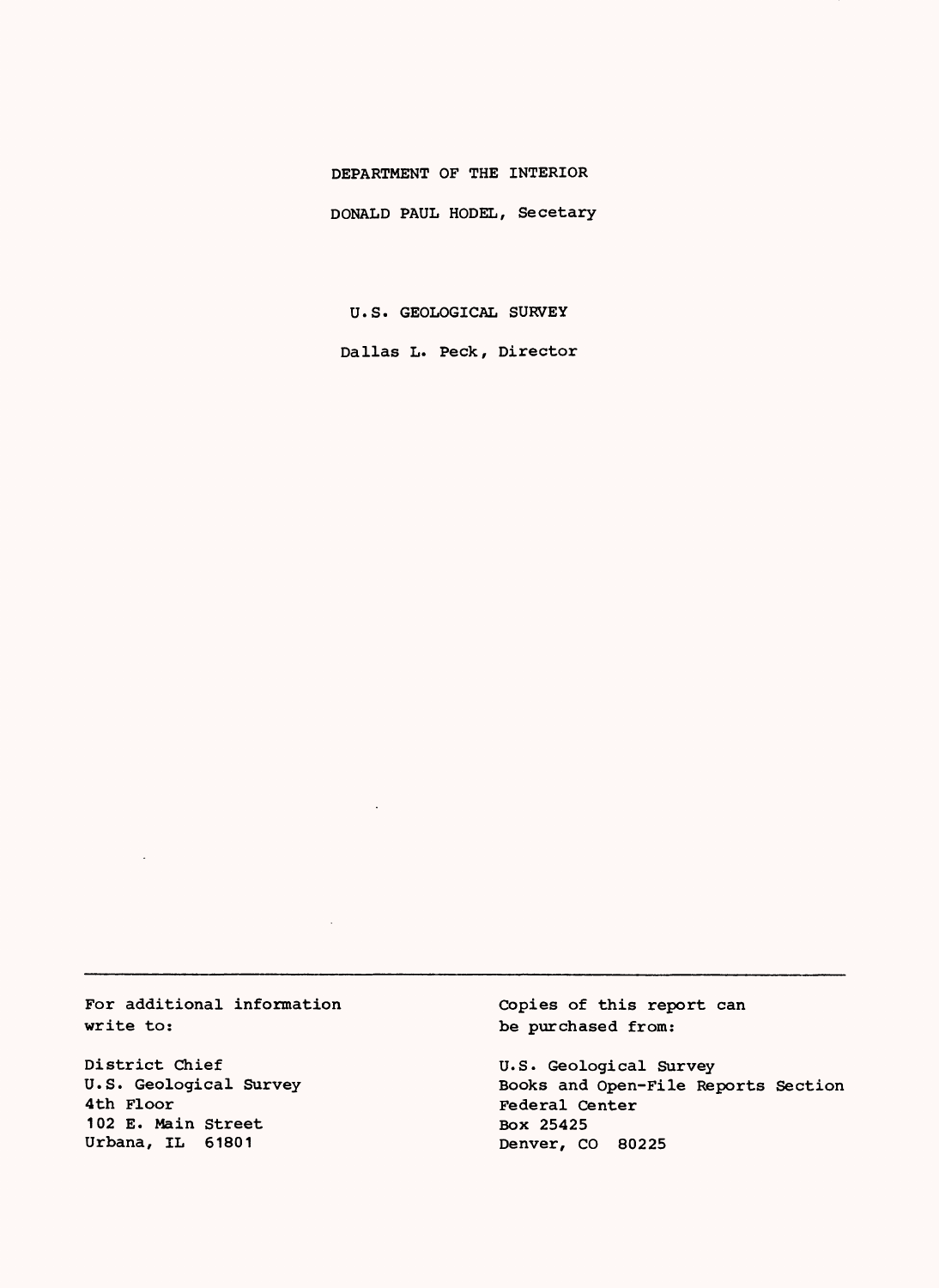### DEPARTMENT OF THE INTERIOR

DONALD PAUL HODEL, Secetary

U.S. GEOLOGICAL SURVEY

Dallas L. Peck, Director

For additional information write to:

District Chief U.S. Geological Survey 4th Floor 102 E. Main Street Urbana, IL 61801

Copies of this report can be purchased from:

U.S. Geological Survey Books and Open-File Reports Section Federal Center Box 25425 Denver, CO 80225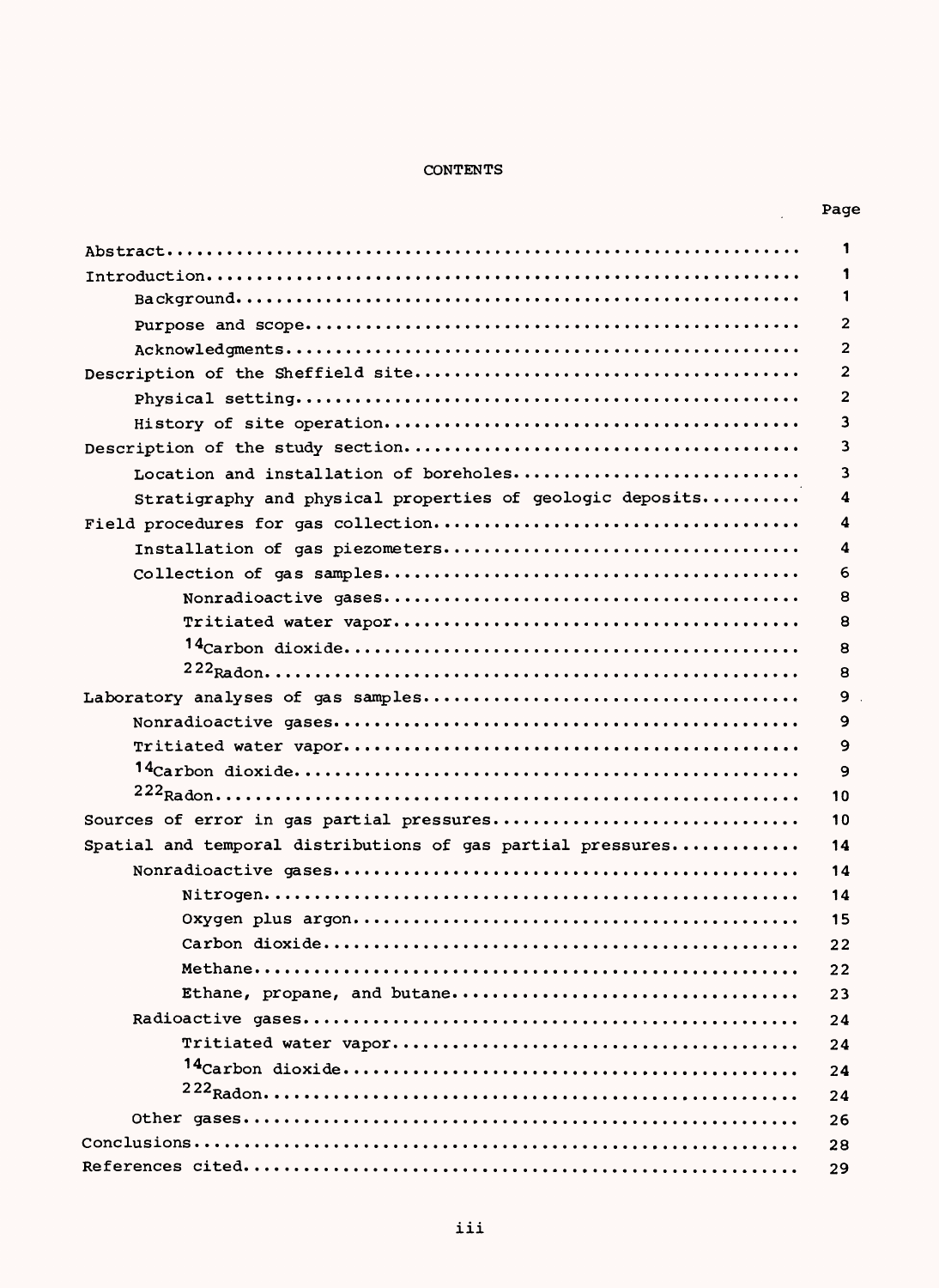### CONTENTS

| Page |
|------|
|      |

 $\bar{z}$ 

|                                                             | 1              |
|-------------------------------------------------------------|----------------|
|                                                             | 1              |
|                                                             | 1              |
|                                                             | $\overline{2}$ |
|                                                             | $\overline{2}$ |
|                                                             | 2              |
|                                                             | 2              |
|                                                             | 3              |
|                                                             | 3              |
| Location and installation of boreholes                      | 3              |
| Stratigraphy and physical properties of geologic deposits   | 4              |
|                                                             | 4              |
|                                                             | 4              |
|                                                             | 6              |
|                                                             | 8              |
|                                                             | 8              |
|                                                             | 8              |
|                                                             | 8              |
|                                                             | 9              |
|                                                             | 9              |
|                                                             | 9              |
|                                                             | 9              |
|                                                             | 10             |
|                                                             | 10             |
| Spatial and temporal distributions of gas partial pressures | 14             |
|                                                             | 14             |
|                                                             | 14             |
|                                                             | 15             |
|                                                             | 22             |
|                                                             | 22             |
| Ethane, propane, and butane                                 | 23             |
|                                                             | 24             |
|                                                             | 24             |
|                                                             | 24             |
|                                                             | 24             |
|                                                             | 26             |
|                                                             | 28             |
|                                                             | 29             |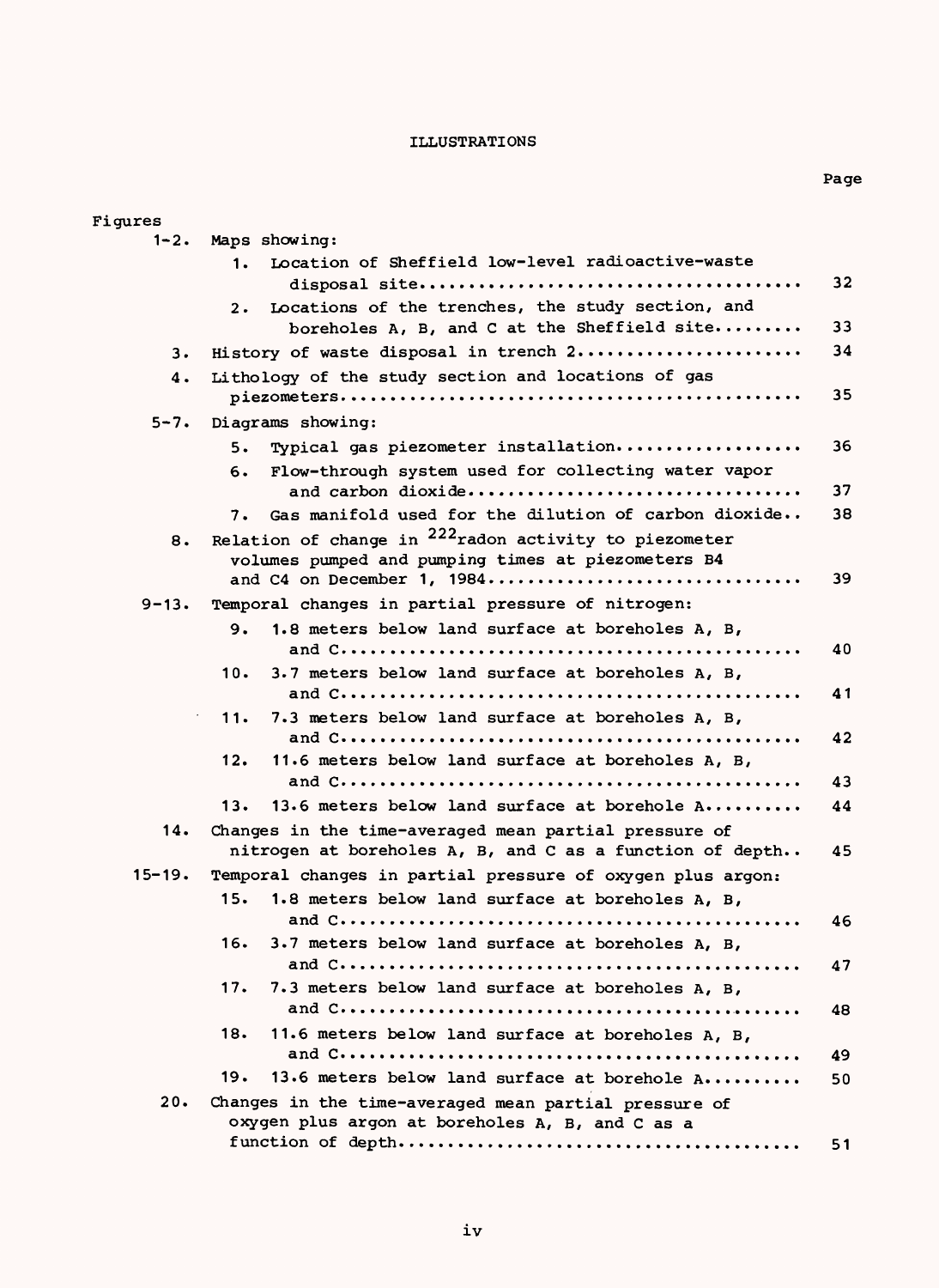### ILLUSTRATIONS

| Figures    |                                                                                                                   |    |
|------------|-------------------------------------------------------------------------------------------------------------------|----|
| 1-2.       | Maps showing:                                                                                                     |    |
|            | Location of Sheffield low-level radioactive-waste<br>1.                                                           |    |
|            | Locations of the trenches, the study section, and<br>2.                                                           | 32 |
|            | boreholes A, B, and C at the Sheffield site                                                                       | 33 |
| з.         | History of waste disposal in trench 2                                                                             | 34 |
| 4.         | Lithology of the study section and locations of gas                                                               |    |
|            |                                                                                                                   | 35 |
| $5 - 7.$   | Diagrams showing:                                                                                                 |    |
|            | Typical gas piezometer installation<br>5.                                                                         | 36 |
|            | Flow-through system used for collecting water vapor<br>6.<br>and carbon dioxide                                   | 37 |
|            | Gas manifold used for the dilution of carbon dioxide<br>7.                                                        | 38 |
| 8.         | Relation of change in $^{222}$ radon activity to piezometer                                                       |    |
|            | volumes pumped and pumping times at piezometers B4                                                                |    |
|            | and C4 on December 1, 1984                                                                                        | 39 |
| $9 - 13.$  | Temporal changes in partial pressure of nitrogen:                                                                 |    |
|            | 1.8 meters below land surface at boreholes A, B,<br>9.                                                            |    |
|            |                                                                                                                   | 40 |
|            | 3.7 meters below land surface at boreholes A, B,<br>10.                                                           |    |
|            |                                                                                                                   | 41 |
|            | 11.<br>7.3 meters below land surface at boreholes A, B,                                                           |    |
|            |                                                                                                                   | 42 |
|            | 11.6 meters below land surface at boreholes A, B,<br>12.                                                          |    |
|            |                                                                                                                   | 43 |
|            | 13.6 meters below land surface at borehole A<br>13.                                                               | 44 |
| 14.        | Changes in the time-averaged mean partial pressure of<br>nitrogen at boreholes A, B, and C as a function of depth | 45 |
| $15 - 19.$ | Temporal changes in partial pressure of oxygen plus argon:                                                        |    |
|            | 1.8 meters below land surface at boreholes A, B,<br>15.                                                           |    |
|            |                                                                                                                   | 46 |
|            | 16.<br>3.7 meters below land surface at boreholes A, B,                                                           |    |
|            |                                                                                                                   | 47 |
|            | 17.<br>7.3 meters below land surface at boreholes A, B,                                                           | 48 |
|            | 18.<br>11.6 meters below land surface at boreholes A, B,                                                          |    |
|            |                                                                                                                   | 49 |
|            | 13.6 meters below land surface at borehole A<br>19.                                                               | 50 |
| 20.        | Changes in the time-averaged mean partial pressure of                                                             |    |
|            | oxygen plus argon at boreholes A, B, and C as a                                                                   |    |
|            |                                                                                                                   | 51 |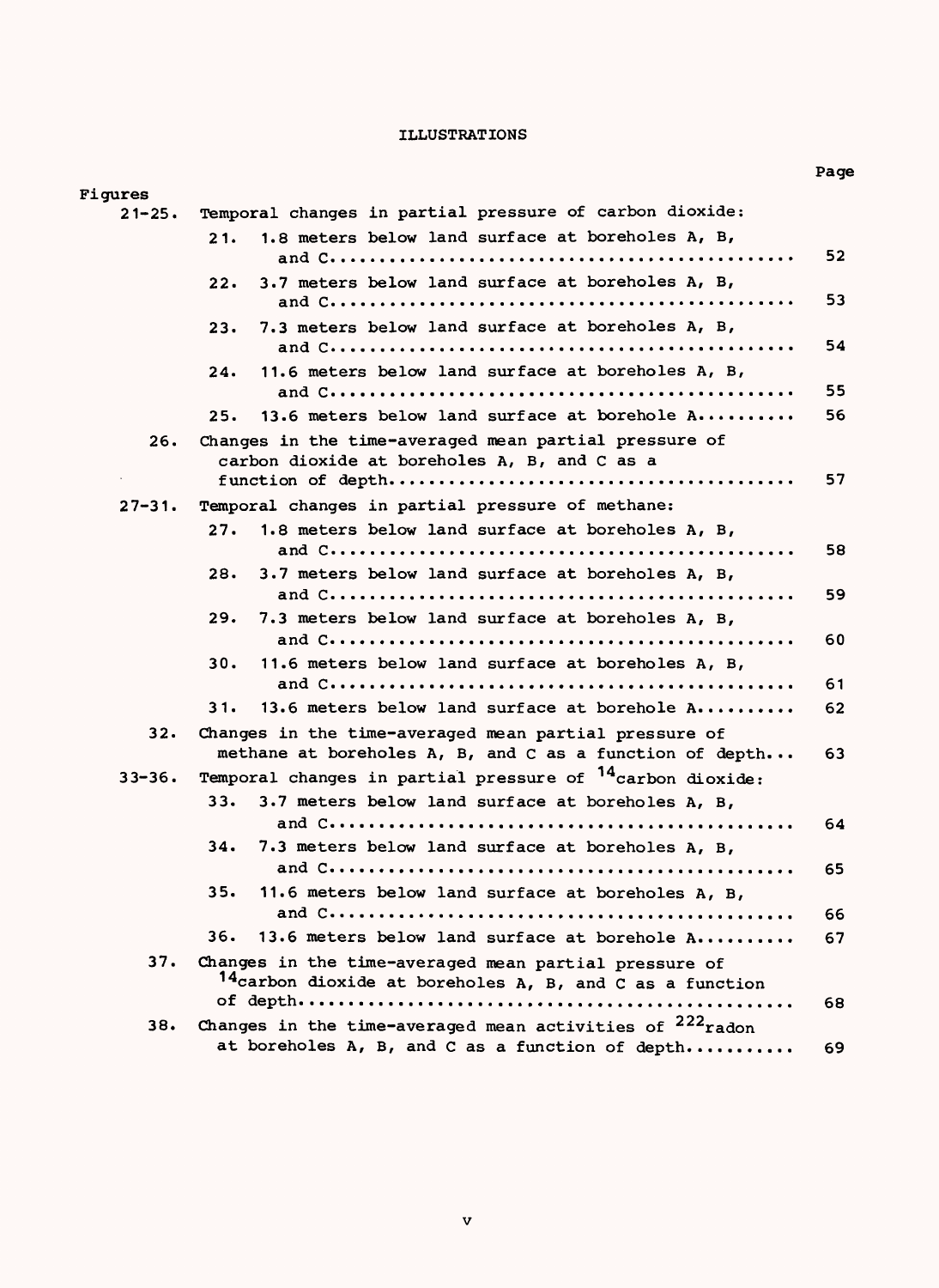### ILLUSTRATIONS

Figures

Page

| $21 - 25.$ | Temporal changes in partial pressure of carbon dioxide:               |    |
|------------|-----------------------------------------------------------------------|----|
|            | 1.8 meters below land surface at boreholes A, B,<br>21.               |    |
|            |                                                                       | 52 |
|            | 3.7 meters below land surface at boreholes A, B,<br>22.               |    |
|            |                                                                       | 53 |
|            | 7.3 meters below land surface at boreholes A, B,<br>23.               |    |
|            |                                                                       | 54 |
|            | 11.6 meters below land surface at boreholes A, B,<br>24.              |    |
|            |                                                                       | 55 |
|            | 13.6 meters below land surface at borehole $A$<br>25.                 | 56 |
| 26.        | Changes in the time-averaged mean partial pressure of                 |    |
|            | carbon dioxide at boreholes A, B, and C as a                          |    |
|            |                                                                       | 57 |
| $27 - 31.$ | Temporal changes in partial pressure of methane:                      |    |
|            | 27.<br>1.8 meters below land surface at boreholes A, B,               |    |
|            |                                                                       | 58 |
|            | 28.<br>3.7 meters below land surface at boreholes A, B,               |    |
|            |                                                                       | 59 |
|            | 29.<br>7.3 meters below land surface at boreholes A, B,               |    |
|            |                                                                       | 60 |
|            | 11.6 meters below land surface at boreholes A, B,<br>30.              |    |
|            |                                                                       | 61 |
|            | 13.6 meters below land surface at borehole A<br>31.                   | 62 |
| 32.        | Changes in the time-averaged mean partial pressure of                 |    |
|            | methane at boreholes A, B, and C as a function of depth               | 63 |
| $33 - 36.$ | Temporal changes in partial pressure of <sup>14</sup> carbon dioxide: |    |
|            | 33.<br>3.7 meters below land surface at boreholes A, B,               |    |
|            |                                                                       | 64 |
|            | 34.<br>7.3 meters below land surface at boreholes A, B,               |    |
|            |                                                                       | 65 |
|            | 35.<br>11.6 meters below land surface at boreholes A, B,              |    |
|            |                                                                       | 66 |
|            | 36.<br>13.6 meters below land surface at borehole A                   | 67 |
| 37.        | Changes in the time-averaged mean partial pressure of                 |    |
|            | 14carbon dioxide at boreholes A, B, and C as a function               |    |
|            |                                                                       | 68 |
| 38.        | Changes in the time-averaged mean activities of $222$ radon           |    |
|            | at boreholes A, B, and C as a function of depth                       | 69 |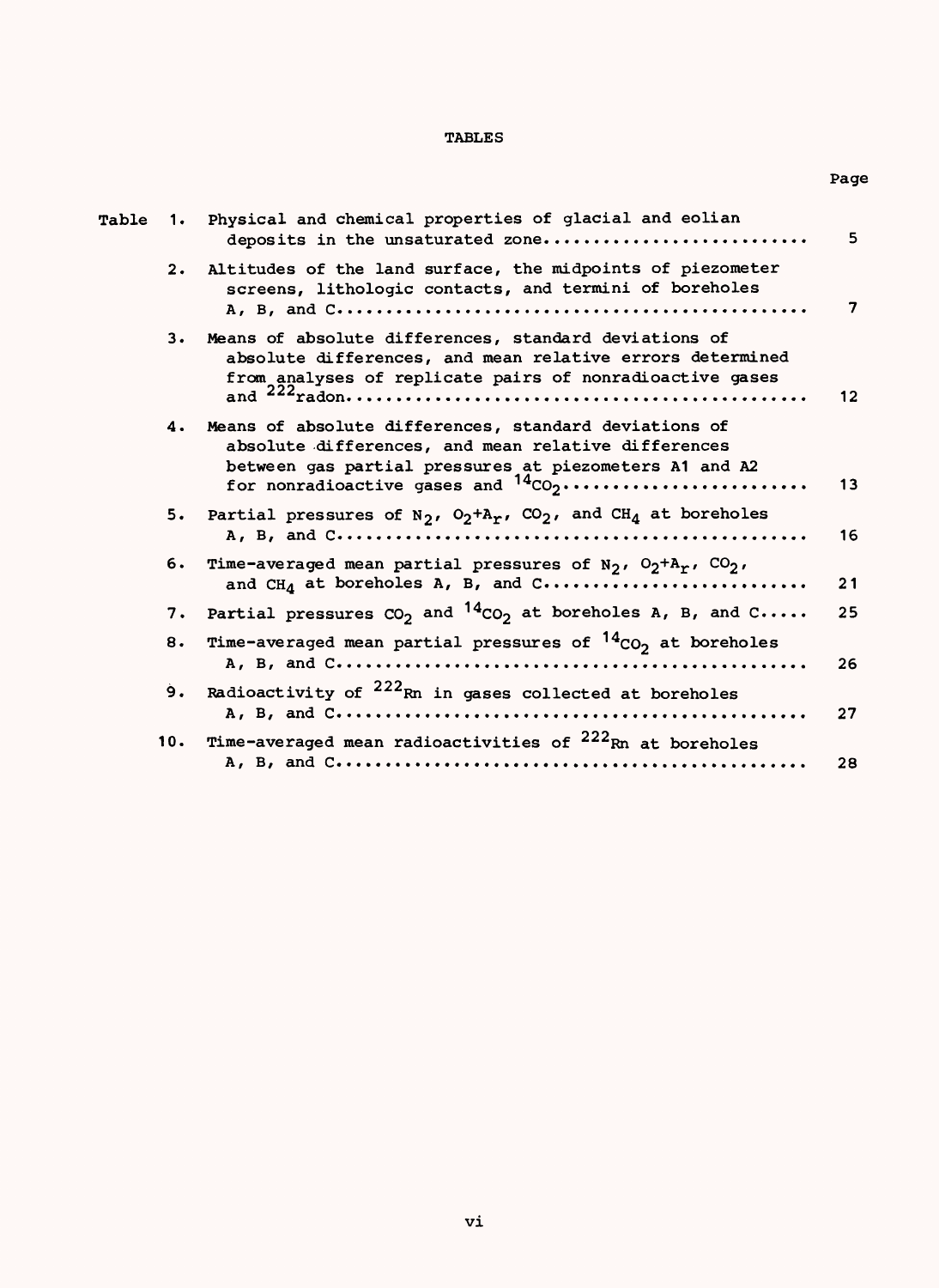### TABLES

Page

| Table |     | 1. Physical and chemical properties of glacial and eolian<br>deposits in the unsaturated zone                                                                                                                      | 5  |
|-------|-----|--------------------------------------------------------------------------------------------------------------------------------------------------------------------------------------------------------------------|----|
|       | 2.  | Altitudes of the land surface, the midpoints of piezometer<br>screens, lithologic contacts, and termini of boreholes                                                                                               | 7  |
|       | 3.  | Means of absolute differences, standard deviations of<br>absolute differences, and mean relative errors determined<br>from analyses of replicate pairs of nonradioactive gases                                     | 12 |
|       |     | 4. Means of absolute differences, standard deviations of<br>absolute differences, and mean relative differences<br>between gas partial pressures at piezometers A1 and A2<br>for nonradioactive gases and $14CO_2$ | 13 |
|       | 5.  | Partial pressures of $N_2$ , $O_2+A_T$ , $CO_2$ , and $CH_4$ at boreholes                                                                                                                                          | 16 |
|       | 6.  | Time-averaged mean partial pressures of $N_2$ , $O_2 + A_T$ , $CO_2$ ,<br>and $CHA$ at boreholes A, B, and $C$                                                                                                     | 21 |
|       | 7.  | Partial pressures $CO_2$ and $^{14}CO_2$ at boreholes A, B, and C                                                                                                                                                  | 25 |
|       | 8.  | Time-averaged mean partial pressures of $14_{CO_2}$ at boreholes                                                                                                                                                   | 26 |
|       | 9.  | Radioactivity of <sup>222</sup> Rn in gases collected at boreholes                                                                                                                                                 | 27 |
|       | 10. | Time-averaged mean radioactivities of <sup>222</sup> Rn at boreholes                                                                                                                                               | 28 |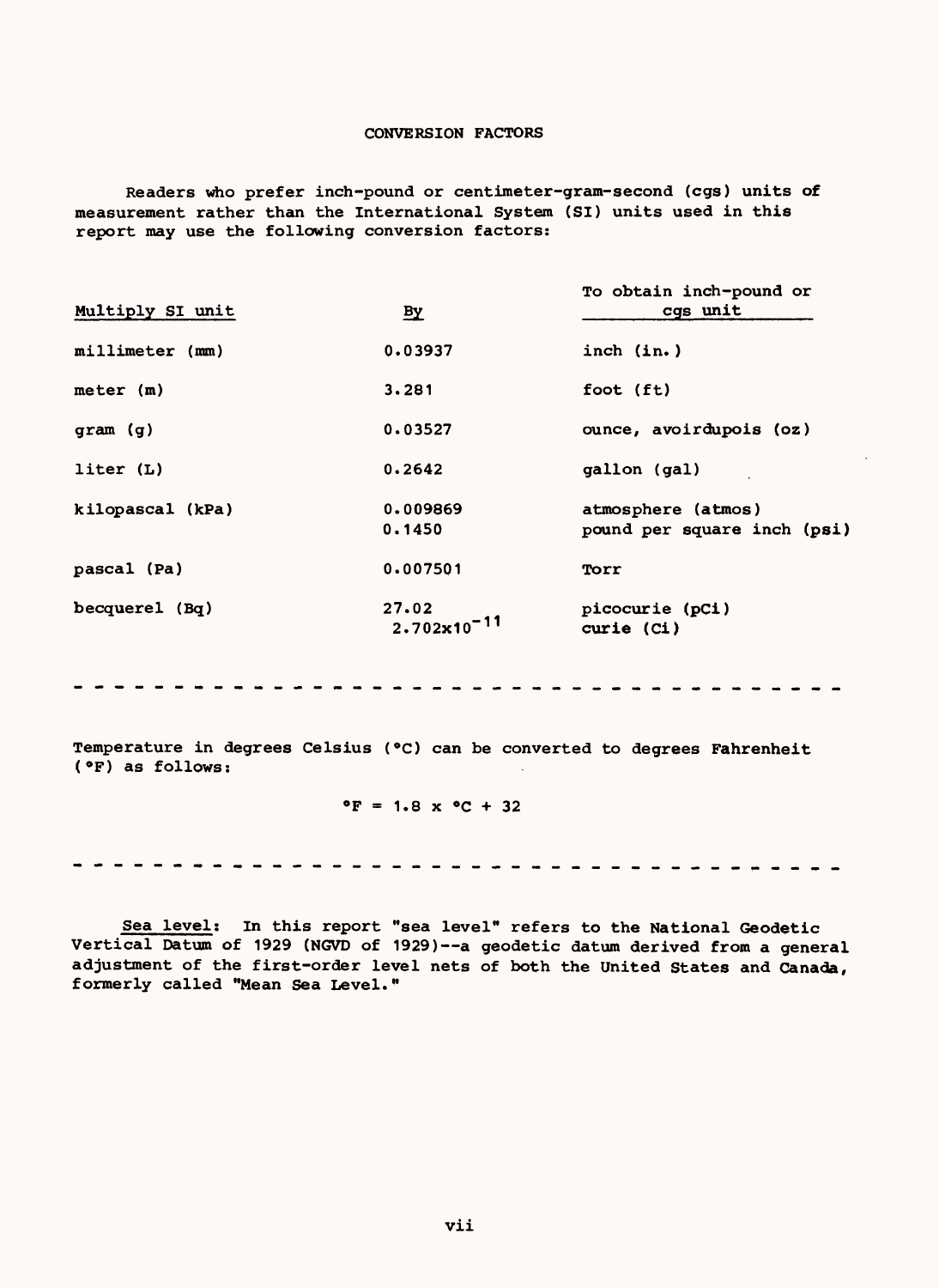### CONVERSION FACTORS

Readers who prefer inch-pound or centimeter-gram-second (cgs) units of measurement rather than the International System (SI) units used in this report may use the following conversion factors:

| Multiply SI unit | $\mathbf{B}\mathbf{y}$           | To obtain inch-pound or<br>cqs unit               |
|------------------|----------------------------------|---------------------------------------------------|
| millimeter (mm)  | 0.03937                          | inch (in.)                                        |
| meter (m)        | 3.281                            | foot (ft)                                         |
| gram (g)         | 0.03527                          | ounce, avoirdupois (oz)                           |
| liter (L)        | 0.2642                           | gallon (gal)                                      |
| kilopascal (kPa) | 0.009869<br>0.1450               | atmosphere (atmos)<br>pound per square inch (psi) |
| pascal (Pa)      | 0.007501                         | Torr                                              |
| becquerel (Bq)   | 27.02<br>$2.702 \times 10^{-11}$ | picocurie (pCi)<br>curie (Ci)                     |

Temperature in degrees Celsius (°C) can be converted to degrees Fahrenheit (°F) as follows:

### $^{\circ}F = 1.8 \times ^{\circ}C + 32$

--------------. . . . . . . . . . . . . . . . .

Sea level; In this report "sea level" refers to the National Geodetic Vertical Datum of 1929 (NGVD of 1929)--a geodetic datum derived from a general adjustment of the first-order level nets of both the United States and Canada, formerly called "Mean Sea Level."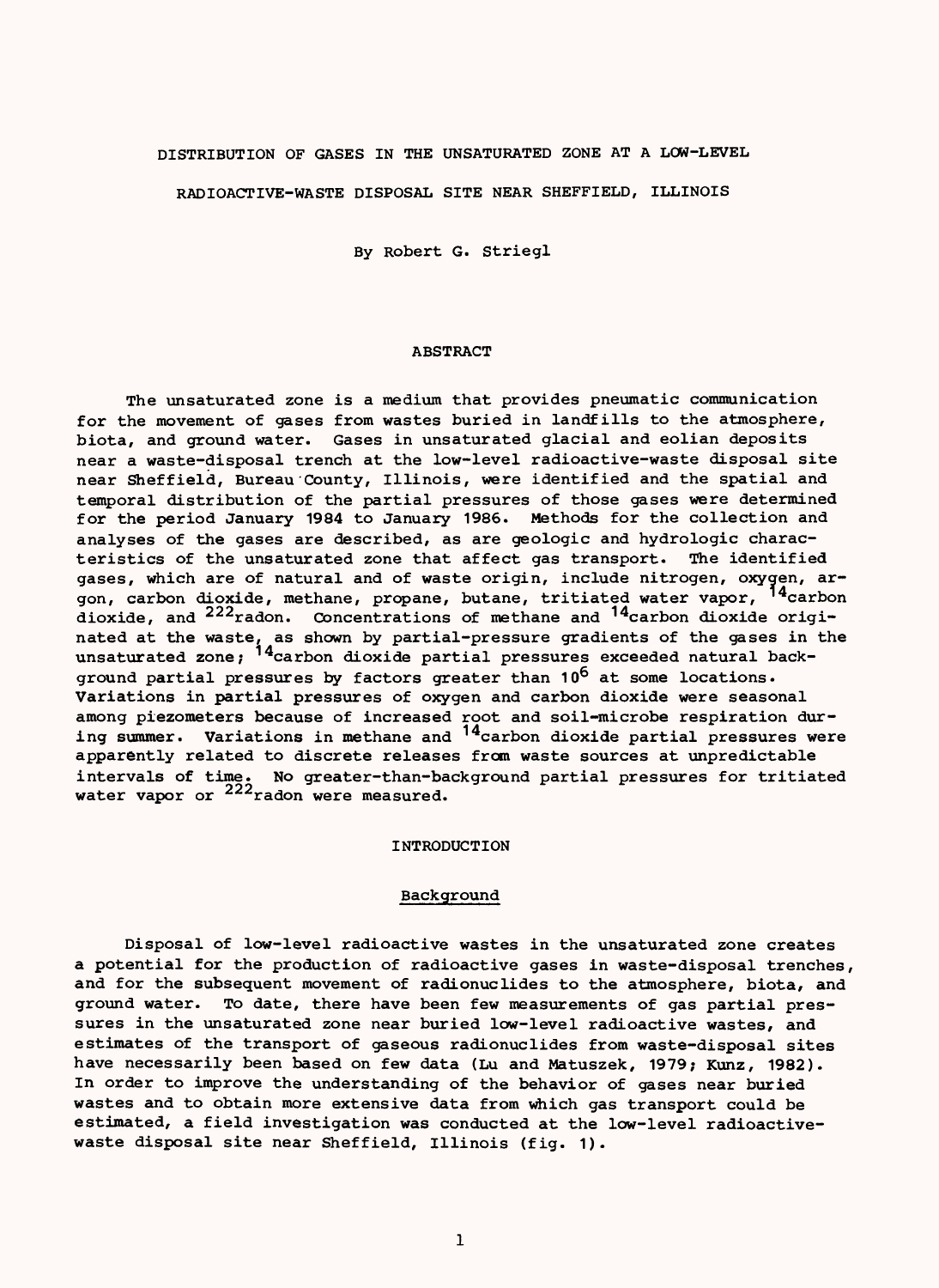### DISTRIBUTION OF GASES IN THE UNSATURATED ZONE AT A LOW-LEVEL

RADIOACTIVE-WASTE DISPOSAL SITE NEAR SHEFFIELD, ILLINOIS

By Robert G. Striegl

### ABSTRACT

The unsaturated zone is a medium that provides pneumatic communication for the movement of gases from wastes buried in landfills to the atmosphere, biota, and ground water. Gases in unsaturated glacial and eolian deposits near a waste-disposal trench at the low-level radioactive-waste disposal site near Sheffield, Bureau County, Illinois, were identified and the spatial and temporal distribution of the partial pressures of those gases were determined for the period January 1984 to January 1986. Methods for the collection and analyses of the gases are described, as are geologic and hydrologic characteristics of the unsaturated zone that affect gas transport. The identified gases, which are of natural and of waste origin, include nitrogen, oxygen, argon, carbon dioxide, methane, propane, butane, tritiated water vapor, <sup>14</sup>carbon dioxide, and  $^{222}$ radon. Concentrations of methane and  $^{14}$ carbon dioxide originated at the waste, as shown by partial-pressure gradients of the gases in the unsaturated zone; <sup>14</sup>carbon dioxide partial pressures exceeded natural background partial pressures by factors greater than 10<sup>6</sup> at some locations. Variations in partial pressures of oxygen and carbon dioxide were seasonal among piezometers because of increased root and soil-microbe respiration during summer. Variations in methane and <sup>14</sup>carbon dioxide partial pressures were apparently related to discrete releases from waste sources at unpredictable intervals of time. No greater-than-background partial pressures for tritiated water vapor or  $222$  radon were measured.

#### INTRODUCTION

### **Background**

Disposal of low-level radioactive wastes in the unsaturated zone creates a potential for the production of radioactive gases in waste-disposal trenches, and for the subsequent movement of radionuclides to the atmosphere, biota, and ground water. To date, there have been few measurements of gas partial pressures in the unsaturated zone near buried low-level radioactive wastes, and estimates of the transport of gaseous radionuclides from waste-disposal sites have necessarily been based on few data (Lu and Matuszek, 1979; Kunz, 1982). In order to improve the understanding of the behavior of gases near buried wastes and to obtain more extensive data from which gas transport could be estimated, a field investigation was conducted at the low-level radioactivewaste disposal site near Sheffield, Illinois (fig. 1).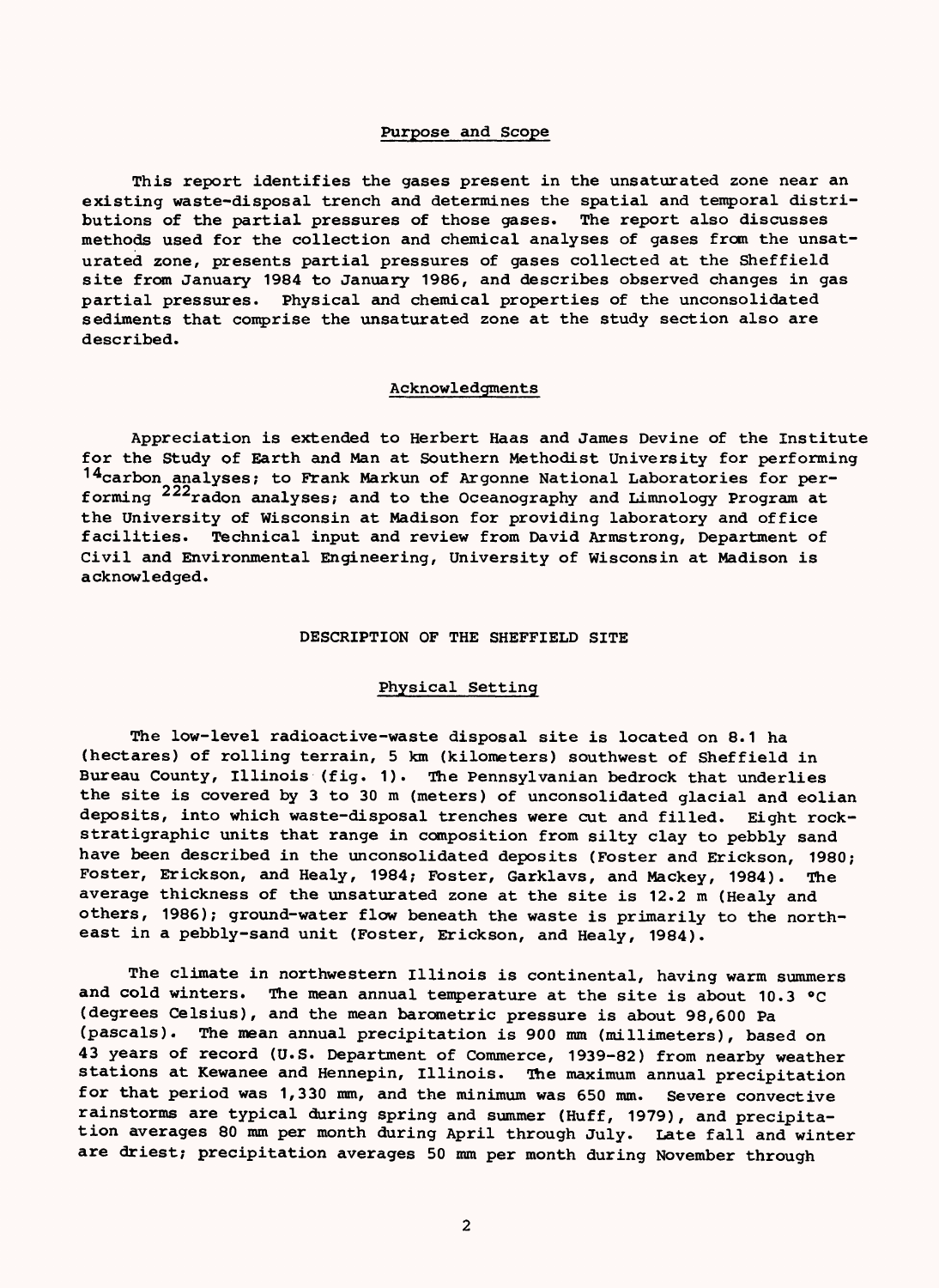### Purpose and Scope

This report identifies the gases present in the unsaturated zone near an existing waste-disposal trench and determines the spatial and temporal distributions of the partial pressures of those gases. The report also discusses methods used for the collection and chemical analyses of gases from the unsaturated zone, presents partial pressures of gases collected at the Sheffield site from January 1984 to January 1986, and describes observed changes in gas partial pressures. Physical and chemical properties of the unconsolidated sediments that comprise the unsaturated zone at the study section also are described.

### Acknowledgments

Appreciation is extended to Herbert Haas and James Devine of the Institute for the Study of Earth and Man at Southern Methodist University for performing <sup>14</sup>carbon analyses; to Frank Markun of Argonne National Laboratories for performing <sup>222</sup>radon analyses; and to the Oceanography and Limnology Program at the University of Wisconsin at Madison for providing laboratory and office facilities. Technical input and review from David Armstrong, Department of Civil and Environmental Engineering, University of Wisconsin at Madison is acknowledged.

### DESCRIPTION OF THE SHEFFIELD SITE

### Physical Setting

The low-level radioactive-waste disposal site is located on 8.1 ha (hectares) of rolling terrain, 5 km (kilometers) southwest of Sheffield in Bureau County, Illinois (fig. 1). The Pennsylvanian bedrock that underlies the site is covered by 3 to 30 m (meters) of unconsolidated glacial and eolian deposits, into which waste-disposal trenches were cut and filled. Eight rockstratigraphic units that range in composition from silty clay to pebbly sand have been described in the unconsolidated deposits (Foster and Erickson, 1980; Foster, Erickson, and Healy, 1984; Foster, Garklavs, and Mackey, 1984). The average thickness of the unsaturated zone at the site is 12.2 m (Healy and others, 1986); ground-water flow beneath the waste is primarily to the northeast in a pebbly-sand unit (Foster, Erickson, and Healy, 1984).

The climate in northwestern Illinois is continental, having warm summers and cold winters. The mean annual temperature at the site is about 10.3 °C (degrees Celsius), and the mean barometric pressure is about 98,600 Pa (pascals). The mean annual precipitation is 900 mm (millimeters), based on 43 years of record (U.S. Department of Commerce, 1939-82) from nearby weather stations at Kewanee and Hennepin, Illinois. The maximum annual precipitation for that period was 1,330 mm, and the minimum was 650 mm. Severe convective rainstorms are typical during spring and summer (Huff, 1979), and precipitation averages 80 mm per month during April through July. Late fall and winter are driest; precipitation averages 50 mm per month during November through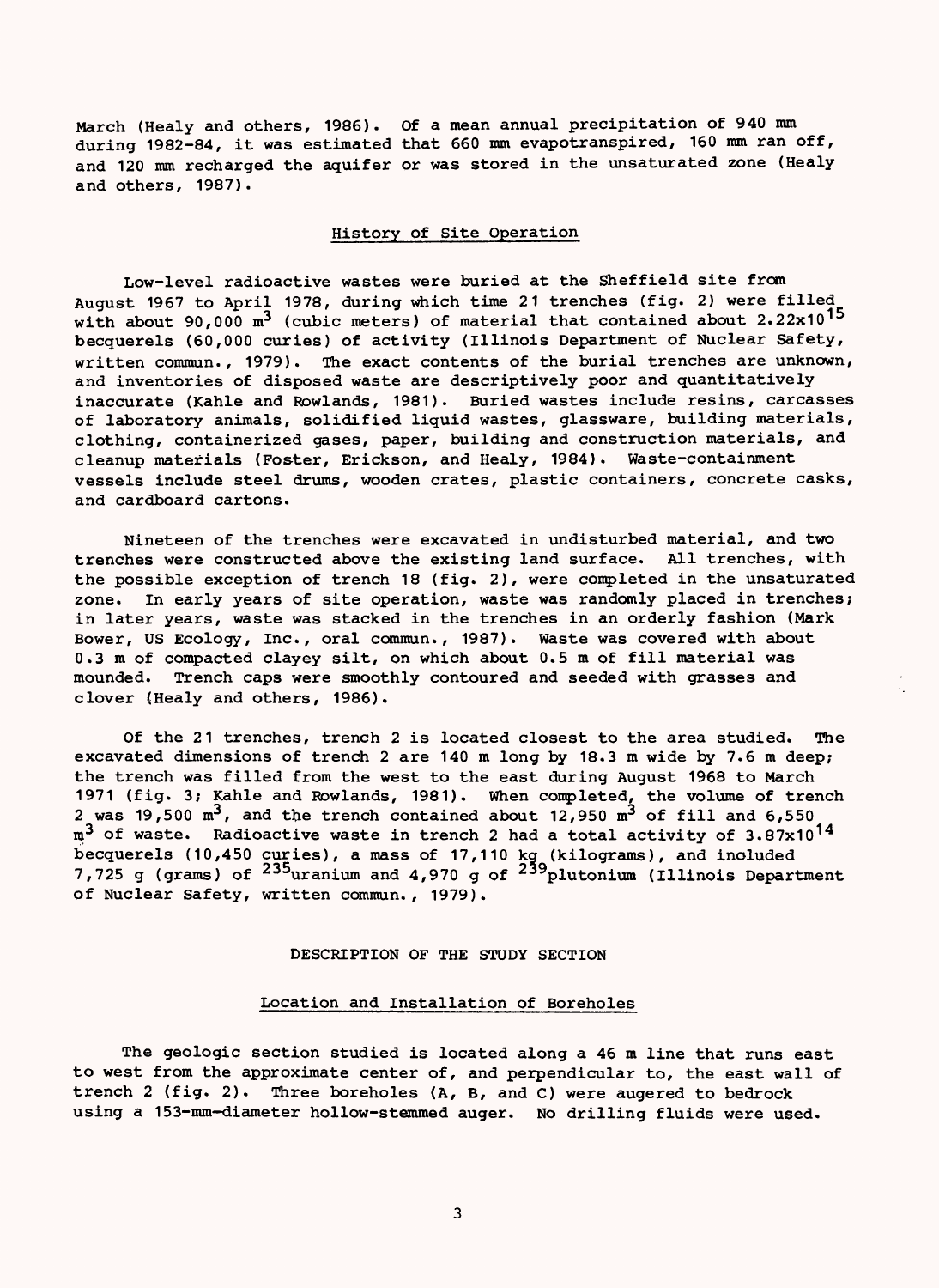March (Healy and others, 1986). Of a mean annual precipitation of 940 mm during 1982-84, it was estimated that 660 mm evapotranspired, 160 mm ran off, and 120 mm recharged the aquifer or was stored in the unsaturated zone (Healy and others, 1987).

### History of Site Operation

Low-level radioactive wastes were buried at the Sheffield site from August 1967 to April 1978, during which time 21 trenches (fig. 2) were filled with about 90,000  $m^3$  (cubic meters) of material that contained about 2.22x10<sup>15</sup> becquerels (60,000 curies) of activity (Illinois Department of Nuclear Safety, written commun., 1979). The exact contents of the burial trenches are unknown, and inventories of disposed waste are descriptively poor and quantitatively inaccurate (Kahle and Rowlands, 1981). Buried wastes include resins, carcasses of laboratory animals, solidified liquid wastes, glassware, building materials, clothing, containerized gases, paper, building and construction materials, and cleanup materials (Foster, Erickson, and Healy, 1984). Waste-containment vessels include steel drums, wooden crates, plastic containers, concrete casks, and cardboard cartons.

Nineteen of the trenches were excavated in undisturbed material, and two trenches were constructed above the existing land surface. All trenches, with the possible exception of trench 18 (fig. 2), were completed in the unsaturated zone. In early years of site operation, waste was randomly placed in trenches; in later years, waste was stacked in the trenches in an orderly fashion (Mark Bower, US Ecology, Inc., oral commun., 1987). Waste was covered with about 0.3 m of compacted clayey silt, on which about 0.5 m of fill material was mounded. Trench caps were smoothly contoured and seeded with grasses and clover (Healy and others, 1986).

Of the 21 trenches, trench 2 is located closest to the area studied. The excavated dimensions of trench 2 are 140 m long by 18.3 m wide by 7.6 m deep; the trench was filled from the west to the east during August 1968 to March 1971 (fig. 3; Kahle and Rowlands, 1981). When completed, the volume of trench 2 was 19,500  $m^3$ , and the trench contained about 12,950  $m^3$  of fill and 6,550 m<sup>3</sup> of waste. Radioactive waste in trench 2 had a total activity of 3.87x10<sup>14</sup> becquerels (10,450 curies), a mass of 17,110 kg (kilograms), and included 7,725 g (grams) of <sup>235</sup>uranium and 4,970 g of <sup>239</sup>plutonium (Illinois Department of Nuclear Safety, written commun., 1979).

### DESCRIPTION OF THE STUDY SECTION

### Location and Installation of Boreholes

The geologic section studied is located along a 46 m line that runs east to west from the approximate center of, and perpendicular to, the east wall of trench 2 (fig. 2). Three boreholes (A, B, and C) were augered to bedrock using a 153-mm-diameter hoilow-stemmed auger. No drilling fluids were used.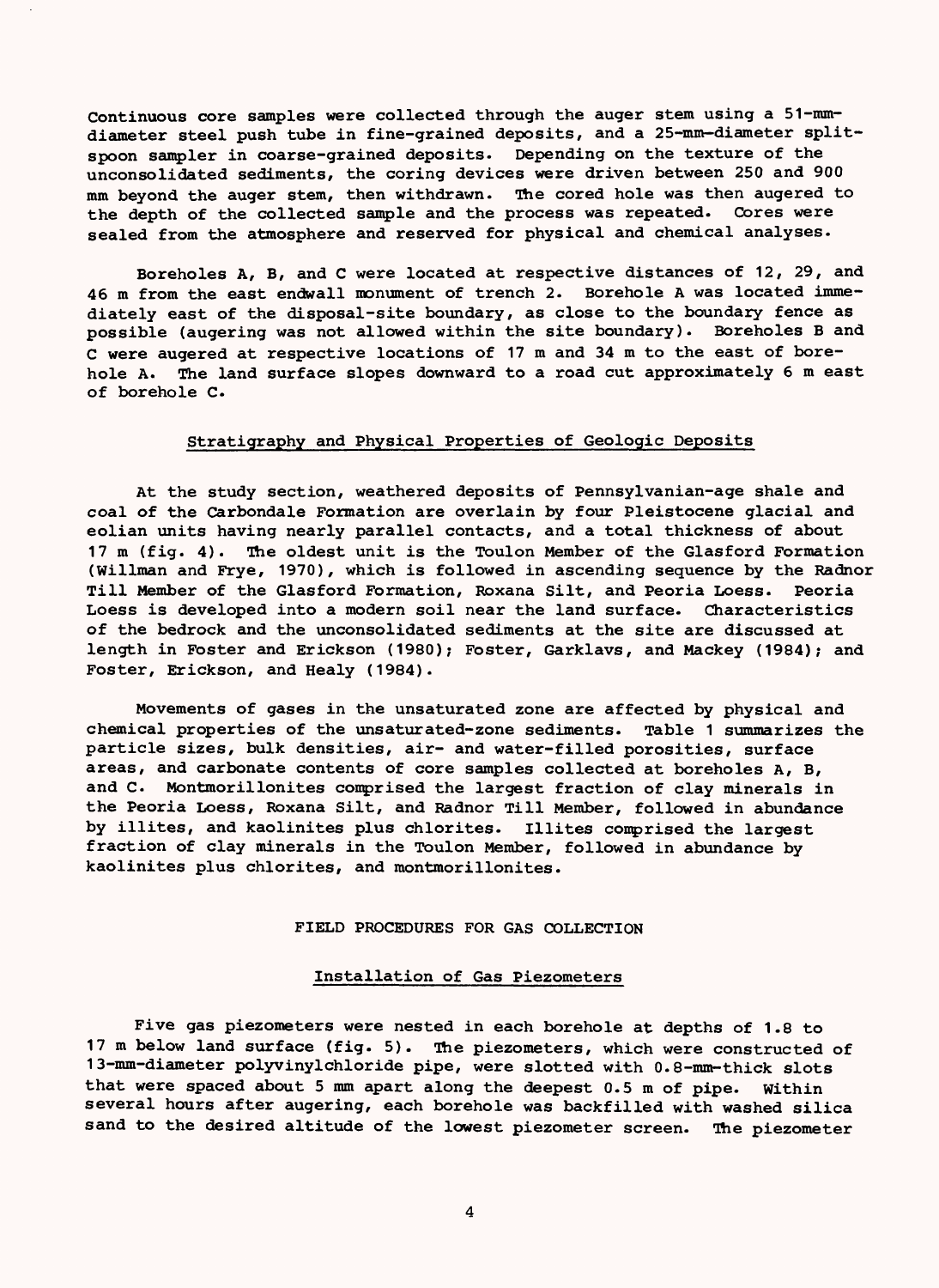Continuous core samples were collected through the auger stem using a 51-mmdiameter steel push tube in fine-grained deposits, and a 25-mm-diameter splitspoon sampler in coarse-grained deposits. Depending on the texture of the unconsolidated sediments, the coring devices were driven between 250 and 900 mm beyond the auger stem, then withdrawn. The cored hole was then augered to the depth of the collected sample and the process was repeated. Cores were sealed from the atmosphere and reserved for physical and chemical analyses.

Boreholes A, B, and C were located at respective distances of 12, 29, and 46 m from the east endwall monument of trench 2. Borehole A was located immediately east of the disposal-site boundary, as close to the boundary fence as possible (augering was not allowed within the site boundary). Boreholes B and C were augered at respective locations of 17 m and 34 m to the east of borehole A. The land surface slopes downward to a road cut approximately 6 m east of borehole C.

### Stratigraphy and Physical Properties of Geologic Deposits

At the study section, weathered deposits of Pennsylvanian-age shale and coal of the Carbondale Formation are overlain by four Pleistocene glacial and eolian units having nearly parallel contacts, and a total thickness of about 17 m (fig. 4). The oldest unit is the Toulon Member of the Glasford Formation (Willman and Frye, 1970), which is followed in ascending sequence by the Radnor Till Member of the Glasford Formation, Roxana Silt, and Peoria Loess. Peoria Loess is developed into a modern soil near the land surface. Characteristics of the bedrock and the unconsolidated sediments at the site are discussed at length in Foster and Erickson (1980); Foster, Garklavs, and Mackey (1984); and Foster, Erickson, and Healy (1984).

Movements of gases in the unsaturated zone are affected by physical and chemical properties of the unsaturated-zone sediments. Table 1 summarizes the particle sizes, bulk densities, air- and water-filled porosities, surface areas, and carbonate contents of core samples collected at boreholes A, B, and C. Montmorillonites comprised the largest fraction of clay minerals in the Peoria Loess, Roxana Silt, and Radnor Till Member, followed in abundance by illites, and kaolinites plus chlorites. Illites comprised the largest fraction of clay minerals in the Toulon Member, followed in abundance by kaolinites plus chlorites, and montmorillonites.

#### FIELD PROCEDURES FOR GAS COLLECTION

### Installation of Gas Piezometers

Five gas piezometers were nested in each borehole at depths of 1.8 to 17 m below land surface (fig. 5). The piezometers, which were constructed of 13-mm-diameter polyvinylchloride pipe, were slotted with 0.8-mm-thick slots that were spaced about 5 mm apart along the deepest 0.5 m of pipe, within several hours after augering, each borehole was backfilled with washed silica sand to the desired altitude of the lowest piezometer screen. The piezometer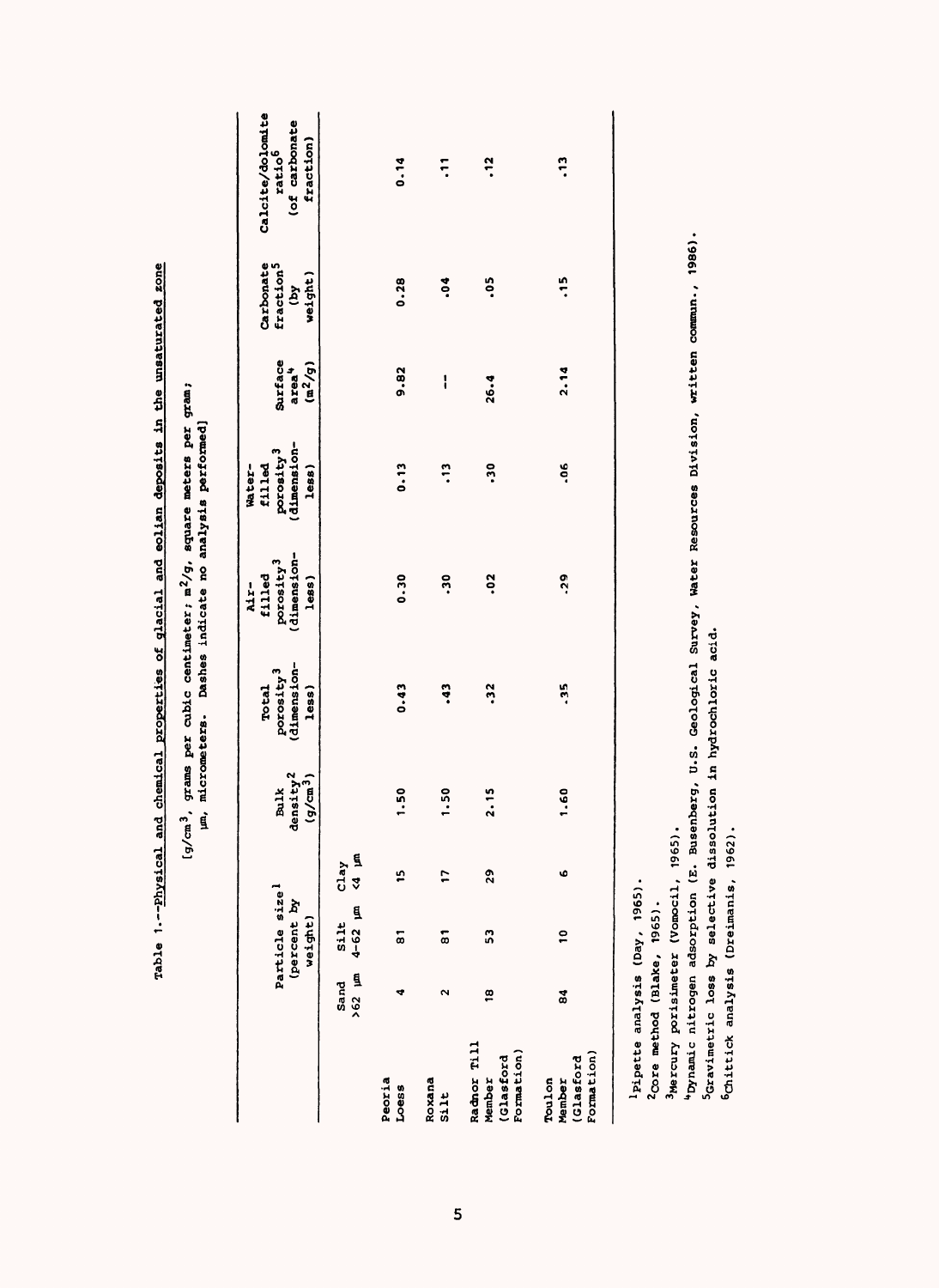| rable 1.--Physical and chemical properties of glacial and eolian deposits in the unsaturated zone |                                                                                                                                     |
|---------------------------------------------------------------------------------------------------|-------------------------------------------------------------------------------------------------------------------------------------|
|                                                                                                   |                                                                                                                                     |
|                                                                                                   |                                                                                                                                     |
|                                                                                                   |                                                                                                                                     |
|                                                                                                   |                                                                                                                                     |
|                                                                                                   |                                                                                                                                     |
|                                                                                                   |                                                                                                                                     |
|                                                                                                   | $g/cm^3$ , grams per cubic centimeter; $m^2/g$ , square meters per gram;<br>um, micrometers. Dashes indicate no analysis performed] |
|                                                                                                   |                                                                                                                                     |
|                                                                                                   |                                                                                                                                     |
|                                                                                                   |                                                                                                                                     |
|                                                                                                   |                                                                                                                                     |
|                                                                                                   |                                                                                                                                     |
|                                                                                                   |                                                                                                                                     |
|                                                                                                   |                                                                                                                                     |
|                                                                                                   |                                                                                                                                     |
|                                                                                                   |                                                                                                                                     |
|                                                                                                   |                                                                                                                                     |
|                                                                                                   |                                                                                                                                     |
|                                                                                                   |                                                                                                                                     |
|                                                                                                   |                                                                                                                                     |
|                                                                                                   |                                                                                                                                     |

|                                                  |                      | Particle size <sup>1</sup><br>(percent by<br>weight)        |    | density <sup>2</sup><br>$(g/cm^{3})$<br>Bulk | (dimension-<br>porosity <sup>3</sup><br><b>Total</b><br>less) | porosity <sup>3</sup><br>(dimension-<br>filled<br>less)<br>Mr- | porosity <sup>3</sup><br>(dimension-<br>filled<br>Water-<br>$l$ ess $)$ | Surface<br>$(m^2/g)$<br>area <sup>4</sup> | Carbonate<br>fraction <sup>5</sup><br>weight)<br><b>Aq)</b> | Calcite/dolomite<br>(of carbonate<br>fraction)<br>ratio <sup>6</sup> |
|--------------------------------------------------|----------------------|-------------------------------------------------------------|----|----------------------------------------------|---------------------------------------------------------------|----------------------------------------------------------------|-------------------------------------------------------------------------|-------------------------------------------|-------------------------------------------------------------|----------------------------------------------------------------------|
|                                                  |                      | Sand Silt Clay<br>$\sim$ 62 $\mu$ m 4–62 $\mu$ m <4 $\mu$ m |    |                                              |                                                               |                                                                |                                                                         |                                           |                                                             |                                                                      |
| Peoria<br>Loess                                  | ÷                    | 5                                                           | 5  | 1.50                                         | 0.43                                                          | 0.30                                                           | 0.13                                                                    | 9.82                                      | 0.28                                                        | 0.14                                                                 |
| Roxana<br>Silt                                   | $\mathbf{\tilde{c}}$ | $\overline{\phantom{a}}$                                    |    | 1.50                                         | $\ddot{•}$                                                    | °.                                                             | $\ddot{ }$ :                                                            | I                                         | Ğ.                                                          | $\ddot{ }$                                                           |
| Radnor Till<br>Formation)<br>(Glasford<br>Member | g                    | S                                                           | 29 | 2.15                                         | $\ddot{3}$                                                    | °s                                                             | ភ្                                                                      | 26.4                                      | $\ddot{0}$                                                  | $\ddot{.}$                                                           |
| Formation)<br>(Glasford<br>Toulon<br>Member      | 31                   | $\frac{1}{2}$                                               | ۰  | 1.60                                         | .35                                                           | .29                                                            | °°                                                                      | 2.14                                      | $\frac{5}{1}$                                               | ë,                                                                   |
| Pipette analysis (Day, 1965).                    |                      |                                                             |    |                                              |                                                               |                                                                |                                                                         |                                           |                                                             |                                                                      |

2Core method (Blake, 1965). 2Core method (Blake, 1965).

3Mercury porisimeter (Vomocil, 1965).

<sup>3</sup>Mercury porisimeter (Vomocil, 1965).<br>"Dynamic nitrogen adsorption (E. Busenberg, U.S. Geological Survey, Water Resources Division, written commun., 1986).<br><sup>S</sup>Gravimetric loss by selective dissolution in budrochiocic aci " Dynamic nitrogen adsorption (E. Busenberg, U.S. Geological Survey, Water Resources Division, written commun., 1986) Scravimetric loss by selective dissolution in hydrochloric acid.

^Gravimetric loss by selective dissolution in hydrochloric acid.

6Chittick analysis (Dreimanis, 1962). 6Chittick analysis (Dreimanis, 1962).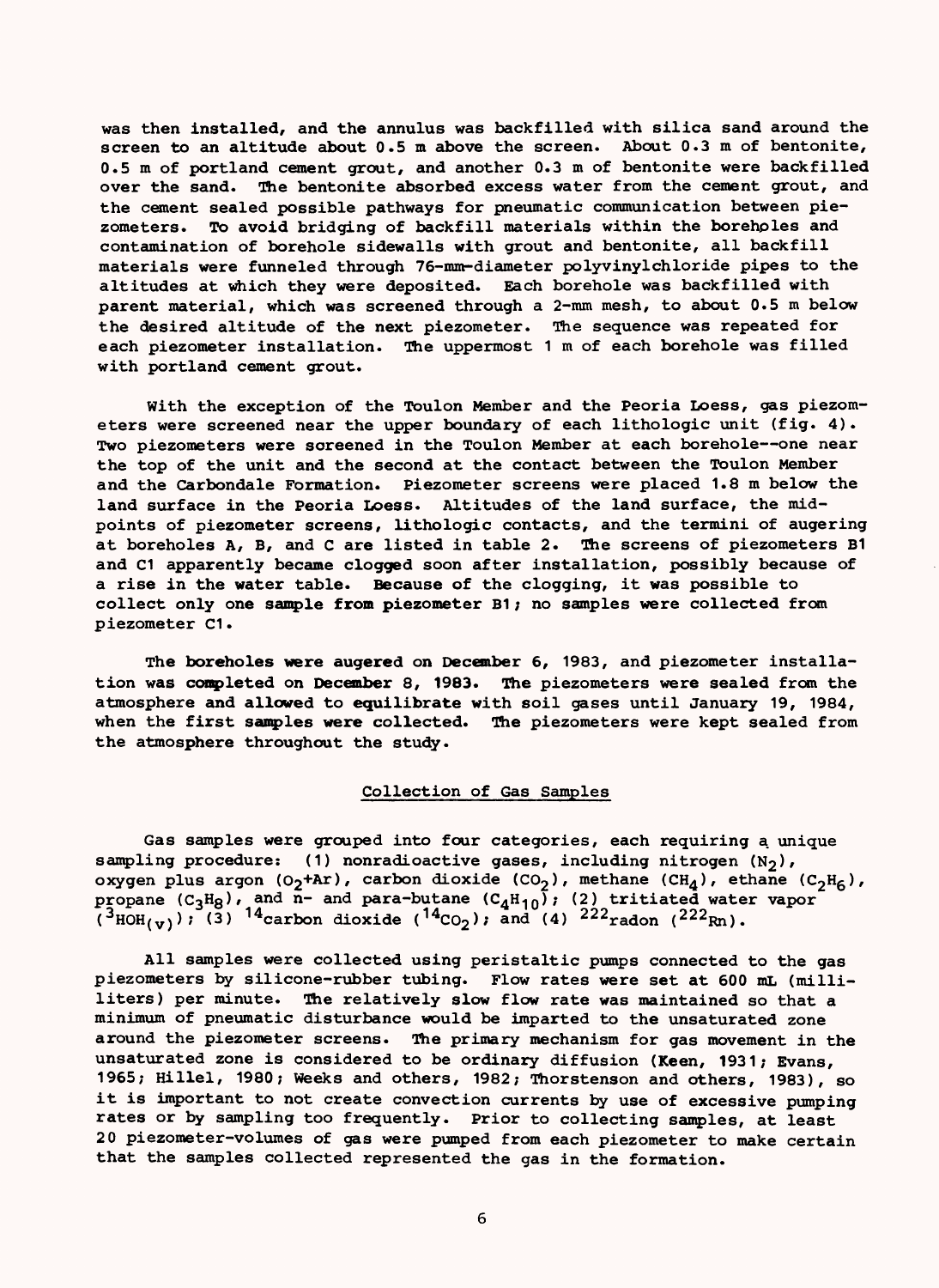was then installed, and the annulus was backfilled with silica sand around the screen to an altitude about 0.5 m above the screen. About 0.3 m of bentonite, 0.5 m of portland cement grout, and another 0.3 m of bentonite were backfilled over the sand. The bentonite absorbed excess water from the cement grout, and the cement sealed possible pathways for pneumatic communication between piezometers. To avoid bridging of backfill materials within the boreholes and contamination of borehole sidewalls with grout and bentonite, all backfill materials were funneled through 76-mm-diameter polyvinylchloride pipes to the altitudes at which they were deposited. Each borehole was backfilled with parent material, which was screened through a 2-mm mesh, to about 0.5 m below the desired altitude of the next piezometer. The sequence was repeated for each piezometer installation. The uppermost 1 m of each borehole was filled with portland cement grout.

With the exception of the Toulon Member and the Peoria Loess, gas piezometers were screened near the upper boundary of each lithologic unit (fig.  $4$ ). Two piezometers were soreened in the Toulon Member at each borehole -- one near the top of the unit and the second at the contact between the Toulon Member and the Carbondale Formation. Piezometer screens were placed 1.8m below the land surface in the Peoria Loess. Altitudes of the land surface, the midpoints of piezometer screens, lithologic contacts, and the termini of augering at boreholes A, B, and C are listed in table 2. The screens of piezometers B1 and C1 apparently became clogged soon after installation, possibly because of a rise in the water table. Because of the clogging, it was possible to collect only one sample from piezometer B1; no samples were collected from piezometer C1

The boreholes were augered on December 6, 1983, and piezometer installation was completed on December 8, 1983. The piezometers were sealed from the atmosphere and allowed to equilibrate with soil gases until January 19, 1984, when the first samples **were** collected. The piezometers were kept sealed from the atmosphere throughout the study.

### Collection of Gas Samples

Gas samples were grouped into four categories, each requiring a unique sampling procedure: (1) nonradioactive gases, including nitrogen  $(N_2)$ , oxygen plus argon (O<sub>2</sub>+Ar), carbon dioxide (CO<sub>2</sub>), methane (CH<sub>A</sub>), ethane (C<sub>2</sub>H<sub>6</sub>), propane (C<sub>3</sub>H<sub>8</sub>), and n- and para-butane (C<sub>4</sub>H<sub>10</sub>); (2) tritiated water vapor (<sup>3</sup>HOH<sub>(v)</sub>); (3) <sup>14</sup>carbon dioxide (<sup>14</sup>CO<sub>2</sub>); and (4) <sup>222</sup>radon (<sup>222</sup>Rn).

All samples were collected using peristaltic pumps connected to the gas piezometers by silicone-rubber tubing. Flow rates were set at 600 mL (milliliters) per minute. The relatively slow flow rate was maintained so that a minimum of pneumatic disturbance would be imparted to the unsaturated zone around the piezometer screens. The primary mechanism for gas movement in the unsaturated zone is considered to be ordinary diffusion (Keen, 1931; Evans, 1965; Hillel, 1980; Weeks and others, 1982; Thorstenson and others, 1983), so it is important to not create convection currents by use of excessive pumping rates or by sampling too frequently. Prior to collecting samples, at least 20 piezometer-volumes of gas were pumped from each piezometer to make certain that the samples collected represented the gas in the formation.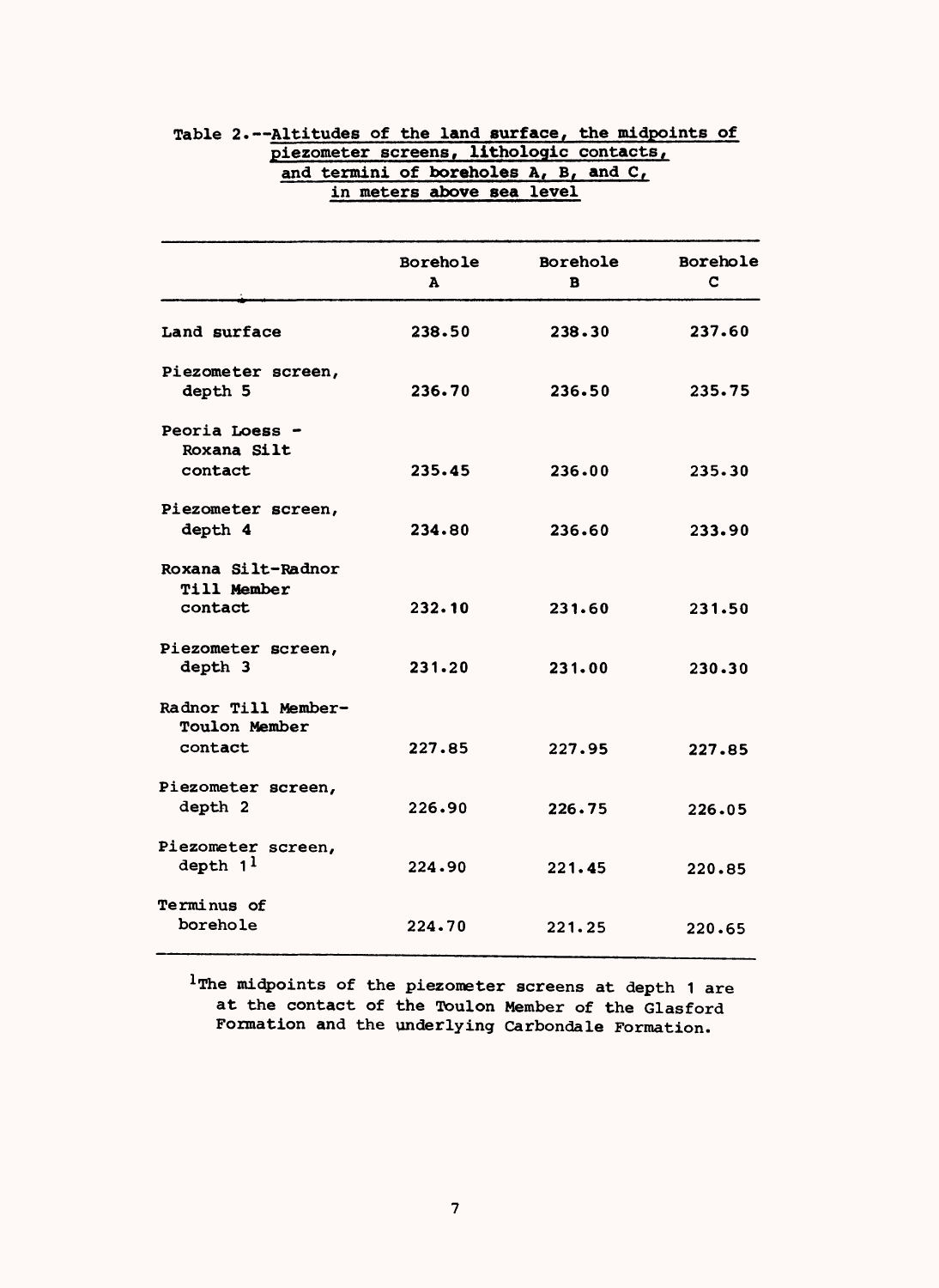|                                            | in meters above sea level |               |               |
|--------------------------------------------|---------------------------|---------------|---------------|
|                                            | Borehole<br>A             | Borehole<br>R | Borehole<br>C |
| Land surface                               | 238.50                    | 238.30        | 237.60        |
| Piezometer screen,<br>depth 5              | 236.70                    | 236.50        | 235.75        |
| Peoria Loess -<br>Roxana Silt              |                           |               |               |
| contact                                    | 235.45                    | 236.00        | 235.30        |
| Piezometer screen,<br>depth 4              | 234.80                    | 236.60        | 233.90        |
| Roxana Silt-Radnor                         |                           |               |               |
| Till Member<br>contact                     | 232.10                    | 231.60        | 231.50        |
| Piezometer screen,<br>depth 3              | 231.20                    | 231.00        | 230.30        |
| Radnor Till Member-<br>Toulon Member       |                           |               |               |
| contact                                    | 227.85                    | 227.95        | 227.85        |
| Piezometer screen,<br>depth 2              | 226.90                    | 226.75        | 226.05        |
| Piezometer screen,<br>depth 1 <sup>1</sup> | 224.90                    | 221.45        | 220.85        |
| Terminus of<br>borehole                    | 224.70                    | 221.25        | 220.65        |

### Table 2.--Altitudes of the land surface, the midpoints of piezometer screens, lithologic contacts, and termini of boreholes A, B, and C, in meters above sea level

<sup>1</sup> The midpoints of the piezometer screens at depth 1 are at the contact of the Toulon Member of the Glasford Formation and the underlying Carbondale Formation.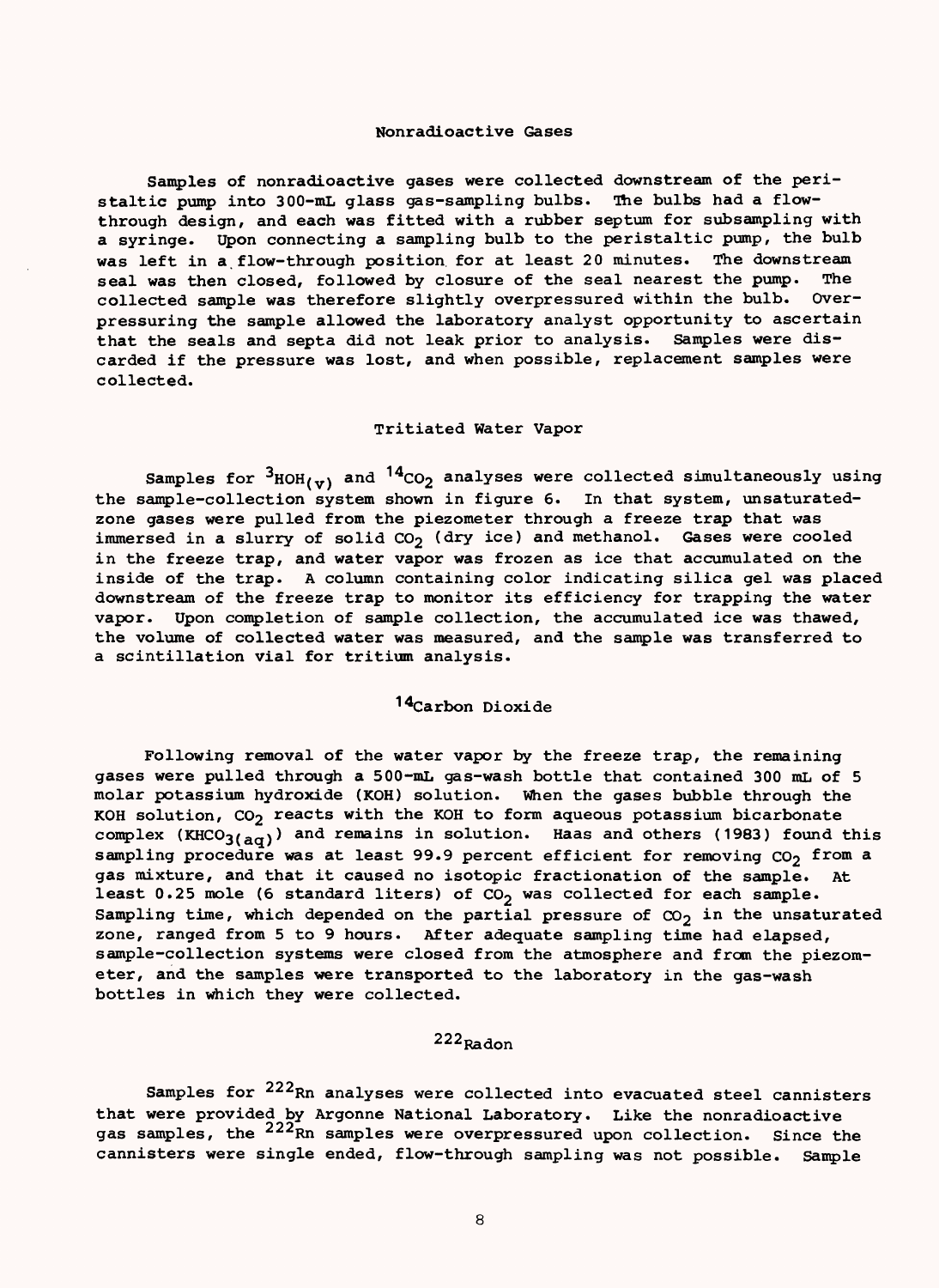### Nonradioactive Gases

Samples of nonradioactive gases were collected downstream of the peristaltic pump into 300-mL glass gas-sampling bulbs. The bulbs had a flowthrough design, and each was fitted with a rubber septum for subsampling with a syringe. Upon connecting a sampling bulb to the peristaltic pump, the bulb was left in a flow-through position for at least 20 minutes. The downstream seal was then closed, followed by closure of the seal nearest the pump. The collected sample was therefore slightly overpressured within the bulb. Overpressuring the sample allowed the laboratory analyst opportunity to ascertain that the seals and septa did not leak prior to analysis. Samples were discarded if the pressure was lost, and when possible, replacement samples were collected.

### Tritiated Water Vapor

Samples for  $3_{\text{HOH}(v)}$  and  $14_{\text{CO}_2}$  analyses were collected simultaneously using the sample-collection system shown in figure 6. In that system, unsaturatedzone gases were pulled from the piezometer through a freeze trap that was immersed in a slurry of solid  $CO<sub>2</sub>$  (dry ice) and methanol. Gases were cooled in the freeze trap, and water vapor was frozen as ice that accumulated on the inside of the trap. A column containing color indicating silica gel was placed downstream of the freeze trap to monitor its efficiency for trapping the water vapor. Upon completion of sample collection, the accumulated ice was thawed, the volume of collected water was measured, and the sample was transferred to a scintillation vial for tritium analysis.

### 14Carbon Dioxide

Following removal of the water vapor by the freeze trap, the remaining gases were pulled through a 500-mL gas-wash bottle that contained 300 mL of 5 molar potassium hydroxide (KOH) solution. When the gases bubble through the KOH solution,  $CO<sub>2</sub>$  reacts with the KOH to form aqueous potassium bicarbonate complex (KHCO<sub>3(aq)</sub>) and remains in solution. Haas and others (1983) found this sampling procedure was at least 99.9 percent efficient for removing  $CO<sub>2</sub>$  from a gas mixture, and that it caused no isotopic fractionation of the sample. At least 0.25 mole (6 standard liters) of  $CO_2$  was collected for each sample. Sampling time, which depended on the partial pressure of  $\infty_2$  in the unsaturated zone, ranged from 5 to 9 hours. After adequate sampling time had elapsed, sample-collection systems were closed from the atmosphere and from the piezometer, and the samples were transported to the laboratory in the gas-wash bottles in which they were collected.

### $222_{\text{Radon}}$

Samples for <sup>222</sup>Rn analyses were collected into evacuated steel cannisters that were provided by Argonne National Laboratory. Like the nonradioactive gas samples, the <sup>222</sup>Rn samples were overpressured upon collection. Since the cannisters were single ended, flow-through sampling was not possible. Sample

8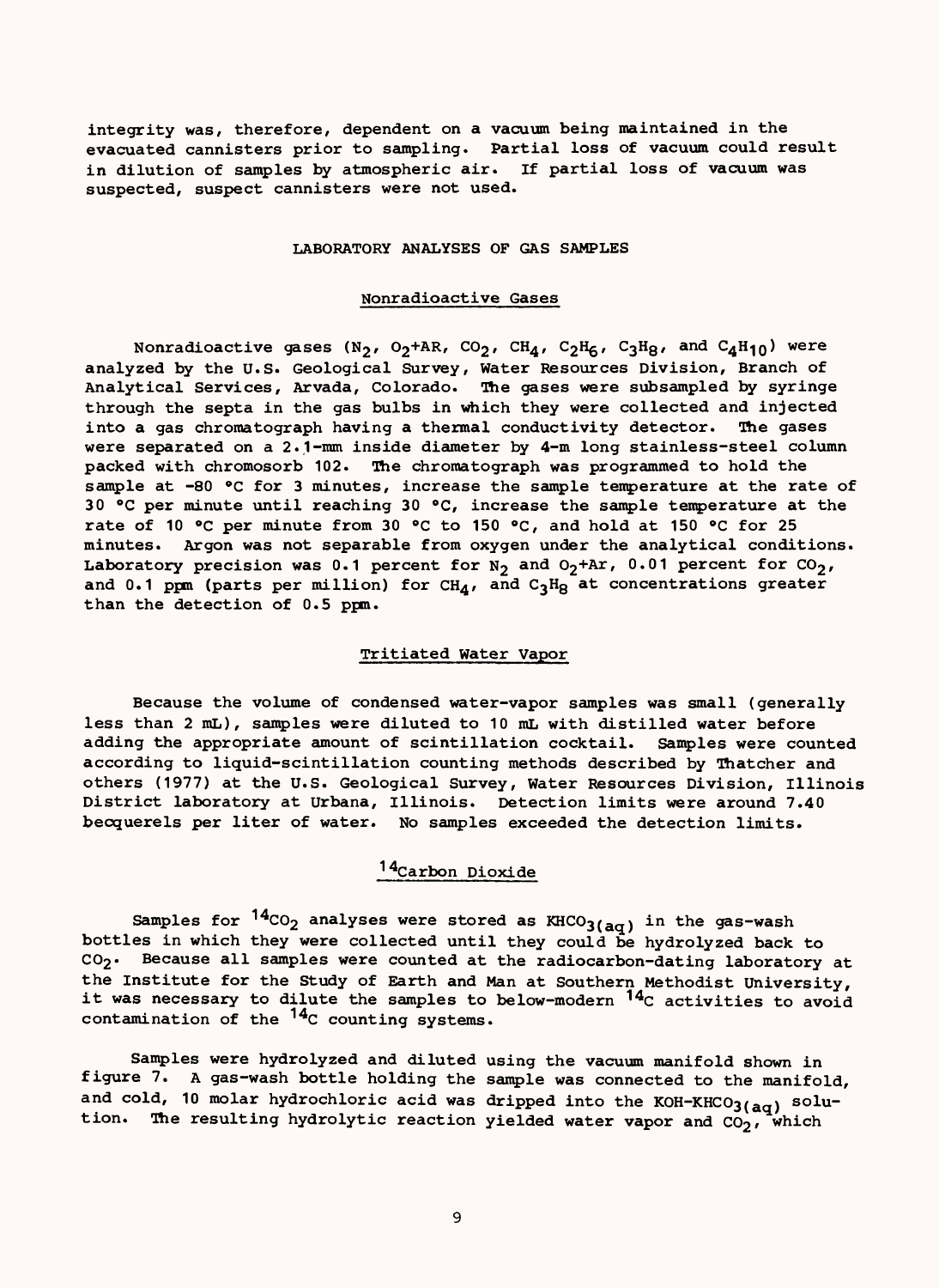integrity was, therefore, dependent on a vacuum being maintained in the evacuated cannisters prior to sampling. Partial loss of vacuum could result in dilution of samples by atmospheric air. If partial loss of vacuum was suspected, suspect cannisters were not used.

#### LABORATORY ANALYSES OF GAS SAMPLES

### Nonradioactive Gases

Nonradioactive gases (N<sub>2</sub>, O<sub>2</sub>+AR, CO<sub>2</sub>, CH<sub>4</sub>, C<sub>2</sub>H<sub>6</sub>, C<sub>3</sub>H<sub>8</sub>, and C<sub>4</sub>H<sub>10</sub>) were analyzed by the U.S. Geological Survey, Water Resources Division, Branch of Analytical Services, Arvada, Colorado. The gases were subsampled by syringe through the septa in the gas bulbs in which they were collected and injected into a gas chromatograph having a thermal conductivity detector. The gases were separated on a 2.1-mm inside diameter by 4-m long stainless-steel column packed with chromosorb 102. The chromatograph was programmed to hold the sample at -80 °C for 3 minutes, increase the sample temperature at the rate of 30 °C per minute until reaching 30 °C, increase the sample temperature at the rate of 10 °C per minute from 30 °C to 150 °C, and hold at 150 °C for 25 minutes. Argon was not separable from oxygen under the analytical conditions. Laboratory precision was 0.1 percent for  $N_2$  and  $0_2$ +Ar, 0.01 percent for CO<sub>2</sub>, and 0.1 ppm (parts per million) for CH<sub>A</sub>, and C<sub>3</sub>H<sub>8</sub> at concentrations greater than the detection of 0.5 ppm.

### Tritiated Water Vapor

Because the volume of condensed water-vapor samples was small (generally less than 2 mL) , samples were diluted to 10 mL with distilled water before adding the appropriate amount of scintillation cocktail. Samples were counted according to liquid-scintillation counting methods described by Thatcher and others (1977) at the U.S. Geological Survey, Water Resources Division, Illinois District laboratory at Urbana, Illinois. Detection limits were around 7.40 becquerels per liter of water. No samples exceeded the detection limits.

# 14Carbon Dioxide

Samples for  $14_{CO_2}$  analyses were stored as  $KHCO_{3(aq)}$  in the gas-wash bottles in which they were collected until they could be hydrolyzed back to  $CO<sub>2</sub>$ . Because all samples were counted at the radiocarbon-dating laboratory at the Institute for the Study of Earth and Man at Southern Methodist University, it was necessary to dilute the samples to below-modern <sup>14</sup>C activities to avoid contamination of the  $14<sub>C</sub>$  counting systems.

Samples were hydrolyzed and diluted using the vacuum manifold shown in figure 7. A gas-wash bottle holding the sample was connected to the manifold, and cold, 10 molar hydrochloric acid was dripped into the KOH-KHCO3( $_{aq}$ ) solution. The resulting hydrolytic reaction yielded water vapor and  $CO_2$ , which

9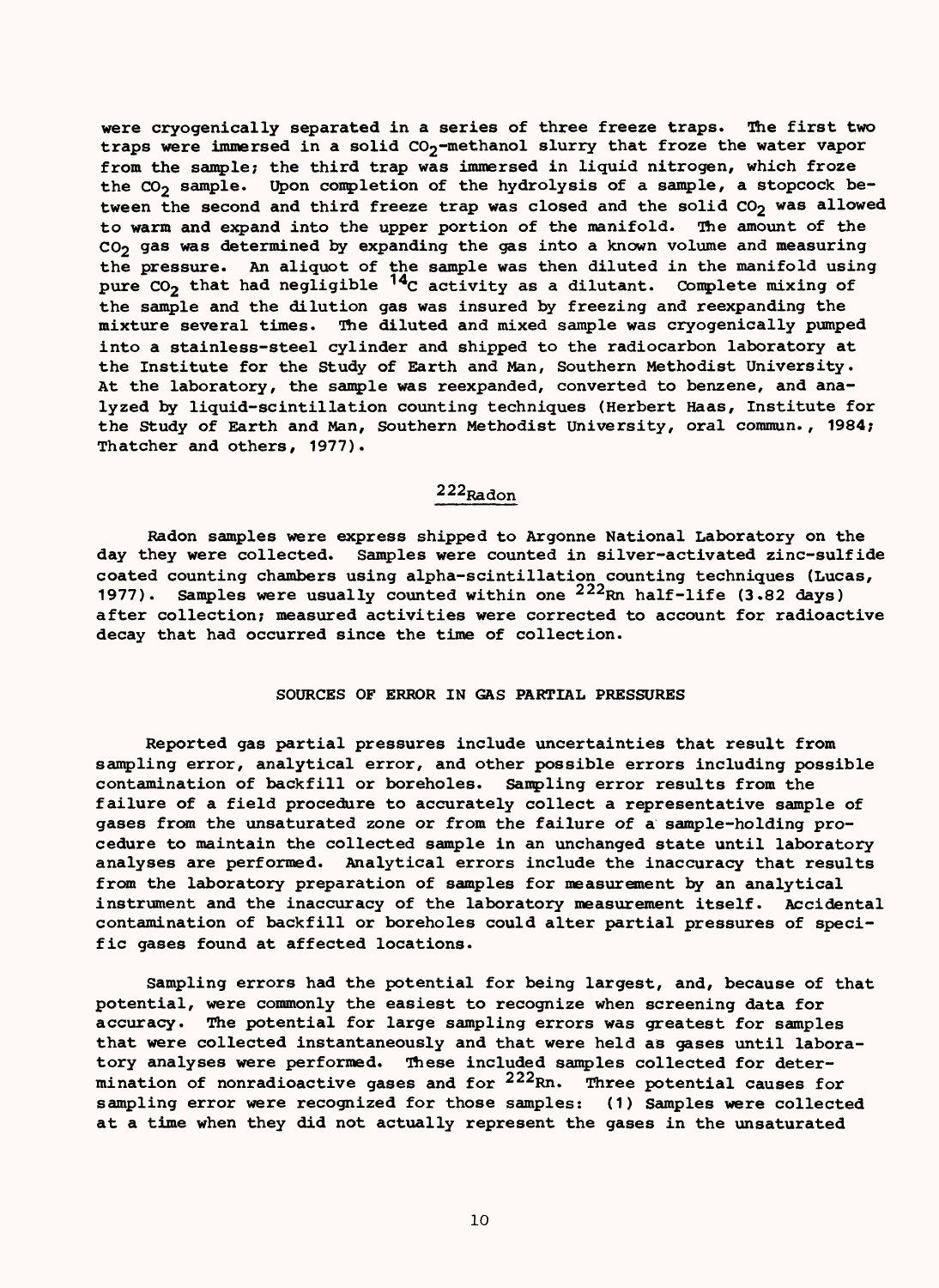were cryogenically separated in a series of three freeze traps. The first two traps were immersed in a solid  $CO_2$ -methanol slurry that froze the water vapor from the sample; the third trap was immersed in liquid nitrogen, which froze the  $CO_2$  sample. Upon completion of the hydrolysis of a sample, a stopcock between the second and third freeze trap was closed and the solid CO<sub>2</sub> was allowed to warm and expand into the upper portion of the manifold. The amount of the CO<sub>2</sub> gas was determined by expanding the gas into a known volume and measuring the pressure. An aliquot of the sample was then diluted in the manifold using pure  $\texttt{CO}_2$  that had negligible  $\texttt{C}^\texttt{4}$ c activity as a dilutant. Complete mixing of the sample and the dilution gas was insured by freezing and reexpanding the mixture several times. The diluted and mixed sample was cryogenically pumped into a stainless-steel cylinder and shipped to the radiocarbon laboratory at the Institute for the Study of Earth and Man, Southern Methodist University. At the laboratory, the sample was reexpanded, converted to benzene, and analyzed by liquid-scintillation counting techniques (Herbert Haas, Institute for the Study of Earth and Man, Southern Methodist University, oral commun., 1984; Thatcher and others, 1977).

### 222Radon

Radon samples were express shipped to Argonne National Laboratory on the day they were collected. Samples were counted in silver-activated zinc-sulfide coated counting chambers using alpha-scintillation counting techniques (Lucas, 1977). Samples were usually counted within one <sup>222</sup>Rn half-life (3.82 days) after collection; measured activities were corrected to account for radioactive decay that had occurred since the time of collection.

### SOURCES OF ERROR IN GAS PARTIAL PRESSURES

Reported gas partial pressures include uncertainties that result from sampling error, analytical error, and other possible errors including possible contamination of backfill or boreholes. Sampling error results from the failure of a field procedure to accurately collect a representative sample of gases from the unsaturated zone or from the failure of a sample-holding procedure to maintain the collected sample in an unchanged state until laboratory analyses are performed. Analytical errors include the inaccuracy that results from the laboratory preparation of samples for measurement by an analytical instrument and the inaccuracy of the laboratory measurement itself. Accidental contamination of backfill or boreholes could alter partial pressures of specific gases found at affected locations.

Sampling errors had the potential for being largest, and, because of that potential, were commonly the easiest to recognize when screening data for accuracy. The potential for large sampling errors was greatest for samples that were collected instantaneously and that were held as gases until laboratory analyses were performed. These included samples collected for determination of nonradioactive gases and for  $222$ Rn. Three potential causes for sampling error were recognized for those samples: (1) Samples were collected at a time when they did not actually represent the gases in the unsaturated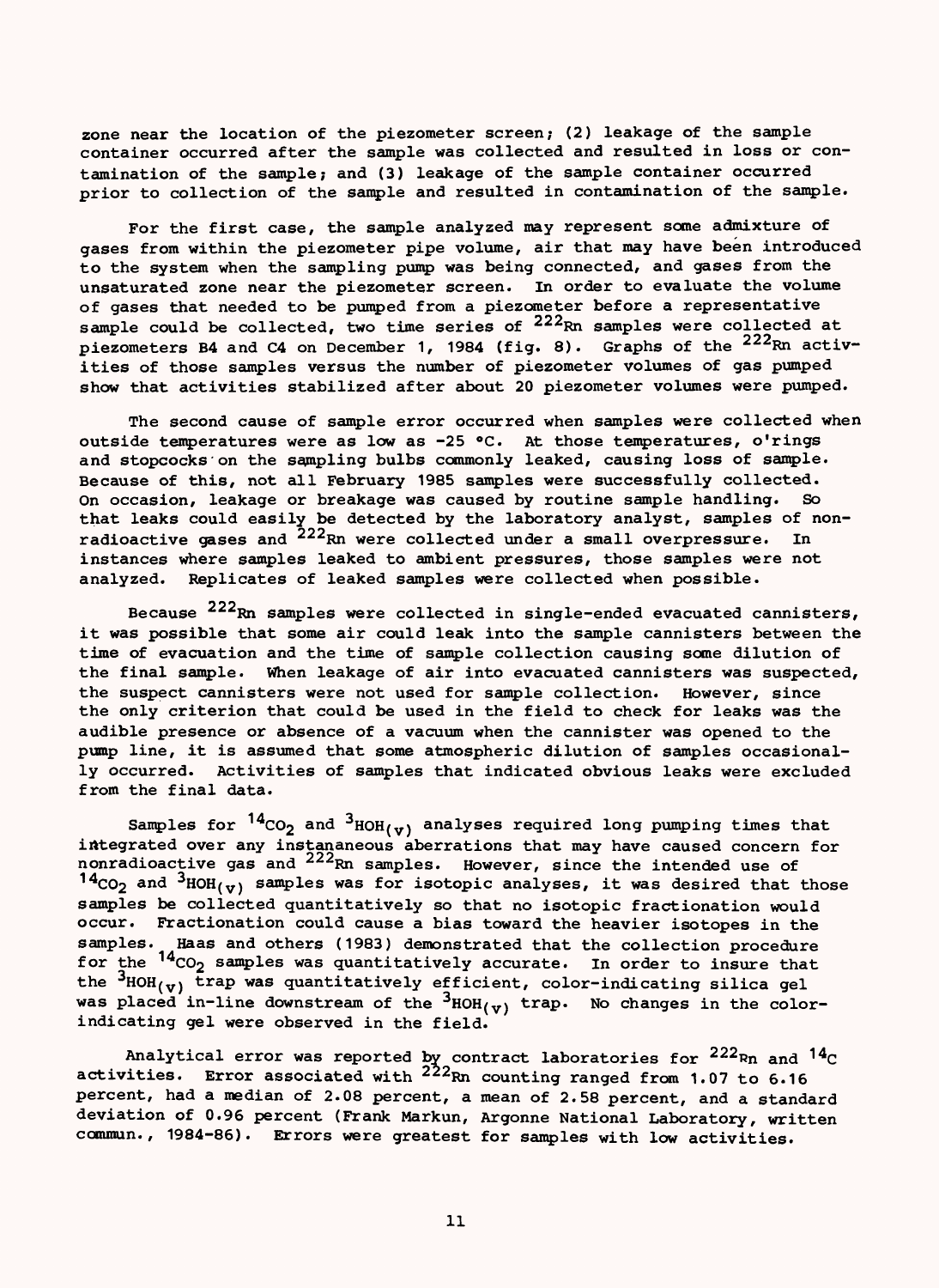zone near the location of the piezometer screen; (2) leakage of the sample container occurred after the sample was collected and resulted in loss or contamination of the sample; and (3) leakage of the sample container occurred prior to collection of the sample and resulted in contamination of the sample.

For the first case, the sample analyzed may represent some admixture of gases from within the piezometer pipe volume, air that may have been introduced to the system when the sampling pump was being connected, and gases from the unsaturated zone near the piezometer screen. In order to evaluate the volume of gases that needed to be pumped from a piezometer before a representative sample could be collected, two time series of 222Rn samples were collected at piezometers B4 and C4 on December 1, 1984 (fig. 8). Graphs of the <sup>222</sup>Rn activities of those samples versus the number of piezometer volumes of gas pumped show that activities stabilized after about 20 piezometer volumes were pumped.

The second cause of sample error occurred when samples were collected when outside temperatures were as low as -25 °C. At those temperatures, o'rings and stopcocks 'on the sampling bulbs commonly leaked, causing loss of sample. Because of this, not all February 1985 samples were successfully collected. On occasion, leakage or breakage was caused by routine sample handling. So that leaks could easily be detected by the laboratory analyst, samples of nonradioactive gases and 222Rn were collected under a small overpressure. In instances where samples leaked to ambient pressures, those samples were not analyzed. Replicates of leaked samples were collected when possible.

Because  $^{222}$ Rn samples were collected in single-ended evacuated cannisters, it was possible that some air could leak into the sample cannisters between the time of evacuation and the time of sample collection causing some dilution of the final sample. When leakage of air into evacuated cannisters was suspected, the suspect cannisters were not used for sample collection. However, since the only criterion that could be used in the field to check for leaks was the audible presence or absence of a vacuum when the cannister was opened to the pump line, it is assumed that some atmospheric dilution of samples occasionally occurred. Activities of samples that indicated obvious leaks were excluded from the final data.

Samples for  $^{14}CO_2$  and  $^{3}$ HOH( $\rm v$ ) analyses required long pumping times that integrated over any instananeous aberrations that may have caused concern for nonradioactive gas and <sup>222</sup>Rn samples. However, since the intended use of  $14_{CO_2}$  and  $3_{HOH_{(\nu)}}$  samples was for isotopic analyses, it was desired that those samples be collected quantitatively so that no isotopic fractionation would occur. Fractionation could cause a bias toward the heavier isotopes in the samples. Haas and others (1983) demonstrated that the collection procedure for the '"CO<sub>2</sub> samples was quantitatively accurate. In order to insure that the <sup>3</sup>HOH<sub>(v)</sub> trap was quantitatively efficient, color-indicating silica gel was placed in-line downstream of the  ${}^{3}$ HOH<sub>(V)</sub> trap. No changes in the colorindicating gel were observed in the field.

Analytical error was reported by contract laboratories for  $^{222}$ Rn and  $^{14}$ C activities. Error associated with <sup>222</sup>Rn counting ranged from 1.07 to 6.16 percent, had a median of 2.08 percent, a mean of 2.58 percent, and a standard deviation of 0.96 percent (Frank Markun, Argonne National Laboratory, written commun. , 1984-86). Errors were greatest for samples with low activities.

11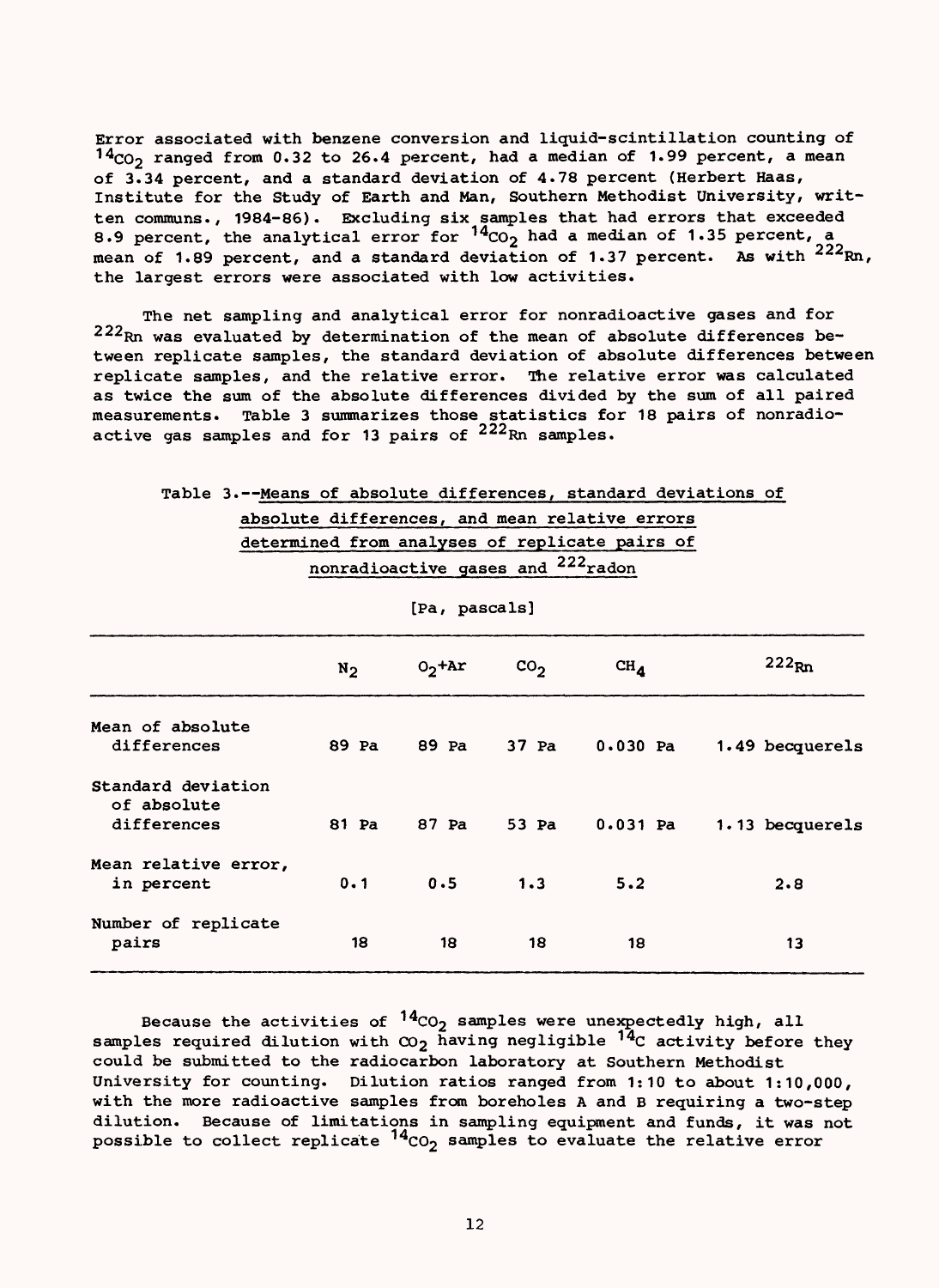Error associated with benzene conversion and liquid-scintillation counting of  $14<sub>CO</sub>$  ranged from 0.32 to 26.4 percent, had a median of 1.99 percent, a mean of 3.34 percent, and a standard deviation of 4.78 percent (Herbert Haas, Institute for the Study of Earth and Man, Southern Methodist University, written communs., 1984-86). Excluding six samples that had errors that exceeded 8.9 percent, the analytical error for  $^{14}$ CO<sub>2</sub> had a median of 1.35 percent, a mean of 1.89 percent, and a standard deviation of 1.37 percent. As with <sup>222</sup>Rn, the largest errors were associated with low activities.

The net sampling and analytical error for nonradioactive gases and for 222Rn was evaluated by determination of the mean of absolute differences between replicate samples, the standard deviation of absolute differences between replicate samples, and the relative error. The relative error was calculated as twice the sum of the absolute differences divided by the sum of all paired measurements. Table 3 summarizes those statistics for 18 pairs of nonradioactive gas samples and for 13 pairs of  $222_{\rm Rn}$  samples.

| Table 3.--Means of absolute differences, standard deviations of |                                    |               |               |                                                |                 |
|-----------------------------------------------------------------|------------------------------------|---------------|---------------|------------------------------------------------|-----------------|
|                                                                 |                                    |               |               | absolute differences, and mean relative errors |                 |
|                                                                 |                                    |               |               | determined from analyses of replicate pairs of |                 |
|                                                                 | nonradioactive gases and 222 radon |               |               |                                                |                 |
|                                                                 |                                    | [Pa, pascals] |               |                                                |                 |
|                                                                 | $N_2$                              | $02$ +Ar      | $\text{co}_2$ | $CH_{d}$                                       | $222_{\rm Rn}$  |
| Mean of absolute<br>differences                                 | 89 Pa                              | 89 Pa         | 37 Pa         | $0.030$ Pa                                     | 1.49 becquerels |
| Standard deviation<br>of absolute<br>differences                | 81 Pa                              | 87 Pa         | 53 Pa         | $0.031$ Pa                                     | 1.13 becquerels |
| Mean relative error,<br>in percent                              | 0.1                                | 0.5           | 1.3           | 5.2                                            | 2.8             |
| Number of replicate<br>pairs                                    | 18                                 | 18            | 18            | 18                                             | 13              |

Because the activities of  $14<sub>CO</sub>$  samples were unexpectedly high, all samples required dilution with  $\infty_2$  having negligible  $14$ C activity before they could be submitted to the radiocarbon laboratory at Southern Methodist University for counting. Dilution ratios ranged from 1:10 to about 1:10,000, with the more radioactive samples from boreholes A and B requiring a two-step dilution. Because of limitations in sampling equipment and funds, it was not possible to collect replicate  $14$ CO<sub>2</sub> samples to evaluate the relative error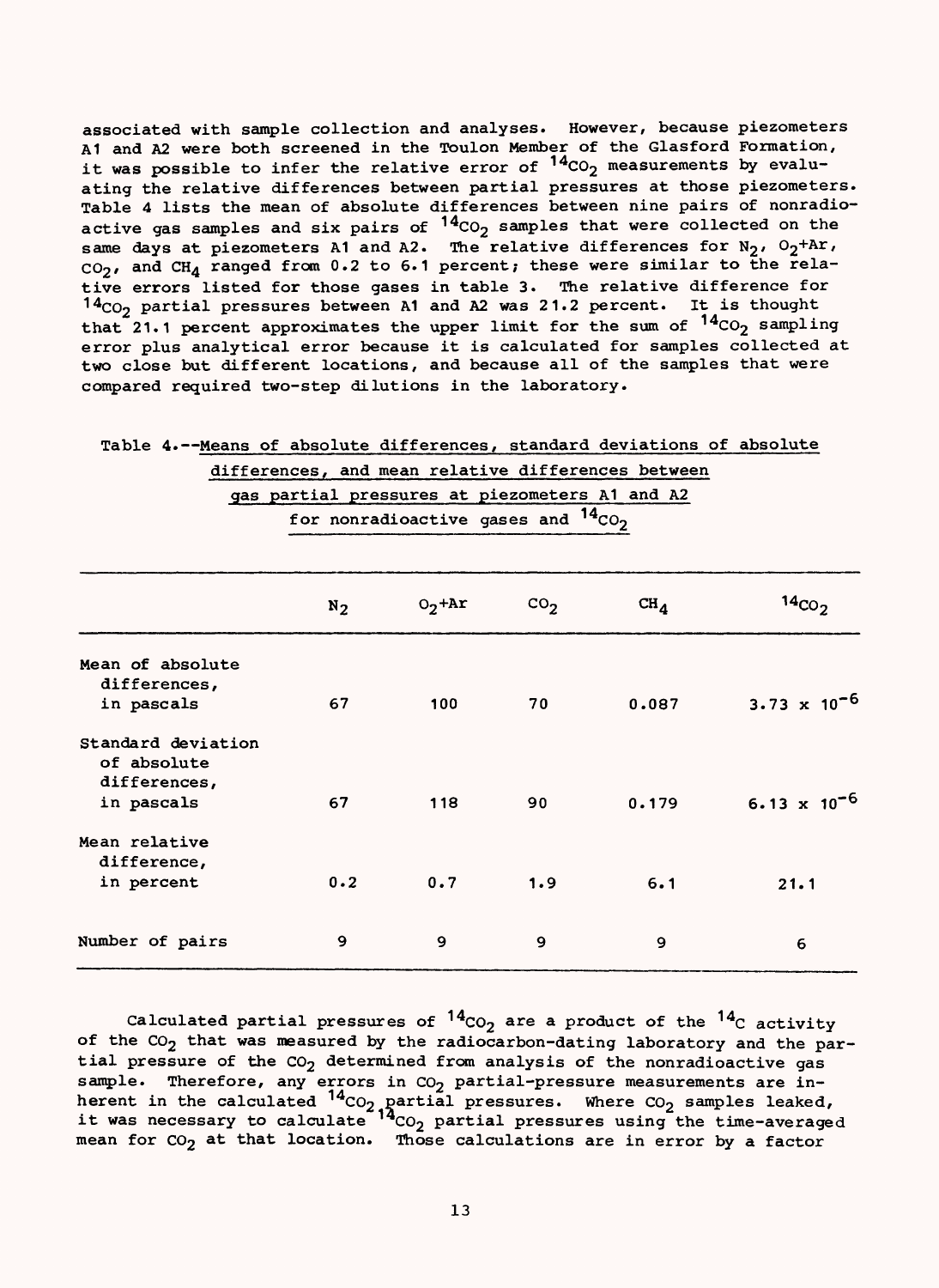associated with sample collection and analyses. However, because piezometers A1 and A2 were both screened in the Toulon Member of the Glasford Formation, it was possible to infer the relative error of  $14_{CO_2}$  measurements by evaluating the relative differences between partial pressures at those piezometers. Table 4 lists the mean of absolute differences between nine pairs of nonradioactive gas samples and six pairs of  $14<sub>CO</sub>$  samples that were collected on the same days at piezometers A1 and A2. The relative differences for  $N_2$ ,  $O_2+Ar$ ,  $CO<sub>2</sub>$ , and  $CH<sub>4</sub>$  ranged from 0.2 to 6.1 percent; these were similar to the relative errors listed for those gases in table 3. The relative difference for  $14<sub>CO</sub>$  partial pressures between A1 and A2 was 21.2 percent. It is thought that 21.1 percent approximates the upper limit for the sum of  $14_{CO_2}$  sampling error plus analytical error because it is calculated for samples collected at two close but different locations, and because all of the samples that were compared required two-step dilutions in the laboratory.

|                    |                                                |                                          |               | differences, and mean relative differences between |                                |
|--------------------|------------------------------------------------|------------------------------------------|---------------|----------------------------------------------------|--------------------------------|
|                    | gas partial pressures at piezometers A1 and A2 |                                          |               |                                                    |                                |
|                    |                                                | for nonradioactive gases and $14_{CO_2}$ |               |                                                    |                                |
|                    |                                                |                                          |               |                                                    |                                |
|                    | $N_2$                                          | $O_2$ +Ar                                | $\text{CO}_2$ | $CH_{\Lambda}$                                     | $14_{CO_2}$                    |
| Mean of absolute   |                                                |                                          |               |                                                    |                                |
| differences,       |                                                |                                          |               |                                                    |                                |
| in pascals         | 67                                             | 100                                      | 70            | 0.087                                              | 3.73 $\times$ 10 <sup>-6</sup> |
| Standard deviation |                                                |                                          |               |                                                    |                                |
| of absolute        |                                                |                                          |               |                                                    |                                |
| differences,       |                                                |                                          |               |                                                    |                                |
| in pascals         | 67                                             | 118                                      | 90            | 0.179                                              | 6.13 $\times$ 10 <sup>-6</sup> |
| Mean relative      |                                                |                                          |               |                                                    |                                |
| difference,        |                                                |                                          |               |                                                    |                                |
| in percent         | 0.2                                            | 0.7                                      | 1.9           | 6.1                                                | 21.1                           |
| Number of pairs    | 9                                              | 9                                        | 9             | 9                                                  | 6                              |

Table 4.--Means of absolute differences, standard deviations of absolute

Calculated partial pressures of  $^{14}$ CO<sub>2</sub> are a product of the  $^{14}$ C activity of the  $CO_2$  that was measured by the radiocarbon-dating laboratory and the partial pressure of the  $CO<sub>2</sub>$  determined from analysis of the nonradioactive gas sample. Therefore, any errors in  $CO<sub>2</sub>$  partial-pressure measurements are inherent in the calculated  $^{14}$ CO<sub>2</sub> partial pressures. Where CO<sub>2</sub> samples leaked, it was necessary to calculate  $^{14}$ CO<sub>2</sub> partial pressures using the time-averaged mean for  $CO<sub>2</sub>$  at that location. Those calculations are in error by a factor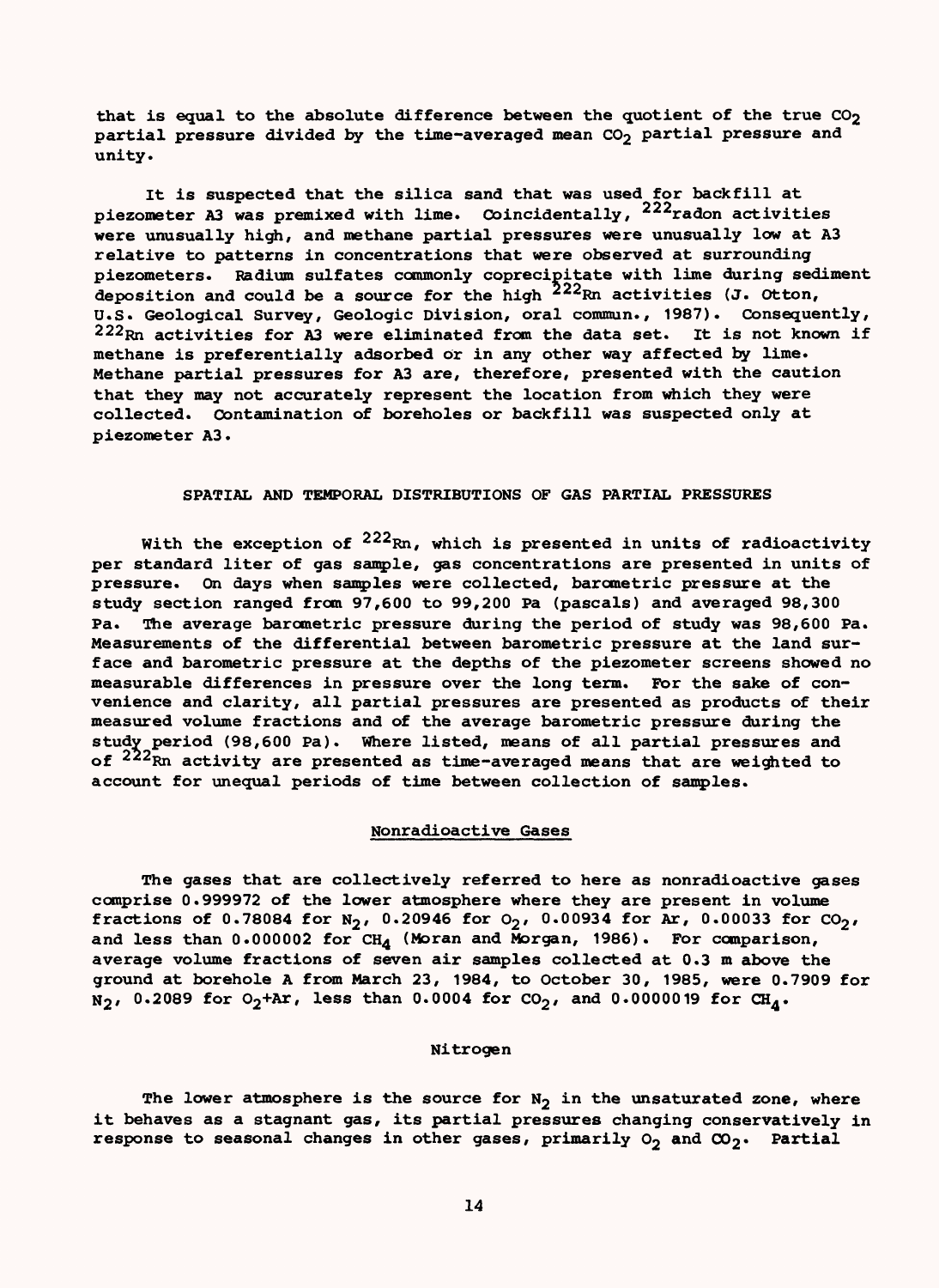that is equal to the absolute difference between the quotient of the true  $CO<sub>2</sub>$ partial pressure divided by the time-averaged mean CO<sub>2</sub> partial pressure and unity.

It is suspected that the silica sand that was used for backfill at piezometer A3 was premixed with lime. Coincidentally,  $222$ radon activities were unusually high, and methane partial pressures were unusually low at A3 relative to patterns in concentrations that were observed at surrounding piezometers. Radium sulfates commonly coprecipitate with lime during sediment deposition and could be a source for the high <sup>222</sup>Rn activities (J. Otton, U.S. Geological Survey, Geologic Division, oral commun., 1987). Consequently,  $222_{\rm Rn}$  activities for A3 were eliminated from the data set. It is not known if methane is preferentially adsorbed or in any other way affected by lime. Methane partial pressures for A3 are, therefore, presented with the caution that they may not accurately represent the location from which they were collected. Contamination of boreholes or backfill was suspected only at piezometer A3.

### SPATIAL AND TEMPORAL DISTRIBUTIONS OF GAS PARTIAL PRESSURES

With the exception of  $222_{\rm Rn}$ , which is presented in units of radioactivity per standard liter of gas sample, gas concentrations are presented in units of pressure. On days when samples were collected, barometric pressure at the study section ranged from 97,600 to 99,200 Pa (pascals) and averaged 98,300 Pa. The average barometric pressure during the period of study was 98,600 Pa. Measurements of the differential between barometric pressure at the land surface and barometric pressure at the depths of the piezometer screens showed no measurable differences in pressure over the long term. For the sake of convenience and clarity, all partial pressures are presented as products of their measured volume fractions and of the average barometric pressure during the study period (98,600 Pa). Where listed, means of all partial pressures and of <sup>222</sup>Rn activity are presented as time-averaged means that are weighted to account for unequal periods of time between collection of samples.

### Nonradioactive Gases

The gases that are collectively referred to here as nonradioactive gases comprise 0.999972 of the lower atmosphere where they are present in volume fractions of 0.78084 for N<sub>2</sub>, 0.20946 for  $O_2$ , 0.00934 for Ar, 0.00033 for  $CO_2$ , and less than  $0.000002$  for CH<sub>4</sub> (Moran and Morgan, 1986). For comparison, average volume fractions of seven air samples collected at 0.3 m above the ground at borehole A from March 23, 1984, to October 30, 1985, were 0.7909 for  $N_2$ , 0.2089 for O<sub>2</sub>+Ar, less than 0.0004 for CO<sub>2</sub>, and 0.0000019 for CH<sub>4</sub>.

### Nitrogen

The lower atmosphere is the source for  $N_2$  in the unsaturated zone, where it behaves as a stagnant gas, its partial pressures changing conservatively in response to seasonal changes in other gases, primarily  $O_2$  and  $CO_2$ . Partial

14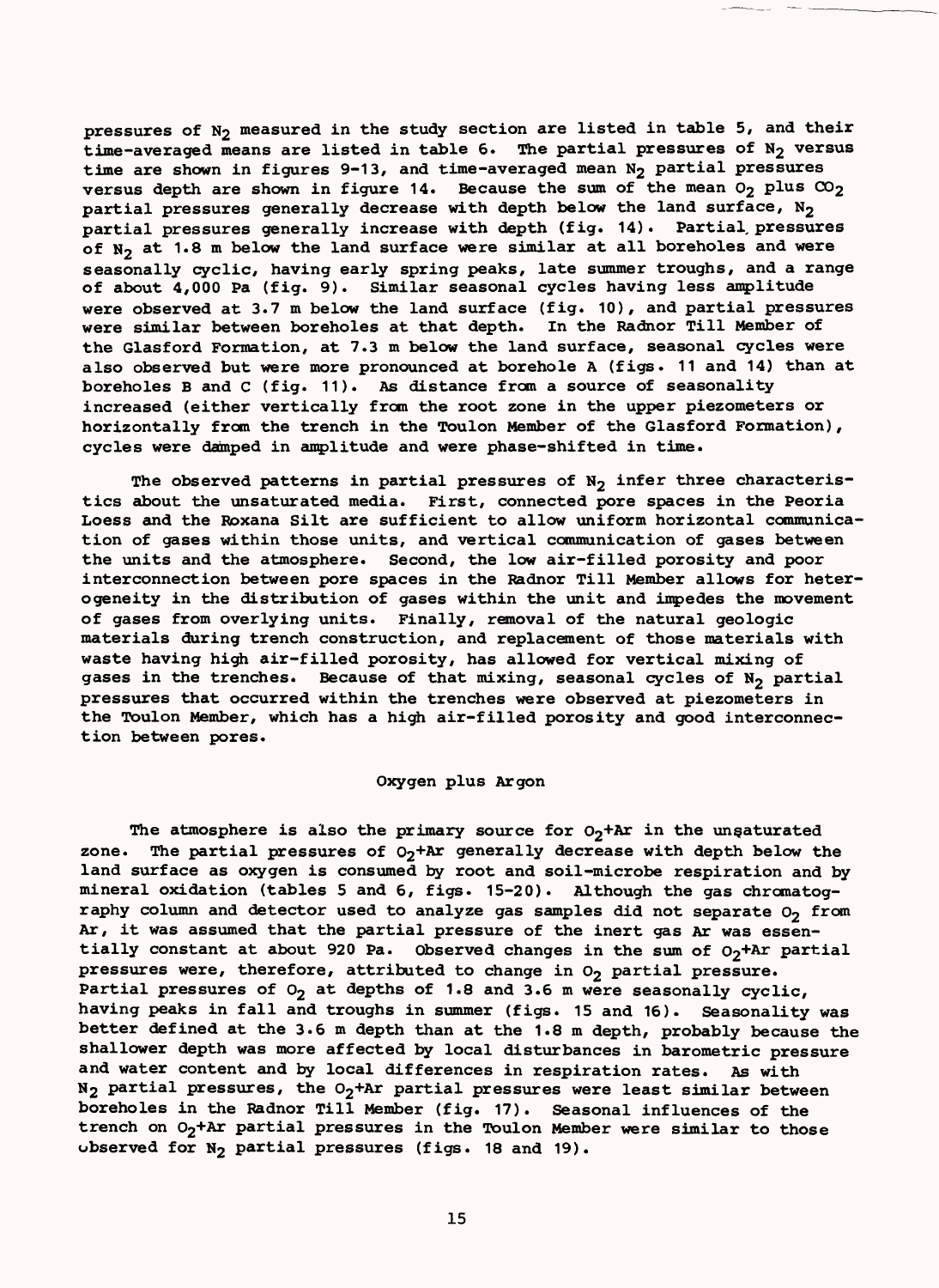pressures of N<sub>2</sub> measured in the study section are listed in table 5, and their time-averaged means are listed in table 6. The partial pressures of  $N_2$  versus time are shown in figures 9-13, and time-averaged mean  $N_2$  partial pressures versus depth are shown in figure 14. Because the sum of the mean  $0_2$  plus  $\infty_2$ partial pressures generally decrease with depth below the land surface,  $N_2$ partial pressures generally increase with depth (fig. 14). Partial, pressures of  $N_2$  at 1.8 m below the land surface were similar at all boreholes and were seasonally cyclic, having early spring peaks, late summer troughs, and a range of about 4,000 Pa (fig. 9). Similar seasonal cycles having less amplitude were observed at 3.7 m below the land surface (fig. 10), and partial pressures were similar between boreholes at that depth. In the Radnor Till Member of the Glasford Formation, at 7.3 m below the land surface, seasonal cycles were also observed but were more pronounced at borehole A (figs. 11 and 14) than at boreholes B and C (fig. 11). As distance from a source of seasonality increased (either vertically from the root zone in the upper piezometers or horizontally from the trench in the Toulon Member of the Glasford Formation), cycles were damped in amplitude and were phase-shifted in time.

The observed patterns in partial pressures of  $N_2$  infer three characteristics about the unsaturated media. First, connected pore spaces in the Peoria Loess and the Roxana Silt are sufficient to allow uniform horizontal communication of gases within those units, and vertical communication of gases between the units and the atmosphere. Second, the low air-filled porosity and poor interconnection between pore spaces in the Radnor Till Member allows for heterogeneity in the distribution of gases within the unit and impedes the movement of gases from overlying units. Finally, removal of the natural geologic materials during trench construction, and replacement of those materials with waste having high air-filled porosity, has allowed for vertical mixing of gases in the trenches. Because of that mixing, seasonal cycles of  $N_2$  partial pressures that occurred within the trenches were observed at piezometers in the Toulon Member, which has a high air-filled porosity and good interconnection between pores.

### Oxygen plus Argon

The atmosphere is also the primary source for  $O_2$ +Ar in the unsaturated zone. The partial pressures of  $O_2$ +Ar generally decrease with depth below the land surface as oxygen is consumed by root and soil-microbe respiration and by mineral oxidation (tables 5 and 6, figs. 15-20). Although the gas chromatography column and detector used to analyze gas samples did not separate  $O_2$  from Ar, it was assumed that the partial pressure of the inert gas Ar was essentially constant at about 920 Pa. Observed changes in the sum of  $O<sub>2</sub>$ +Ar partial pressures were, therefore, attributed to change in  $O_2$  partial pressure. Partial pressures of  $O_2$  at depths of 1.8 and 3.6 m were seasonally cyclic, having peaks in fall and troughs in summer (figs. 15 and 16). Seasonality was better defined at the 3.6 m depth than at the 1.8 m depth, probably because the shallower depth was more affected by local disturbances in barometric pressure and water content and by local differences in respiration rates. As with  $N_2$  partial pressures, the  $O_2$ +Ar partial pressures were least similar between boreholes in the Radnor Till Member (fig. 17). Seasonal influences of the trench on  $O_2$ +Ar partial pressures in the Toulon Member were similar to those observed for  $N_2$  partial pressures (figs. 18 and 19).

15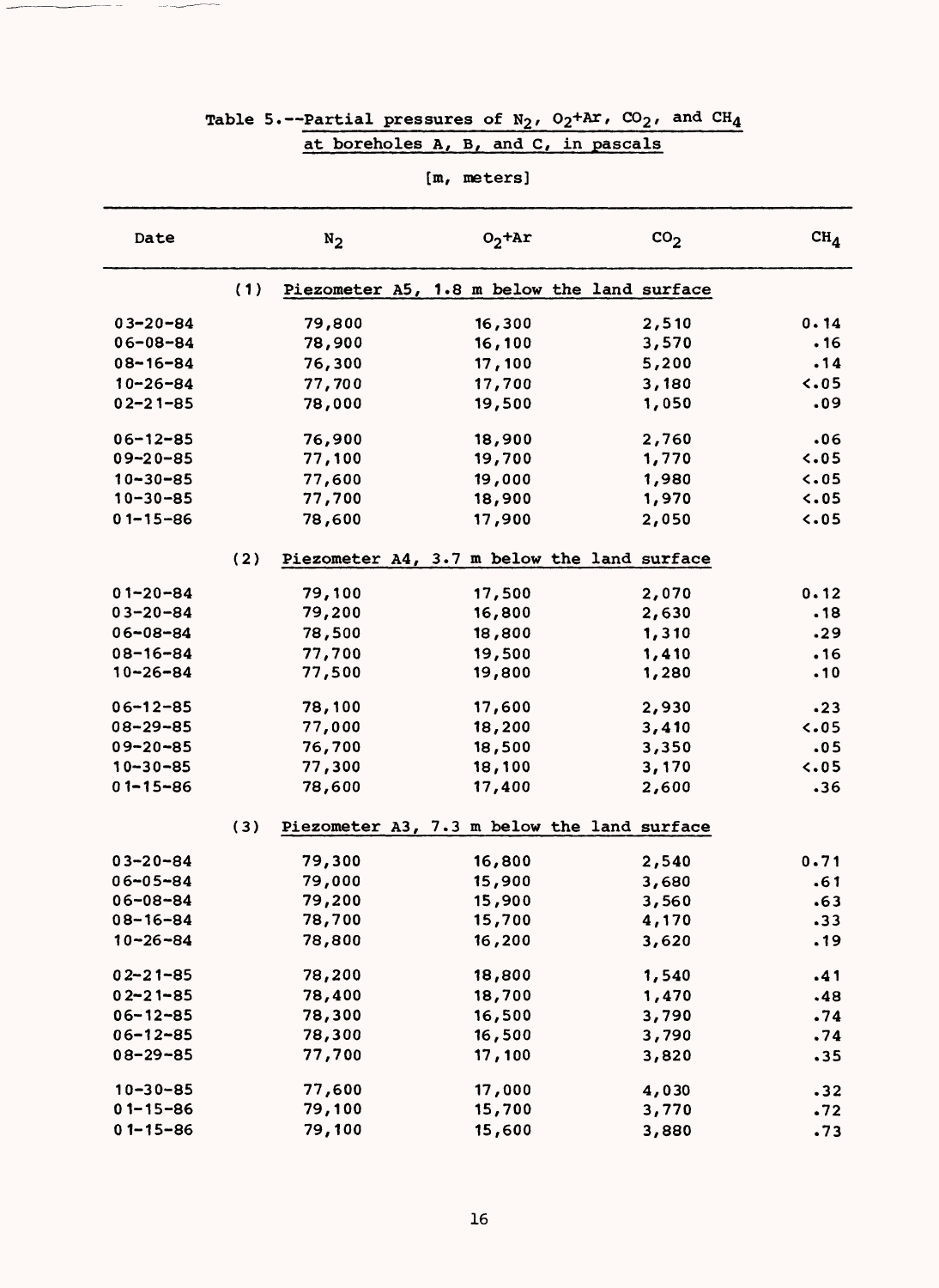|                |     |        | [m, meters]                                 |                 |                |
|----------------|-----|--------|---------------------------------------------|-----------------|----------------|
| Date           |     | $N_2$  | $02$ + $Ar$                                 | CO <sub>2</sub> | $CH_{\Lambda}$ |
|                | (1) |        | Piezometer A5, 1.8 m below the land surface |                 |                |
| $03 - 20 - 84$ |     | 79,800 | 16,300                                      | 2,510           | 0.14           |
| $06 - 08 - 84$ |     | 78,900 | 16, 100                                     | 3,570           | .16            |
| $08 - 16 - 84$ |     | 76,300 | 17,100                                      | 5,200           | .14            |
| $10 - 26 - 84$ |     | 77,700 | 17,700                                      | 3,180           | $\sim$ 05      |
| $02 - 21 - 85$ |     | 78,000 | 19,500                                      | 1,050           | .09            |
| $06 - 12 - 85$ |     | 76,900 | 18,900                                      | 2,760           | .06            |
| $09 - 20 - 85$ |     | 77,100 | 19,700                                      | 1,770           | 5.05           |
| $10 - 30 - 85$ |     | 77,600 | 19,000                                      | 1,980           | 5.05           |
| $10 - 30 - 85$ |     | 77,700 | 18,900                                      | 1,970           | 5.05           |
| $01 - 15 - 86$ |     | 78,600 | 17,900                                      | 2,050           | $\sim 05$      |
|                | (2) |        | Piezometer A4, 3.7 m below the land surface |                 |                |
| $01 - 20 - 84$ |     | 79,100 | 17,500                                      | 2,070           | 0.12           |
| $03 - 20 - 84$ |     | 79,200 | 16,800                                      | 2,630           | .18            |
| $06 - 08 - 84$ |     | 78,500 | 18,800                                      | 1,310           | .29            |
| $08 - 16 - 84$ |     | 77,700 | 19,500                                      | 1,410           | .16            |
| $10 - 26 - 84$ |     | 77,500 | 19,800                                      | 1,280           | .10            |
| $06 - 12 - 85$ |     | 78,100 | 17,600                                      | 2,930           | .23            |
| $08 - 29 - 85$ |     | 77,000 | 18,200                                      | 3,410           | $\sim 05$      |
| $09 - 20 - 85$ |     | 76,700 | 18,500                                      | 3,350           | .05            |
| $10 - 30 - 85$ |     | 77,300 | 18,100                                      | 3,170           | $\sim 05$      |
| $01 - 15 - 86$ |     | 78,600 | 17,400                                      | 2,600           | .36            |
|                | (3) |        | Piezometer A3, 7.3 m below the land surface |                 |                |
| $03 - 20 - 84$ |     | 79,300 | 16,800                                      | 2,540           | 0.71           |
| $06 - 05 - 84$ |     | 79,000 | 15,900                                      | 3,680           | .61            |
| $06 - 08 - 84$ |     | 79,200 | 15,900                                      | 3,560           | .63            |
| $08 - 16 - 84$ |     | 78,700 | 15,700                                      | 4,170           | .33            |
| $10 - 26 - 84$ |     | 78,800 | 16,200                                      | 3,620           | .19            |
| $02 - 21 - 85$ |     | 78,200 | 18,800                                      | 1,540           | .41            |
| $02 - 21 - 85$ |     | 78,400 | 18,700                                      | 1,470           | .48            |
| $06 - 12 - 85$ |     | 78,300 | 16,500                                      | 3,790           | .74            |
| $06 - 12 - 85$ |     | 78,300 | 16,500                                      | 3,790           | .74            |
| $08 - 29 - 85$ |     | 77,700 | 17,100                                      | 3,820           | .35            |
| $10 - 30 - 85$ |     | 77,600 | 17,000                                      | 4,030           | .32            |
| $01 - 15 - 86$ |     | 79,100 | 15,700                                      | 3,770           | .72            |
| $01 - 15 - 86$ |     | 79,100 | 15,600                                      | 3,880           | .73            |

# Table 5.--Partial pressures of  $N_2$ ,  $O_2+Ar$ ,  $CO_2$ , and  $CH_4$ at boreholes A, B, and C, in pascals

 $\sim$   $-$ 

 $\sim$   $\sim$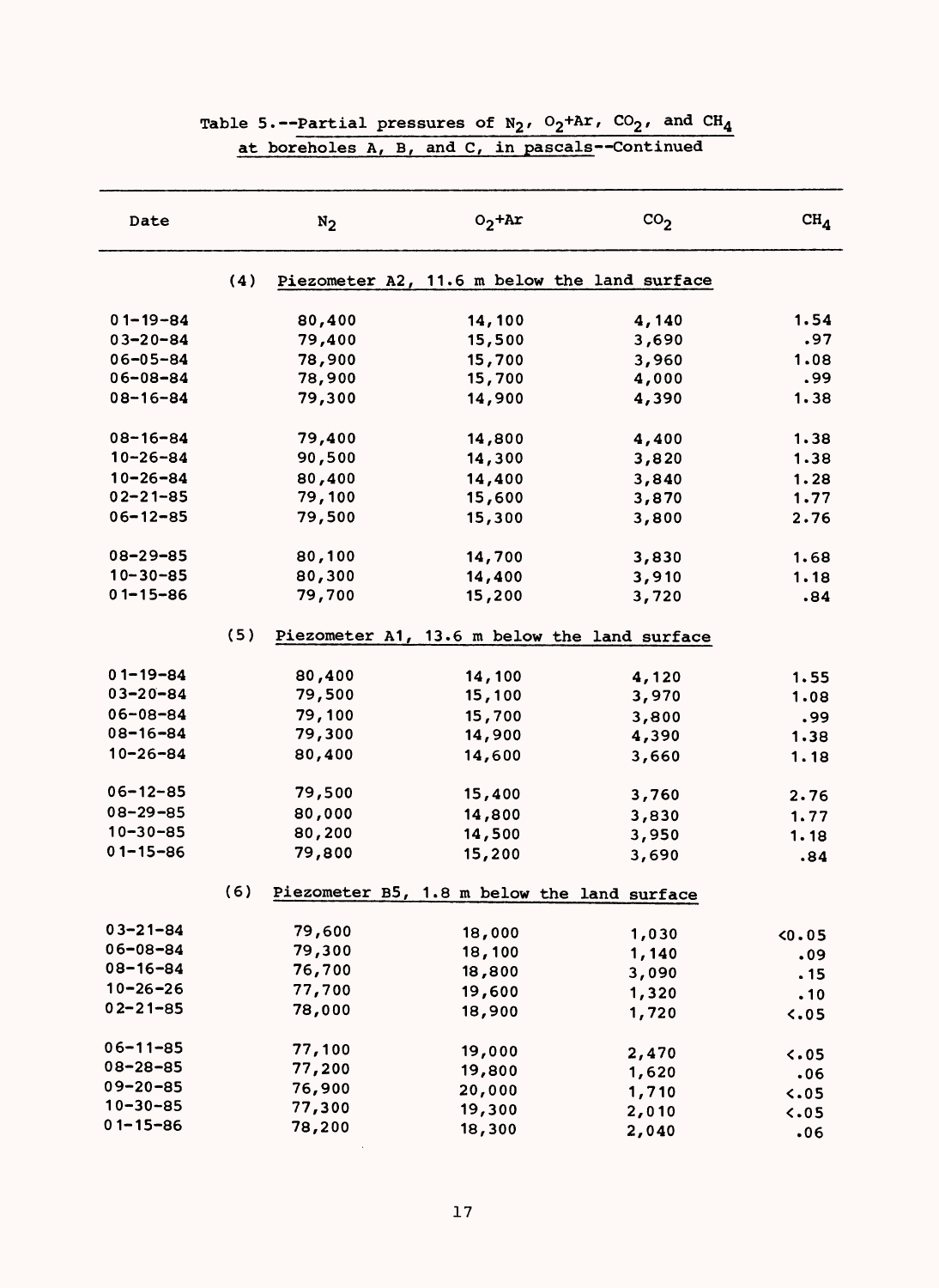| Date           |     | $N_2$  | $O_2$ +Ar                                    | $\rm{co}_2$ | CH <sub>4</sub> |
|----------------|-----|--------|----------------------------------------------|-------------|-----------------|
|                | (4) |        | Piezometer A2, 11.6 m below the land surface |             |                 |
| $01 - 19 - 84$ |     | 80,400 | 14,100                                       | 4,140       | 1.54            |
| $03 - 20 - 84$ |     | 79,400 | 15,500                                       | 3,690       | .97             |
| $06 - 05 - 84$ |     | 78,900 | 15,700                                       | 3,960       | 1.08            |
| $06 - 08 - 84$ |     | 78,900 | 15,700                                       | 4,000       | .99             |
| $08 - 16 - 84$ |     | 79,300 | 14,900                                       | 4,390       | 1.38            |
| $08 - 16 - 84$ |     | 79,400 | 14,800                                       | 4,400       | 1.38            |
| $10 - 26 - 84$ |     | 90,500 | 14,300                                       | 3,820       | 1.38            |
| $10 - 26 - 84$ |     | 80,400 | 14,400                                       | 3,840       | 1.28            |
| $02 - 21 - 85$ |     | 79,100 | 15,600                                       | 3,870       | 1.77            |
| $06 - 12 - 85$ |     | 79,500 | 15,300                                       | 3,800       | 2.76            |
| $08 - 29 - 85$ |     | 80,100 | 14,700                                       | 3,830       | 1.68            |
| $10 - 30 - 85$ |     | 80,300 | 14,400                                       | 3,910       | 1.18            |
| $01 - 15 - 86$ |     | 79,700 | 15,200                                       | 3,720       | .84             |
|                | (5) |        | Piezometer A1, 13.6 m below the land surface |             |                 |
| $01 - 19 - 84$ |     | 80,400 | 14,100                                       | 4,120       | 1.55            |
| $03 - 20 - 84$ |     | 79,500 | 15,100                                       | 3,970       | 1.08            |
| $06 - 08 - 84$ |     | 79,100 | 15,700                                       | 3,800       | .99             |
| $08 - 16 - 84$ |     | 79,300 | 14,900                                       | 4,390       | 1.38            |
| $10 - 26 - 84$ |     | 80,400 | 14,600                                       | 3,660       | 1.18            |
| $06 - 12 - 85$ |     | 79,500 | 15,400                                       | 3,760       | 2.76            |
| $08 - 29 - 85$ |     | 80,000 | 14,800                                       | 3,830       | 1.77            |
| $10 - 30 - 85$ |     | 80,200 | 14,500                                       | 3,950       | 1.18            |
| $01 - 15 - 86$ |     | 79,800 | 15,200                                       | 3,690       | .84             |
|                | (6) |        | Piezometer B5, 1.8 m below the land surface  |             |                 |
| 03-21-84       |     | 79,600 | 18,000                                       | 1,030       | 0.05            |
| $06 - 08 - 84$ |     | 79,300 | 18,100                                       | 1,140       | .09             |
| $08 - 16 - 84$ |     | 76,700 | 18,800                                       | 3,090       | .15             |
| $10 - 26 - 26$ |     | 77,700 | 19,600                                       | 1,320       | .10             |
| $02 - 21 - 85$ |     | 78,000 | 18,900                                       | 1,720       | 5.05            |
| $06 - 11 - 85$ |     | 77,100 | 19,000                                       | 2,470       | $\sim 05$       |
| $08 - 28 - 85$ |     | 77,200 | 19,800                                       | 1,620       | .06             |
| $09 - 20 - 85$ |     | 76,900 | 20,000                                       | 1,710       | 5.05            |
| $10 - 30 - 85$ |     | 77,300 | 19,300                                       | 2,010       | 5.05            |
| $01 - 15 - 86$ |     | 78,200 | 18,300                                       | 2,040       | .06             |

## Table 5.--Partial pressures of  $N_2$ ,  $O_2+Ar$ ,  $CO_2$ , and  $CH_4$ at boreholes A, B, and C, in pascals--Continued

 $\sim 10^7$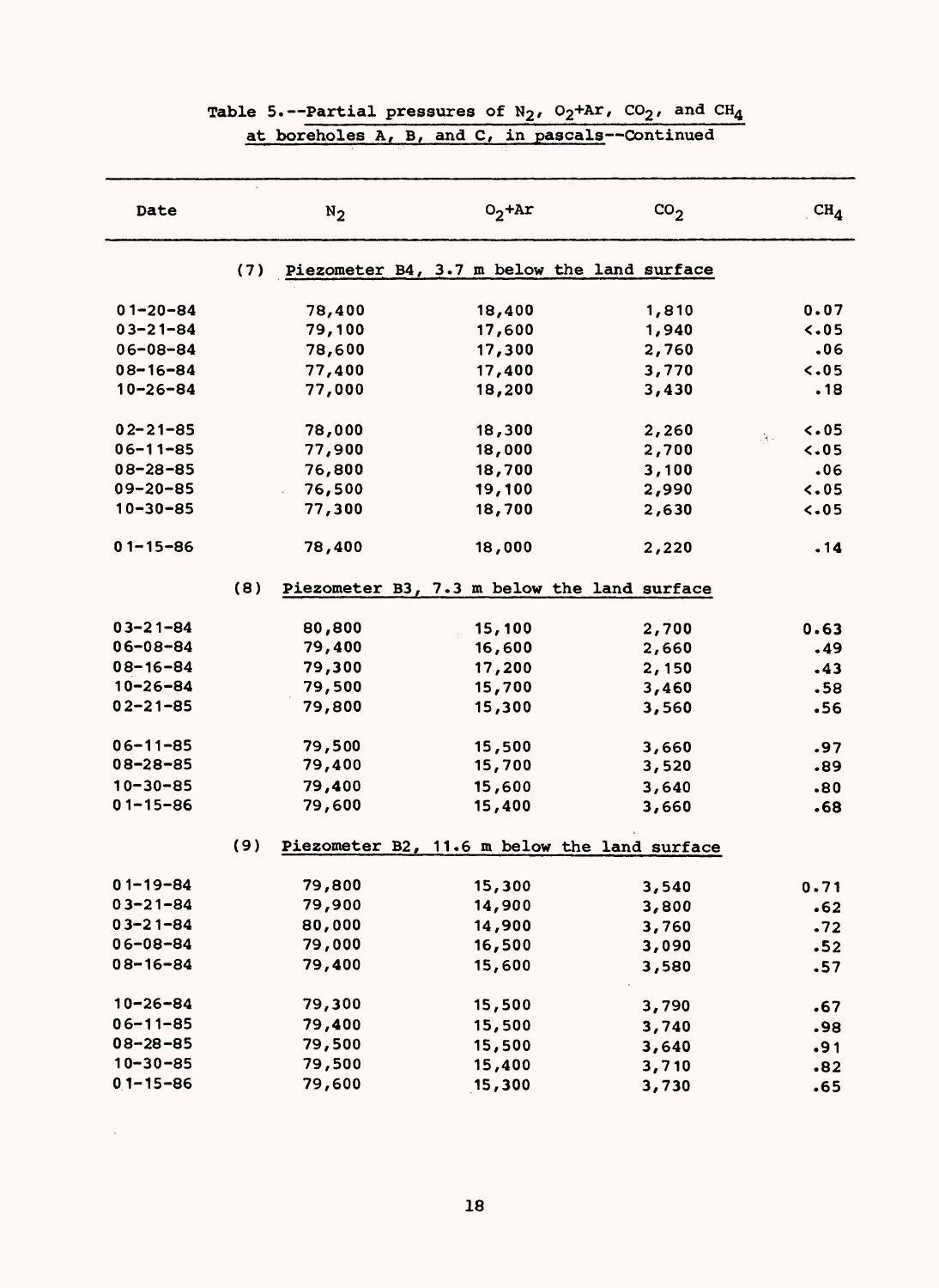| Date            |     | $N_2$  | $O_2$ +Ar                                    | $\text{CO}_2$ | CH <sub>4</sub> |
|-----------------|-----|--------|----------------------------------------------|---------------|-----------------|
|                 | (7) |        | Piezometer B4, 3.7 m below the land surface  |               |                 |
| $01 - 20 - 84$  |     | 78,400 | 18,400                                       | 1,810         | 0.07            |
| $03 - 21 - 84$  |     | 79,100 | 17,600                                       | 1,940         | 5.05            |
| $06 - 08 - 84$  |     | 78,600 | 17,300                                       | 2,760         | .06             |
| $08 - 16 - 84$  |     | 77,400 | 17,400                                       | 3,770         | 5.05            |
| $10 - 26 - 84$  |     | 77,000 | 18,200                                       | 3,430         | .18             |
| $02 - 21 - 85$  |     | 78,000 | 18,300                                       | 2,260         | $\sim 05$<br>84 |
| $06 - 11 - 85$  |     | 77,900 | 18,000                                       | 2,700         | 5.05            |
| $08 - 28 - 85$  |     | 76,800 | 18,700                                       | 3,100         | .06             |
| $09 - 20 - 85$  |     | 76,500 | 19,100                                       | 2,990         | 5.05            |
| $10 - 30 - 85$  |     | 77,300 | 18,700                                       | 2,630         | 5.05            |
| $01 - 15 - 86$  |     | 78,400 | 18,000                                       | 2,220         | .14             |
|                 | (8) |        | Piezometer B3, 7.3 m below the land surface  |               |                 |
| $03 - 21 - 84$  |     | 80,800 | 15,100                                       | 2,700         | 0.63            |
| $06 - 08 - 84$  |     | 79,400 | 16,600                                       | 2,660         | .49             |
| $08 - 16 - 84$  |     | 79,300 | 17,200                                       | 2,150         | .43             |
| $10 - 26 - 84$  |     | 79,500 | 15,700                                       | 3,460         | .58             |
| $02 - 21 - 85$  |     | 79,800 | 15,300                                       | 3,560         | .56             |
| $06 - 11 - 85$  |     | 79,500 | 15,500                                       | 3,660         | .97             |
| $08 - 28 - 85$  |     | 79,400 | 15,700                                       | 3,520         | .89             |
| $10 - 30 - 85$  |     | 79,400 | 15,600                                       | 3,640         | .80             |
| $01 - 15 - 86$  |     | 79,600 | 15,400                                       | 3,660         | .68             |
|                 | (9) |        | Piezometer B2, 11.6 m below the land surface |               |                 |
| $01 - 19 - 84$  |     | 79,800 | 15,300                                       | 3,540         | 0.71            |
| $03 - 21 - 84$  |     | 79,900 | 14,900                                       | 3,800         | .62             |
| $03 - 21 - 84$  |     | 80,000 | 14,900                                       | 3,760         | .72             |
| $06 - 08 - 84$  |     | 79,000 | 16,500                                       | 3,090         | .52             |
| $08 - 16 - 84$  |     | 79,400 | 15,600                                       | 3,580         | .57             |
|                 |     |        |                                              |               |                 |
| $10 - 26 - 84$  |     | 79,300 | 15,500                                       | 3,790         | .67             |
| $06 - 11 - 85$  |     | 79,400 | 15,500                                       | 3,740         | .98             |
| $08 - 28 - 85$  |     | 79,500 | 15,500                                       | 3,640         | .91             |
| $10 - 30 - 85$  |     | 79,500 | 15,400                                       | 3,710         | .82             |
| $0,1 - 15 - 86$ |     | 79,600 | 15,300                                       | 3,730         | .65             |

# Table 5.--Partial pressures of N<sub>2</sub>,  $O_2$ +Ar,  $CO_2$ , and  $CH_4$ at boreholes A, B, and C, in pascals -- Continued

18

 $\sim$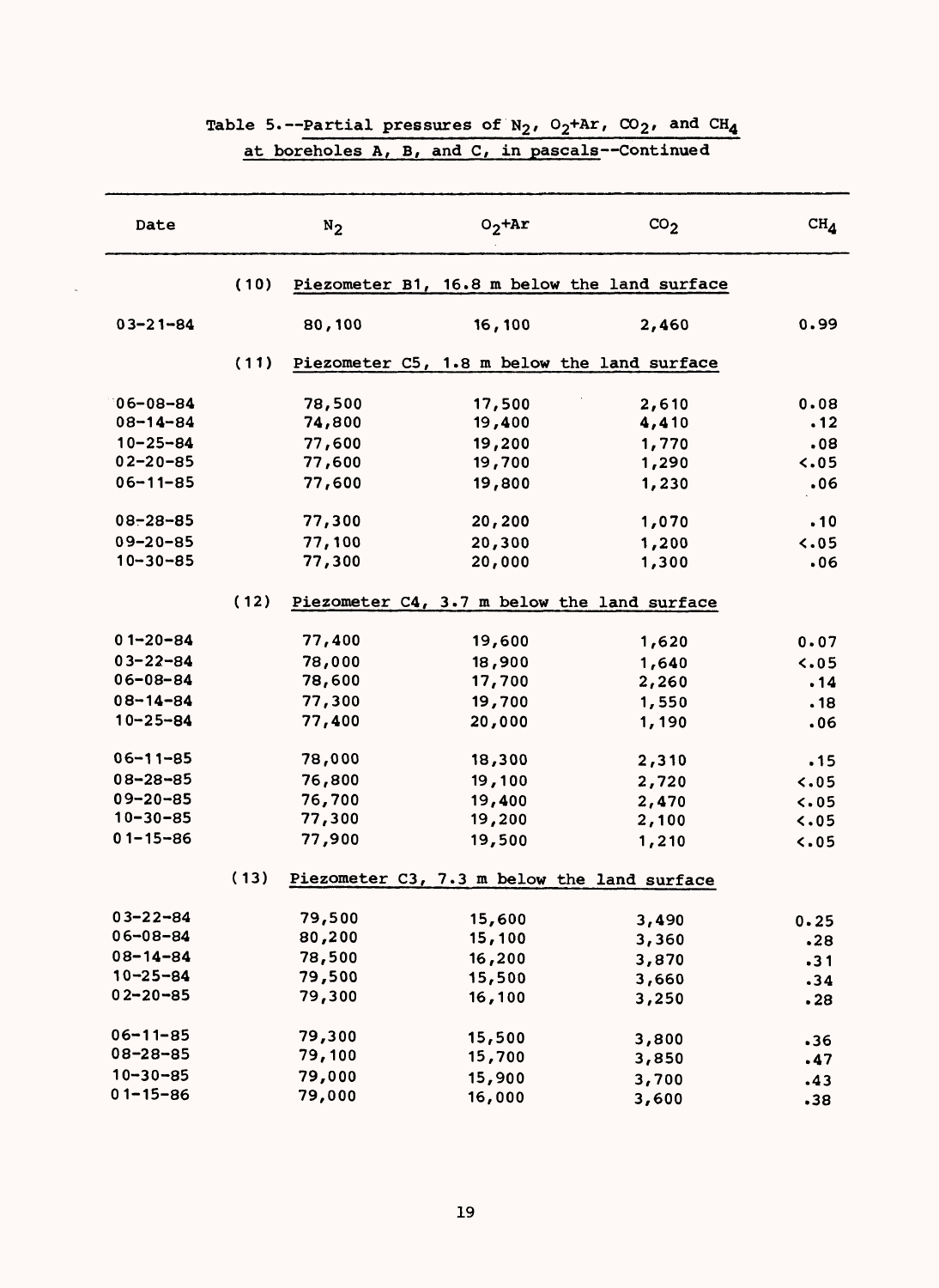| Date           |      | $N_2$  | $O_2$ +Ar                                    | CO <sub>2</sub> | $\text{CH}_4$ |
|----------------|------|--------|----------------------------------------------|-----------------|---------------|
|                | (10) |        | Piezometer B1, 16.8 m below the land surface |                 |               |
| $03 - 21 - 84$ |      | 80,100 | 16,100                                       | 2,460           | 0.99          |
|                | (11) |        | Piezometer C5, 1.8 m below the land surface  |                 |               |
| $06 - 08 - 84$ |      | 78,500 | 17,500                                       | 2,610           | 0.08          |
| $08 - 14 - 84$ |      | 74,800 | 19,400                                       | 4,410           | .12           |
| $10 - 25 - 84$ |      | 77,600 | 19,200                                       | 1,770           | .08           |
| $02 - 20 - 85$ |      | 77,600 | 19,700                                       | 1,290           | $\sim 05$     |
| $06 - 11 - 85$ |      | 77,600 | 19,800                                       | 1,230           | .06           |
| $08 - 28 - 85$ |      | 77,300 | 20,200                                       | 1,070           | .10           |
| $09 - 20 - 85$ |      | 77,100 | 20,300                                       | 1,200           | $\sim 0.5$    |
| $10 - 30 - 85$ |      | 77,300 | 20,000                                       | 1,300           | .06           |
|                | (12) |        | Piezometer C4, 3.7 m below the land surface  |                 |               |
| $01 - 20 - 84$ |      | 77,400 | 19,600                                       | 1,620           | 0.07          |
| $03 - 22 - 84$ |      | 78,000 | 18,900                                       | 1,640           | 5.05          |
| 06-08-84       |      | 78,600 | 17,700                                       | 2,260           | .14           |
| $08 - 14 - 84$ |      | 77,300 | 19,700                                       | 1,550           | .18           |
| $10 - 25 - 84$ |      | 77,400 | 20,000                                       | 1,190           | .06           |
| $06 - 11 - 85$ |      | 78,000 | 18,300                                       | 2,310           | .15           |
| $08 - 28 - 85$ |      | 76,800 | 19,100                                       | 2,720           | 5.05          |
| $09 - 20 - 85$ |      | 76,700 | 19,400                                       | 2,470           | 5.05          |
| $10 - 30 - 85$ |      | 77,300 | 19,200                                       | 2,100           | 5.05          |
| $01 - 15 - 86$ |      | 77,900 | 19,500                                       | 1,210           | 5.05          |
|                | (13) |        | Piezometer C3, 7.3 m below the land surface  |                 |               |
| $03 - 22 - 84$ |      | 79,500 | 15,600                                       | 3,490           | 0.25          |
| 06-08-84       |      | 80,200 | 15,100                                       | 3,360           | .28           |
| $08 - 14 - 84$ |      | 78,500 | 16,200                                       | 3,870           | .31           |
| $10 - 25 - 84$ |      | 79,500 | 15,500                                       | 3,660           | .34           |
| $02 - 20 - 85$ |      | 79,300 | 16,100                                       | 3,250           | .28           |
| $06 - 11 - 85$ |      | 79,300 | 15,500                                       | 3,800           | .36           |
| $08 - 28 - 85$ |      | 79,100 | 15,700                                       | 3,850           | .47           |
| $10 - 30 - 85$ |      | 79,000 | 15,900                                       | 3,700           | .43           |
| $01 - 15 - 86$ |      | 79,000 | 16,000                                       | 3,600           | .38           |

# Table 5.--Partial pressures of  $N_2$ ,  $O_2+Ar$ ,  $CO_2$ , and  $CH_4$

 $\bar{z}$ 

# at boreholes A, B, and C, in pascals--Continued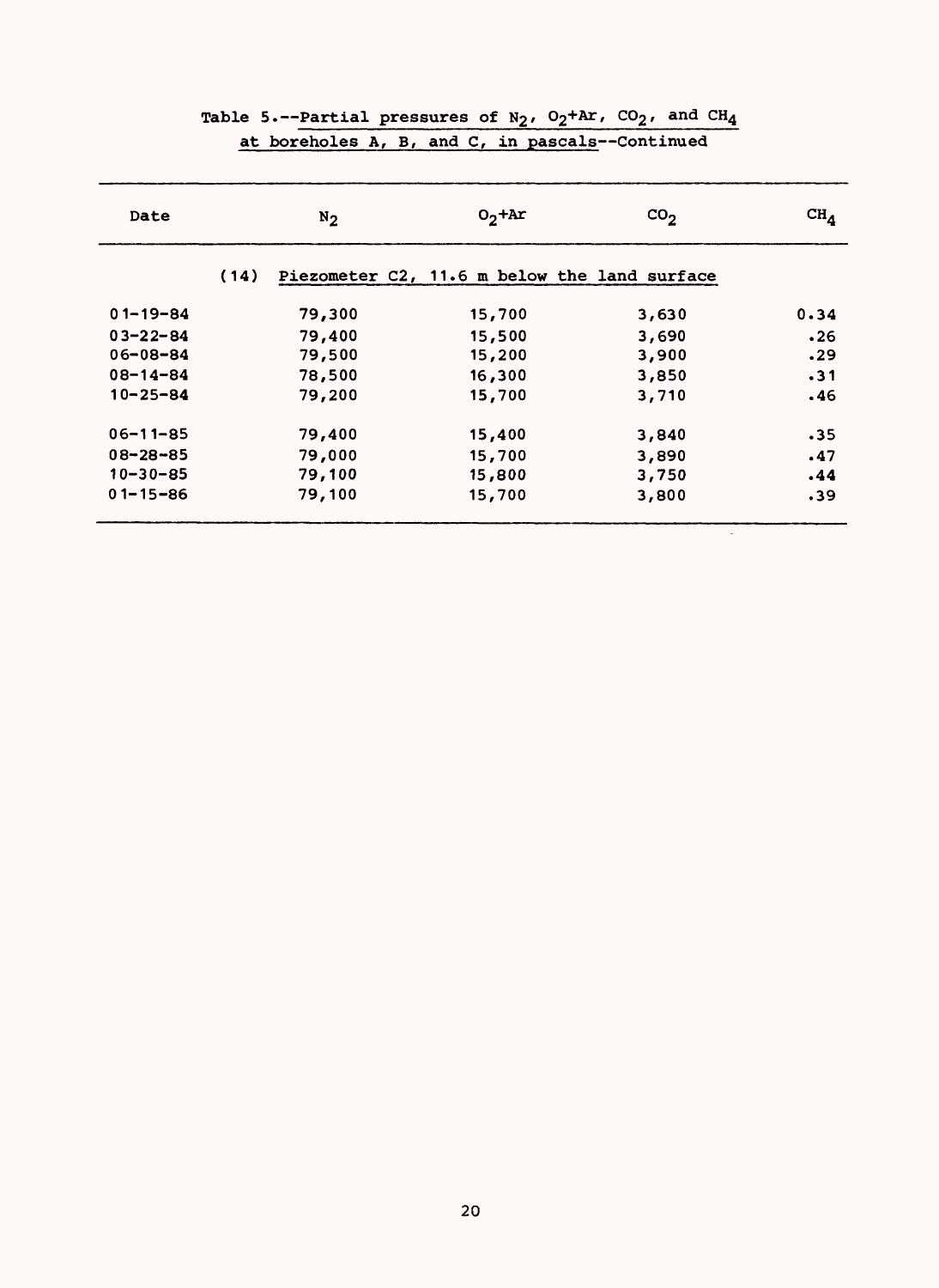| Date           |      | $N_2$  | $02+Ar$ | CO <sub>2</sub>                              | $CH_{\Lambda}$ |
|----------------|------|--------|---------|----------------------------------------------|----------------|
|                | (14) |        |         | Piezometer C2, 11.6 m below the land surface |                |
| $01 - 19 - 84$ |      | 79,300 | 15,700  | 3,630                                        | 0.34           |
| $03 - 22 - 84$ |      | 79,400 | 15,500  | 3,690                                        | .26            |
| $06 - 08 - 84$ |      | 79,500 | 15,200  | 3,900                                        | .29            |
| $08 - 14 - 84$ |      | 78,500 | 16,300  | 3,850                                        | $-31$          |
| $10 - 25 - 84$ |      | 79,200 | 15,700  | 3,710                                        | .46            |
| $06 - 11 - 85$ |      | 79,400 | 15,400  | 3,840                                        | .35            |
| $08 - 28 - 85$ |      | 79,000 | 15,700  | 3,890                                        | .47            |
| $10 - 30 - 85$ |      | 79,100 | 15,800  | 3,750                                        | .44            |
| $01 - 15 - 86$ |      | 79,100 | 15,700  | 3,800                                        | .39            |
|                |      |        |         |                                              |                |

# Table 5.--Partial pressures of N<sub>2</sub>,  $O_2$ +Ar,  $CO_2$ , and  $CH_4$ at boreholes A, B, and C, in pascals -- Continued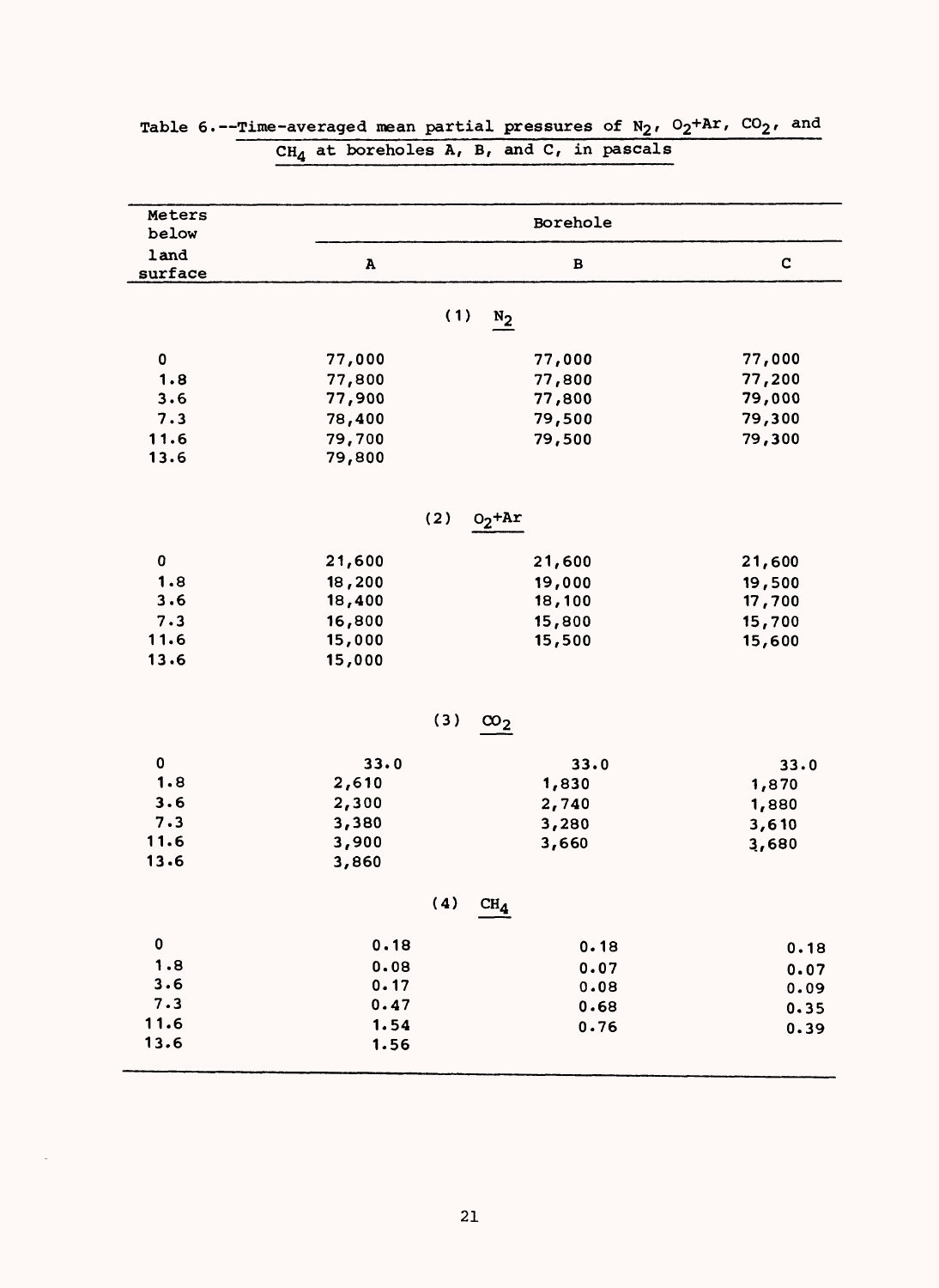| Meters<br>below | Borehole     |              |             |  |  |  |
|-----------------|--------------|--------------|-------------|--|--|--|
| land<br>surface | $\, {\bf A}$ | $\, {\bf B}$ | $\mathbf C$ |  |  |  |
|                 |              |              |             |  |  |  |
|                 | (1)          | $N_2$        |             |  |  |  |
| 0               | 77,000       | 77,000       | 77,000      |  |  |  |
| 1.8             | 77,800       | 77,800       | 77,200      |  |  |  |
| 3.6             | 77,900       | 77,800       | 79,000      |  |  |  |
| 7.3             | 78,400       | 79,500       | 79,300      |  |  |  |
| 11.6            | 79,700       | 79,500       | 79,300      |  |  |  |
| 13.6            | 79,800       |              |             |  |  |  |
|                 | (2)          | $O_2$ + $Ar$ |             |  |  |  |
|                 |              |              |             |  |  |  |
| $\pmb{0}$       | 21,600       | 21,600       | 21,600      |  |  |  |
| 1.8             | 18,200       | 19,000       | 19,500      |  |  |  |
| 3.6             | 18,400       | 18,100       | 17,700      |  |  |  |
| 7.3             | 16,800       | 15,800       | 15,700      |  |  |  |
| 11.6            | 15,000       | 15,500       | 15,600      |  |  |  |
| 13.6            | 15,000       |              |             |  |  |  |
|                 | (3)          | $\infty_2$   |             |  |  |  |
|                 |              |              |             |  |  |  |
| 0               | 33.0         | 33.0         | 33.0        |  |  |  |
| 1.8             | 2,610        | 1,830        | 1,870       |  |  |  |
| 3.6             | 2,300        | 2,740        | 1,880       |  |  |  |
| 7.3             | 3,380        | 3,280        | 3,610       |  |  |  |
| 11.6            | 3,900        | 3,660        | 3,680       |  |  |  |
| 13.6            | 3,860        |              |             |  |  |  |
|                 | (4)          | $\rm CH_{4}$ |             |  |  |  |
| $\pmb{0}$       | 0.18         | 0.18         | 0.18        |  |  |  |
| 1.8             | 0.08         | 0.07         | 0.07        |  |  |  |
| 3.6             | 0.17         | 0.08         | 0.09        |  |  |  |
| 7.3             | 0.47         | 0.68         | 0.35        |  |  |  |
| 11.6            | 1.54         | 0.76         | 0.39        |  |  |  |
| 13.6            | 1.56         |              |             |  |  |  |

### Table 6.--Time-averaged mean partial pressures of  $N_2$ ,  $O_2+Ar$ ,  $CO_2$ , and  $\mathtt{CH}_{4}$  at boreholes A, B, and C, in pascals

 $\bar{\gamma}$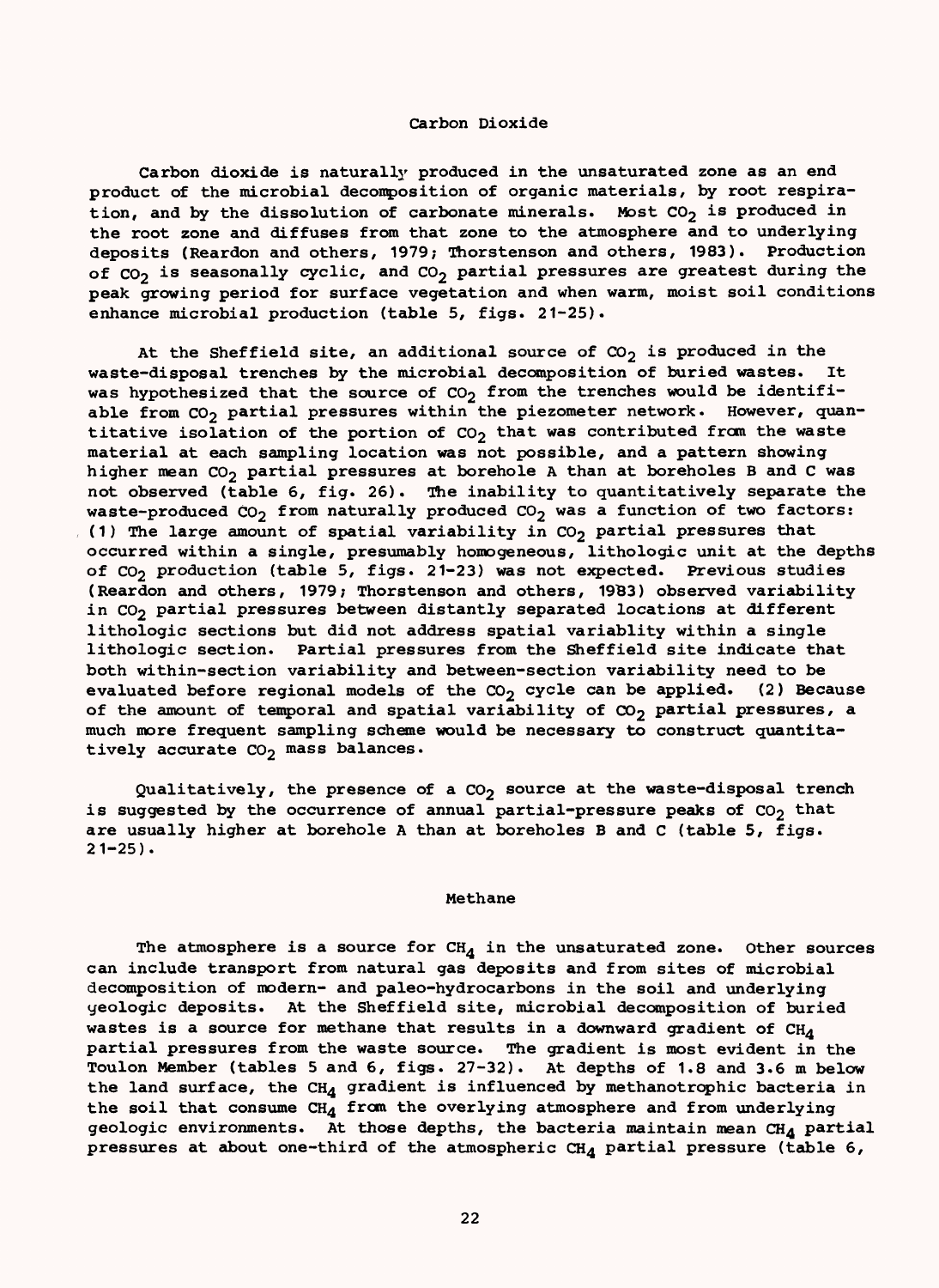### Carbon Dioxide

Carbon dioxide is naturally produced in the unsaturated zone as an end product of the microbial decomposition of organic materials, by root respiration, and by the dissolution of carbonate minerals. Most  $CO<sub>2</sub>$  is produced in the root zone and diffuses from that zone to the atmosphere and to underlying deposits (Reardon and others, 1979; Thorstenson and others, 1983). Production of  $CO<sub>2</sub>$  is seasonally cyclic, and  $CO<sub>2</sub>$  partial pressures are greatest during the peak growing period for surface vegetation and when warm, moist soil conditions enhance microbial production (table 5, figs. 21-25).

At the Sheffield site, an additional source of  $CO_2$  is produced in the waste-disposal trenches by the microbial decomposition of buried wastes. It was hypothesized that the source of  $CO<sub>2</sub>$  from the trenches would be identifiable from  $CO_2$  partial pressures within the piezometer network. However, quantitative isolation of the portion of  $CO<sub>2</sub>$  that was contributed from the waste material at each sampling location was not possible, and a pattern showing higher mean  $CO_2$  partial pressures at borehole A than at boreholes B and C was not observed (table 6, fig. 26). The inability to quantitatively separate the waste-produced  $CO_2$  from naturally produced  $CO_2$  was a function of two factors: (1) The large amount of spatial variability in  $CO<sub>2</sub>$  partial pressures that occurred within a single, presumably homogeneous, lithologic unit at the depths of  $CO<sub>2</sub>$  production (table 5, figs. 21-23) was not expected. Previous studies (Reardon and others, 1979; Thorstenson and others, 19B3) observed variability in CO<sub>2</sub> partial pressures between distantly separated locations at different lithologic sections but did not address spatial variablity within a single lithologic section. Partial pressures from the Sheffield site indicate that both within-section variability and between-section variability need to be evaluated before regional models of the  $CO_2$  cycle can be applied. (2) Because of the amount of temporal and spatial variability of  $\infty$ <sub>2</sub> partial pressures, a much more frequent sampling scheme would be necessary to construct quantitatively accurate  $CO<sub>2</sub>$  mass balances.

Qualitatively, the presence of a  $CO<sub>2</sub>$  source at the waste-disposal trench is suggested by the occurrence of annual partial-pressure peaks of  $CO<sub>2</sub>$  that are usually higher at borehole A than at boreholes B and C (table 5, figs.  $21 - 25$ ).

#### Methane

The atmosphere is a source for  $CH_A$  in the unsaturated zone. Other sources can include transport from natural gas deposits and from sites of microbial decomposition of modern- and paleo-hydrocarbons in the soil and underlying yeologic deposits. At the Sheffield site, microbial decomposition of buried wastes is a source for methane that results in a downward gradient of  $CH_A$ partial pressures from the waste source. The gradient is most evident in the Toulon Member (tables 5 and 6, figs. 27-32). At depths of 1.8 and 3.6 m below the land surface, the CH<sub>4</sub> gradient is influenced by methanotrophic bacteria in the soil that consume  $CH_4$  from the overlying atmosphere and from underlying geologic environments. At those depths, the bacteria maintain mean  $CH_A$  partial pressures at about one-third of the atmospheric  $CH_4$  partial pressure (table 6,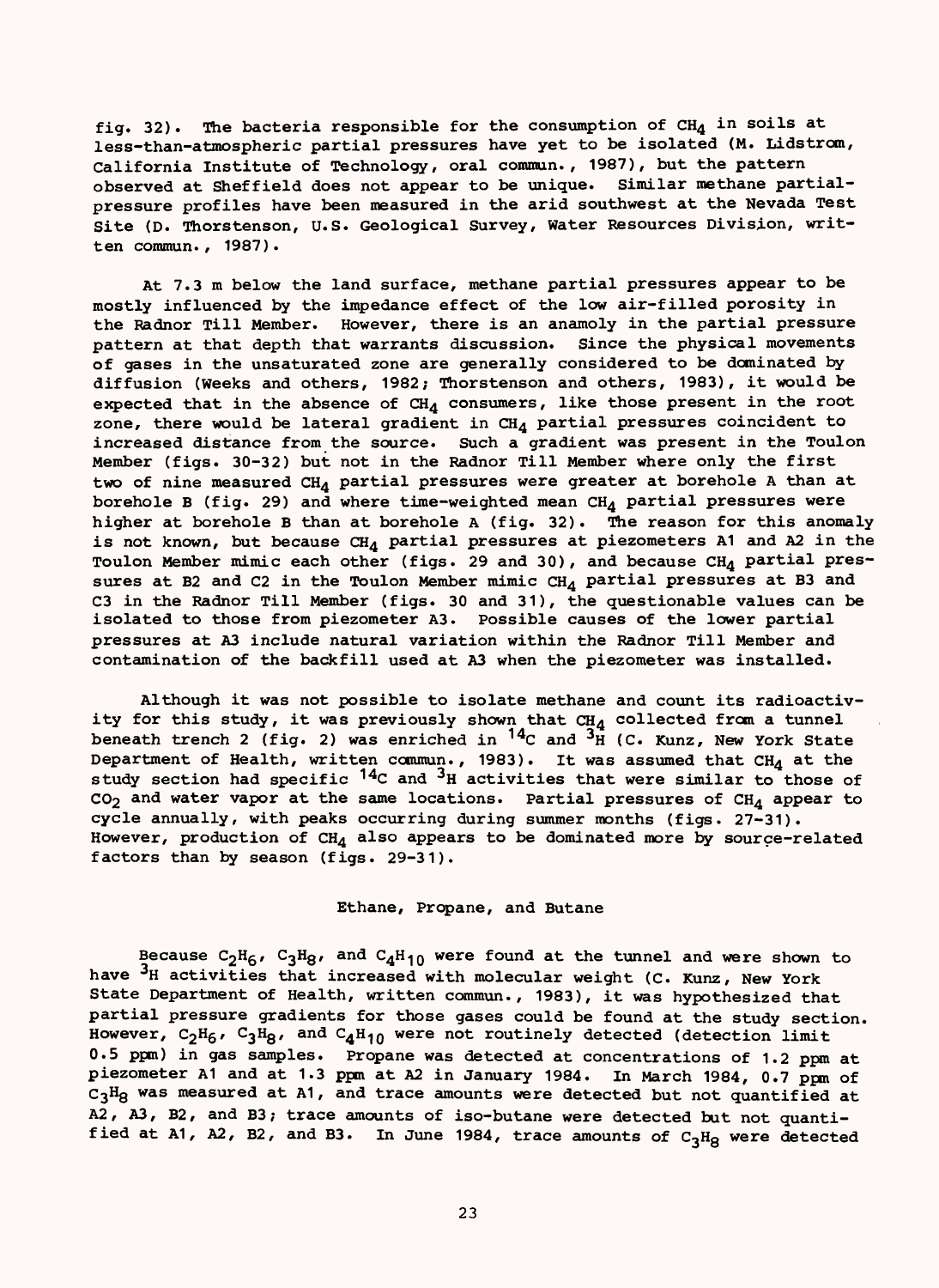fig. 32). The bacteria responsible for the consumption of  $CH_4$  in soils at less-than-atmospheric partial pressures have yet to be isolated (M. Lidstrom, California Institute of Technology, oral commun., 1987), but the pattern observed at Sheffield does not appear to be unique. Similar methane partialpressure profiles have been measured in the arid southwest at the Nevada Test Site (D. Thorstenson, U.S. Geological Survey, Water Resources Division, written commun., 1987).

At 7.3 m below the land surface, methane partial pressures appear to be mostly influenced by the impedance effect of the low air-filled porosity in the Radnor Till Member. However, there is an anamoly in the partial pressure pattern at that depth that warrants discussion. Since the physical movements of gases in the unsaturated zone are generally considered to be dominated by diffusion (Weeks and others, 1982; Thorstenson and others, 1983), it would be expected that in the absence of  $CH_4$  consumers, like those present in the root zone, there would be lateral gradient in  $CH<sub>4</sub>$  partial pressures coincident to increased distance from the source. Such a gradient was present in the Toulon Member (figs. 30-32) but not in the Radnor Till Member where only the first two of nine measured  $CH_4$  partial pressures were greater at borehole A than at borehole B (fig. 29) and where time-weighted mean  $CH_4$  partial pressures were higher at borehole B than at borehole A (fig. 32). The reason for this anomaly is not known, but because  $CH_4$  partial pressures at piezometers A1 and A2 in the Toulon Member mimic each other (figs. 29 and 30), and because  $CH_A$  partial pressures at B2 and C2 in the Toulon Member mimic  $CH_4$  partial pressures at B3 and C3 in the Radnor Till Member (figs. 30 and 31), the questionable values can be isolated to those from piezometer A3. Possible causes of the lower partial pressures at A3 include natural variation within the Radnor Till Member and contamination of the backfill used at A3 when the piezometer was installed.

Although it was not possible to isolate methane and count its radioactivity for this study, it was previously shown that  $CH_A$  collected from a tunnel beneath trench 2 (fig. 2) was enriched in  $^{14}$ C and  $^{3}$ H (C. Kunz, New York State Department of Health, written commun., 1983). It was assumed that  $CH<sub>A</sub>$  at the study section had specific  $14C$  and  $3H$  activities that were similar to those of  $CO<sub>2</sub>$  and water vapor at the same locations. Partial pressures of  $CH<sub>4</sub>$  appear to cycle annually, with peaks occurring during summer months (figs. 27-31). However, production of  $CH<sub>A</sub>$  also appears to be dominated more by source-related factors than by season (figs. 29-31).

### Ethane, Propane, and Butane

Because  $C_2H_6$ ,  $C_3H_8$ , and  $C_4H_{10}$  were found at the tunnel and were shown to have <sup>3</sup>H activities that increased with molecular weight (C. Kunz, New York State Department of Health, written commun., 1983), it was hypothesized that partial pressure gradients for those gases could be found at the study section. However,  $C_2H_6$ ,  $C_3H_8$ , and  $C_4H_{10}$  were not routinely detected (detection limit 0.5 ppm) in gas samples. Propane was detected at concentrations of 1.2 ppm at piezometer A1 and at 1.3 ppm at A2 in January 1984. In March 1984, 0.7 ppm of  $C_3H_8$  was measured at A1, and trace amounts were detected but not quantified at A2, A3, B2, and B3; trace amounts of iso-butane were detected but not quantified at A1, A2, B2, and B3. In June 1984, trace amounts of  $C_3H_8$  were detected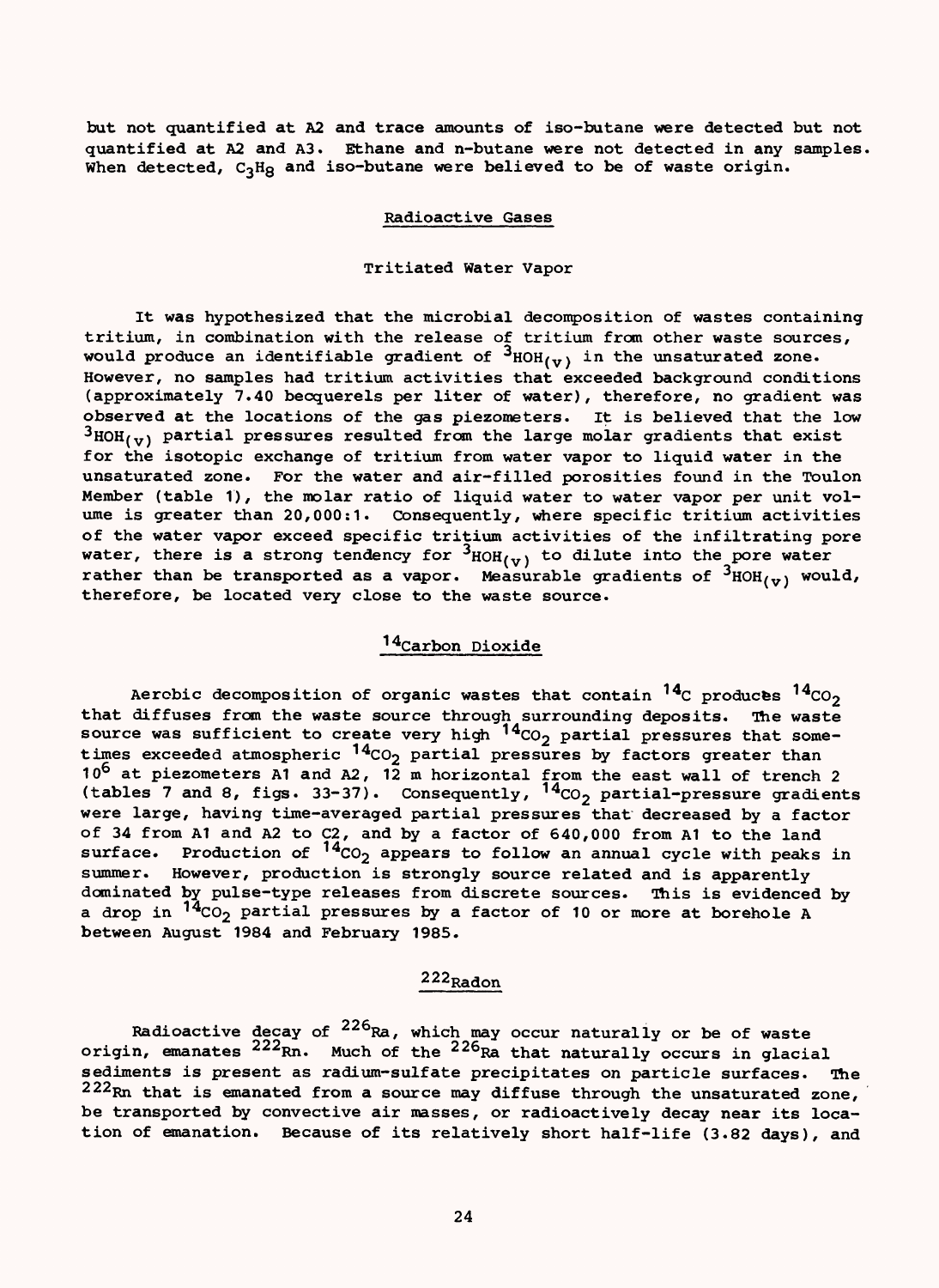but not quantified at A2 and trace amounts of iso-butane were detected but not quantified at A2 and A3. Ethane and n-butane were not detected in any samples. When detected,  $C_3Hg$  and iso-butane were believed to be of waste origin.

### Radioactive Gases

### Tritiated Water Vapor

It was hypothesized that the microbial decomposition of wastes containing tritium, in combination with the release of tritium from other waste sources, would produce an identifiable gradient of  $3_{\text{HOH}_{(V)}}$  in the unsaturated zone. However, no samples had tritium activities that exceeded background conditions (approximately 7.40 becquerels per liter of water), therefore, no gradient was observed at the locations of the gas piezometers. It is believed that the low  ${}^{3}$ HOH<sub>(v)</sub> partial pressures resulted from the large molar gradients that exist for the isotopic exchange of tritium from water vapor to liquid water in the unsaturated zone. For the water and air-filled porosities found in the Toulon Member (table 1), the molar ratio of liquid water to water vapor per unit volume is greater than 20,000:1. Consequently, where specific tritium activities of the water vapor exceed specific tritium activities of the infiltrating pore water, there is a strong tendency for  $^3$ HOH $_{(y)}$  to dilute into the pore water rather than be transported as a vapor. Measurable gradients of  $^3$ HOH $_{(\sigma)}$  would, therefore, be located very close to the waste source.

### 14Carbon Dioxide

Aerobic decomposition of organic wastes that contain  $^{14}$ C produces  $^{14}$ CO<sub>2</sub> that diffuses from the waste source through surrounding deposits. The waste source was sufficient to create very high  $^{14}$ CO<sub>2</sub> partial pressures that sometimes exceeded atmospheric  $\rm ^{14}CO_{2}$  partial pressures by factors greater than 10<sup>6</sup> at piezometers A1 and A2, 12 m horizontal from the east wall of trench 2 (tables 7 and 8, figs. 33-37). Consequently,  $^{14}$ CO<sub>2</sub> partial-pressure gradients were large, having time-averaged partial pressures that decreased by a factor of 34 from A1 and A2 to C2, and by a factor of 640,000 from A1 to the land surface. Production of  $14<sub>CO<sub>2</sub></sub>$  appears to follow an annual cycle with peaks in summer. However, production is strongly source related and is apparently dominated by pulse-type releases from discrete sources. This is evidenced by a drop in <sup>14</sup>CO<sub>2</sub> partial pressures by a factor of 10 or more at borehole A between August 1984 and February 1985.

### 222Radon

Radioactive decay of <sup>226</sup>Ra, which may occur naturally or be of waste origin, emanates <sup>222</sup>Rn. Much of the <sup>226</sup>Ra that naturally occurs in glacial sediments is present as radium-sulfate precipitates on particle surfaces. The 222Rn that is emanated from a source may diffuse through the unsaturated zone, be transported by convective air masses, or radioactively decay near its location of emanation. Because of its relatively short half-life (3.82 days), and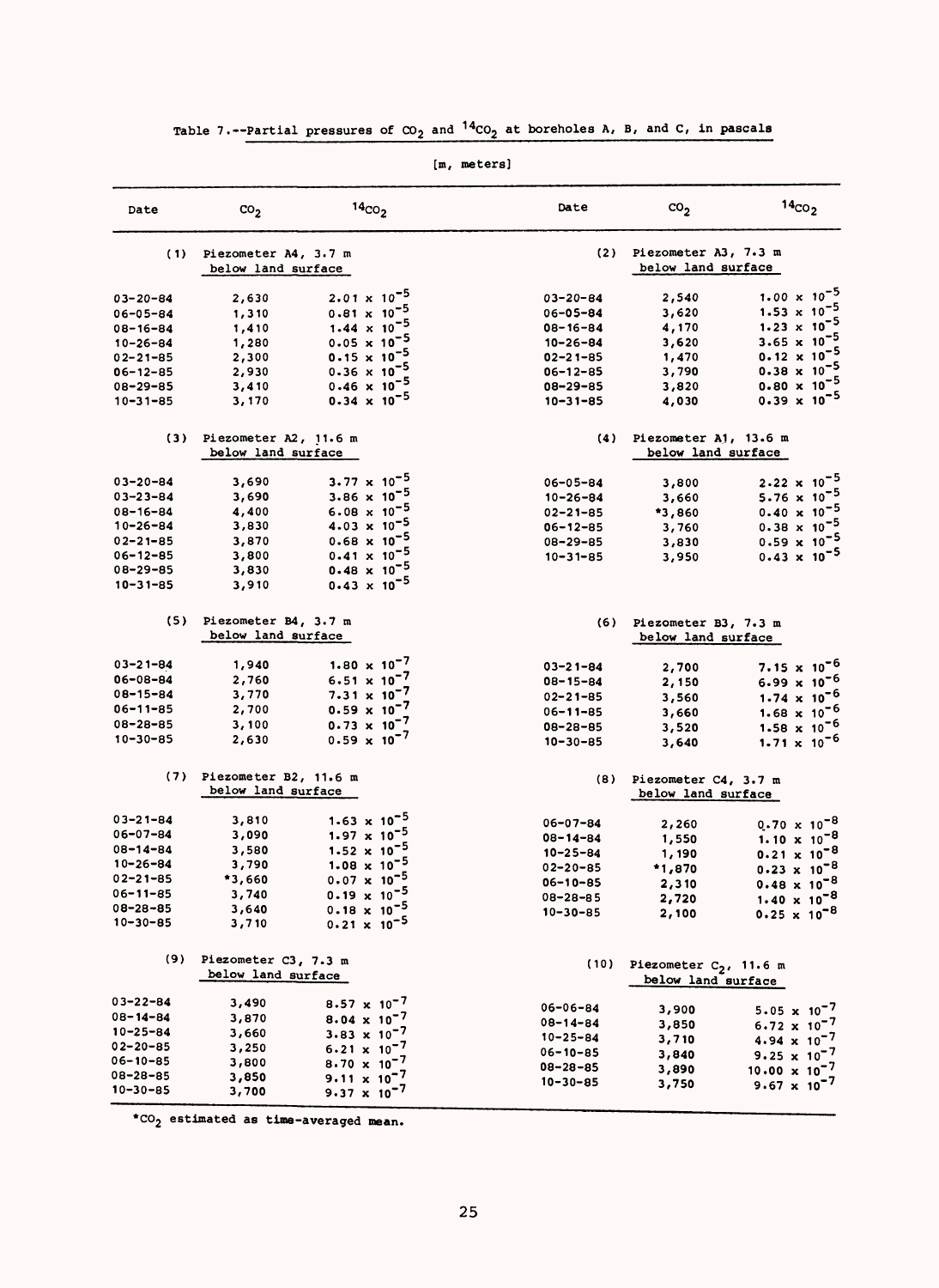| Date           | $\text{co}_2$         | 14 <sub>CO<sub>2</sub></sub>   | Date           | $\text{co}_2$             | $14_{CO2}$                     |
|----------------|-----------------------|--------------------------------|----------------|---------------------------|--------------------------------|
| (1)            | Piezometer A4, 3.7 m  |                                | (2)            | Piezometer A3, 7.3 m      |                                |
|                | below land surface    |                                |                | below land surface        |                                |
| 03-20-84       | 2,630                 | $2.01 \times 10^{-5}$          | $03 - 20 - 84$ | 2,540                     | 1.00 $\times$ 10 <sup>-5</sup> |
| 06-05-84       | 1,310                 | $0.81 \times 10^{-5}$          | 06-05-84       | 3,620                     | $1.53 \times 10^{-5}$          |
| 08-16-84       | 1,410                 | 1.44 $\times$ 10 <sup>-5</sup> | $08 - 16 - 84$ | 4,170                     | $1.23 \times 10^{7}$           |
| $10 - 26 - 84$ | 1,280                 | $0.05 \times 10^{-5}$          | $10 - 26 - 84$ | 3,620                     | $3.65 \times 10^{7}$           |
| 02-21-85       | 2,300                 | $0.15 \times 10^{-5}$          | $02 - 21 - 85$ | 1,470                     | $0.12 \times 10$               |
| 06-12-85       | 2,930                 | $0.36 \times 10^{-5}$          | $06 - 12 - 85$ | 3,790                     | $0.38 \times 10$               |
| 08-29-85       | 3,410                 | $0.46 \times 10^{-5}$          | $08 - 29 - 85$ | 3,820                     | $0.80 \times 10$               |
| 10-31-85       | 3,170                 | $0.34 \times 10^{-5}$          | $10 - 31 - 85$ | 4,030                     | $0.39 \times 10^{-5}$          |
| (3)            | Piezometer A2, 11.6 m |                                | (4)            | Piezometer A1, 13.6 m     |                                |
|                | below land surface    |                                |                | below land surface        |                                |
| 03-20-84       | 3,690                 | 3.77 $\times$ 10 <sup>-5</sup> | $06 - 05 - 84$ | 3,800                     | $2.22 \times 10^{-5}$          |
| 03-23-84       | 3,690                 | 3.86 $\times$ 10 <sup>-5</sup> | $10 - 26 - 84$ | 3,660                     | 5.76 $\times 10^{-5}$          |
| $08 - 16 - 84$ | 4,400                 | $6.08 \times 10^{-5}$          | $02 - 21 - 85$ | *3,860                    | $0.40 \times 10$               |
| 10-26-84       | 3,830                 | $4.03 \times 10^{-5}$          | $06 - 12 - 85$ | 3,760                     | $0.38 \times 10^{-5}$          |
| $02 - 21 - 85$ | 3,870                 | $0.68 \times 10^{-5}$          | 08-29-85       | 3,830                     | $0.59 \times 10^{-5}$          |
| $06 - 12 - 85$ | 3,800                 | $0.41 \times 10^{-5}$          | $10 - 31 - 85$ | 3,950                     | $0.43 \times 10^{-5}$          |
| 08-29-85       | 3,830                 | $0.48 \times 10^{-5}$          |                |                           |                                |
| $10 - 31 - 85$ | 3,910                 | $0.43 \times 10^{-5}$          |                |                           |                                |
| (5)            | Piezometer B4, 3.7 m  |                                | (6)            | Piezometer B3, 7.3 m      |                                |
|                | below land surface    |                                |                | below land surface        |                                |
| 03-21-84       | 1,940                 | 1.80 $\times 10^{-7}$          | $03 - 21 - 84$ | 2,700                     | $7.15 \times 10^{-6}$          |
| 06-08-84       | 2,760                 | $6.51 \times 10^{-7}$          | $08 - 15 - 84$ | 2,150                     | $6.99 \times 10^{-6}$          |
| 08-15-84       | 3,770                 | $7.31 \times 10^{-7}$          | $02 - 21 - 85$ | 3,560                     | $1.74 \times 10^{-6}$          |
| 06-11-85       | 2,700                 | $0.59 \times 10^{-7}$          | $06 - 11 - 85$ | 3,660                     | $1.68 \times 10^{-6}$          |
| $08 - 28 - 85$ | 3,100                 | $0.73 \times 10^{-7}$          | $08 - 28 - 85$ | 3,520                     | $1.58 \times 10^{-6}$          |
| $10 - 30 - 85$ | 2,630                 | $0.59 \times 10^{-7}$          | $10 - 30 - 85$ | 3,640                     | $1.71 \times 10^{-6}$          |
| (7)            | Piezometer B2, 11.6 m |                                | (8)            | Piezometer C4, 3.7 m      |                                |
|                | below land surface    |                                |                | below land surface        |                                |
| 03-21-84       | 3,810                 | 1.63 $\times$ 10 <sup>-5</sup> | 06-07-84       | 2,260                     | $0.70 \times 10^{-8}$          |
| 06-07-84       | 3,090                 | $1.97 \times 10^{-5}$          | 08-14-84       | 1,550                     | 1.10 $\times$ 10 <sup>-8</sup> |
| 08-14-84       | 3,580                 | $1.52 \times 10^{-5}$          | $10 - 25 - 84$ | 1,190                     | $0.21 \times 10^{-8}$          |
| 10-26-84       | 3,790                 | 1.08 $\times$ 10 <sup>-5</sup> | $02 - 20 - 85$ | *1,870                    | $0.23 \times 10^{-8}$          |
| 02-21-85       | *3,660                | $0.07 \times 10^{-5}$          | $06 - 10 - 85$ | 2,310                     | $0.48 \times 10^{-8}$          |
| 06-11-85       | 3,740                 | $0.19 \times 10^{-5}$          | 08-28-85       | 2,720                     | $1.40 \times 10^{-8}$          |
| 08-28-85       | 3,640                 | $0.18 \times 10^{-5}$          | $10 - 30 - 85$ | 2,100                     | $0.25 \times 10^{-8}$          |
| $10 - 30 - 85$ | 3,710                 | $0.21 \times 10^{-5}$          |                |                           |                                |
| (9)            | Piezometer C3, 7.3 m  |                                | (10)           | Piezometer $C_2$ , 11.6 m |                                |
|                | below land surface    |                                |                | below land surface        |                                |
| 03-22-84       | 3,490                 | $8.57 \times 10^{-7}$          | 06-06-84       | 3,900                     | 5.05 $\times$ 10 <sup>-7</sup> |
| 08-14-84       | 3,870                 | $8.04 \times 10^{-7}$          | 08-14-84       | 3,850                     | 6.72 $\times 10^{-7}$          |
| $10 - 25 - 84$ | 3,660                 | 3.83 $\times 10^{-7}$          | $10 - 25 - 84$ | 3,710                     | $4.94 \times 10^{-7}$          |
| $02 - 20 - 85$ | 3,250                 | $6.21 \times 10^{-7}$          | $06 - 10 - 85$ | 3,840                     | 9.25 $\times 10^{-7}$          |
| 06-10-85       | 3,800                 | $8.70 \times 10^{-7}$          | $08 - 28 - 85$ | 3,890                     | $10.00 \times 10^{-7}$         |
| 08-28-85       | 3,850                 | $9.11 \times 10^{-7}$          | $10 - 30 - 85$ | 3,750                     | 9.67 $\times 10^{-7}$          |
| $10 - 30 - 85$ | 3,700                 | 9.37 $\times 10^{-7}$          |                |                           |                                |

# Table 7.--Partial pressures of  $\infty_2$  and <sup>14</sup>CO<sub>2</sub> at boreholes A, B, and C, in pascals

[m, meters]

\*C02 **estimated as time-averaged mean**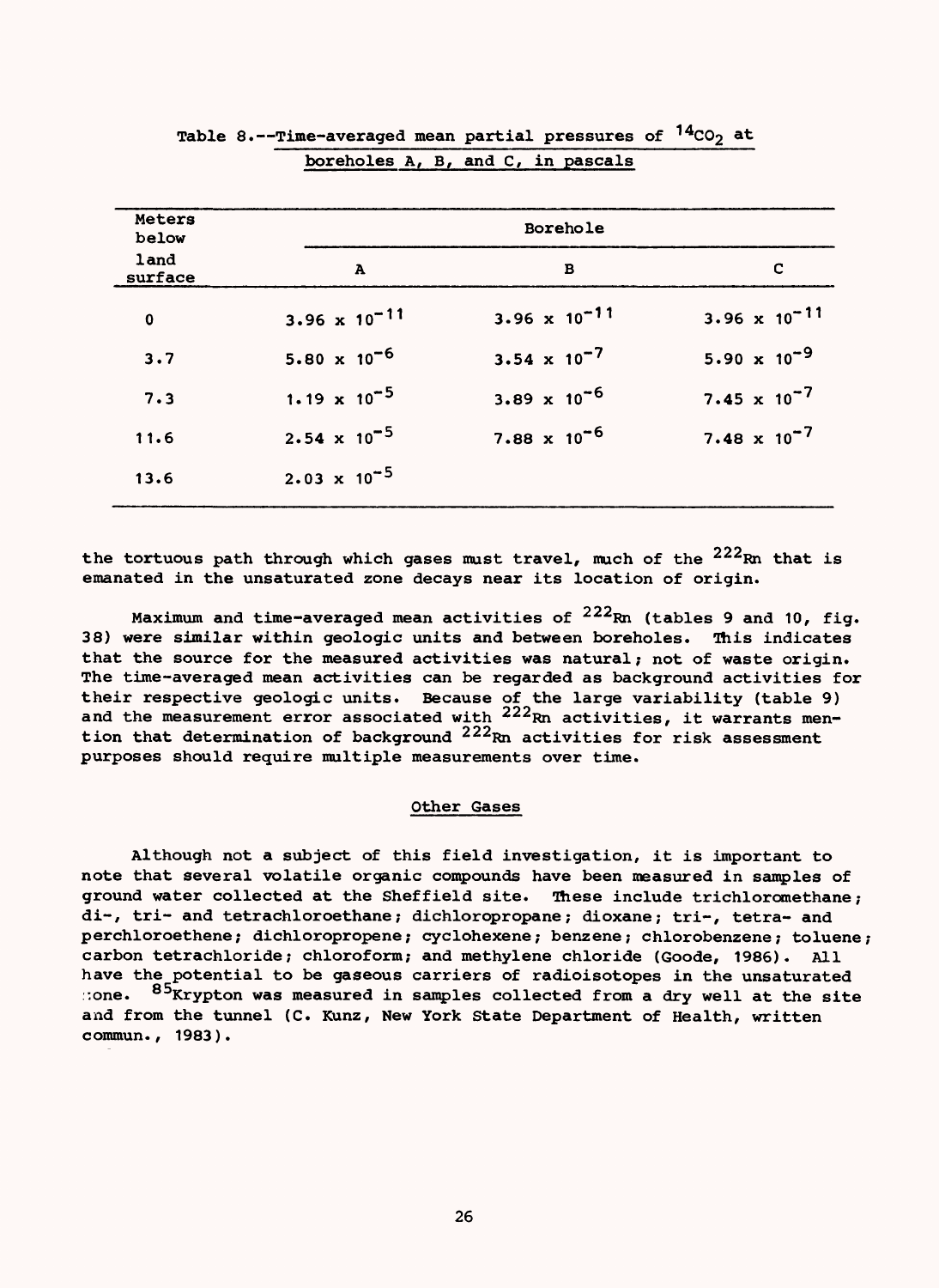|                 | Table 8.--Time-averaged mean partial pressures of $14CO2$ at | boreholes A, B, and C, in pascals |                        |
|-----------------|--------------------------------------------------------------|-----------------------------------|------------------------|
| Meters<br>below |                                                              | Borehole                          |                        |
| land<br>surface | A                                                            | в                                 | C                      |
| $\mathbf 0$     | $3.96 \times 10^{-11}$                                       | 3.96 $\times$ 10 <sup>-11</sup>   | 3.96 $\times 10^{-11}$ |
| 3.7             | $5.80 \times 10^{-6}$                                        | 3.54 $\times$ 10 <sup>-7</sup>    | 5.90 $\times 10^{-9}$  |
| 7.3             | 1.19 $\times$ 10 <sup>-5</sup>                               | $3.89 \times 10^{-6}$             | 7.45 $\times 10^{-7}$  |
| 11.6            | $2.54 \times 10^{-5}$                                        | $7.88 \times 10^{-6}$             | $7.48 \times 10^{-7}$  |
| 13.6            | $2.03 \times 10^{-5}$                                        |                                   |                        |

| Table 8.--Time-averaged mean partial pressures of <sup>14</sup> CO <sub>2</sub> at |  |  |  |
|------------------------------------------------------------------------------------|--|--|--|
| boreholes A, B, and C, in pascals                                                  |  |  |  |

the tortuous path through which gases must travel, much of the <sup>222</sup>Rn that is emanated in the unsaturated zone decays near its location of origin.

Maximum and time-averaged mean activities of  $222Rm$  (tables 9 and 10, fig. 38) were similar within geologic units and between boreholes. This indicates that the source for the measured activities was natural; not of waste origin. The time-averaged mean activities can be regarded as background activities for their respective geologic units. Because of the large variability (table 9) and the measurement error associated with <sup>222</sup>Rn activities, it warrants mention that determination of background  $222_{\rm Rn}$  activities for risk assessment purposes should require multiple measurements over time.

### Other Gases

Although not a subject of this field investigation, it is important to note that several volatile organic compounds have been measured in samples of ground water collected at the Sheffield site. These include trichloromethane; di-, tri- and tetrachloroethane; dichloropropane; dioxane; tri-, tetra- and perchloroethene; dichloropropene; cyclohexene; benzene; chlorobenzene; toluene; carbon tetrachloride; chloroform; and methylene chloride (Goode, 1986). All have the potential to be gaseous carriers of radioisotopes in the unsaturated :one. <sup>85</sup>Krypton was measured in samples collected from a dry well at the site and from the tunnel (C. Kunz, New York State Department of Health, written commun., 1983).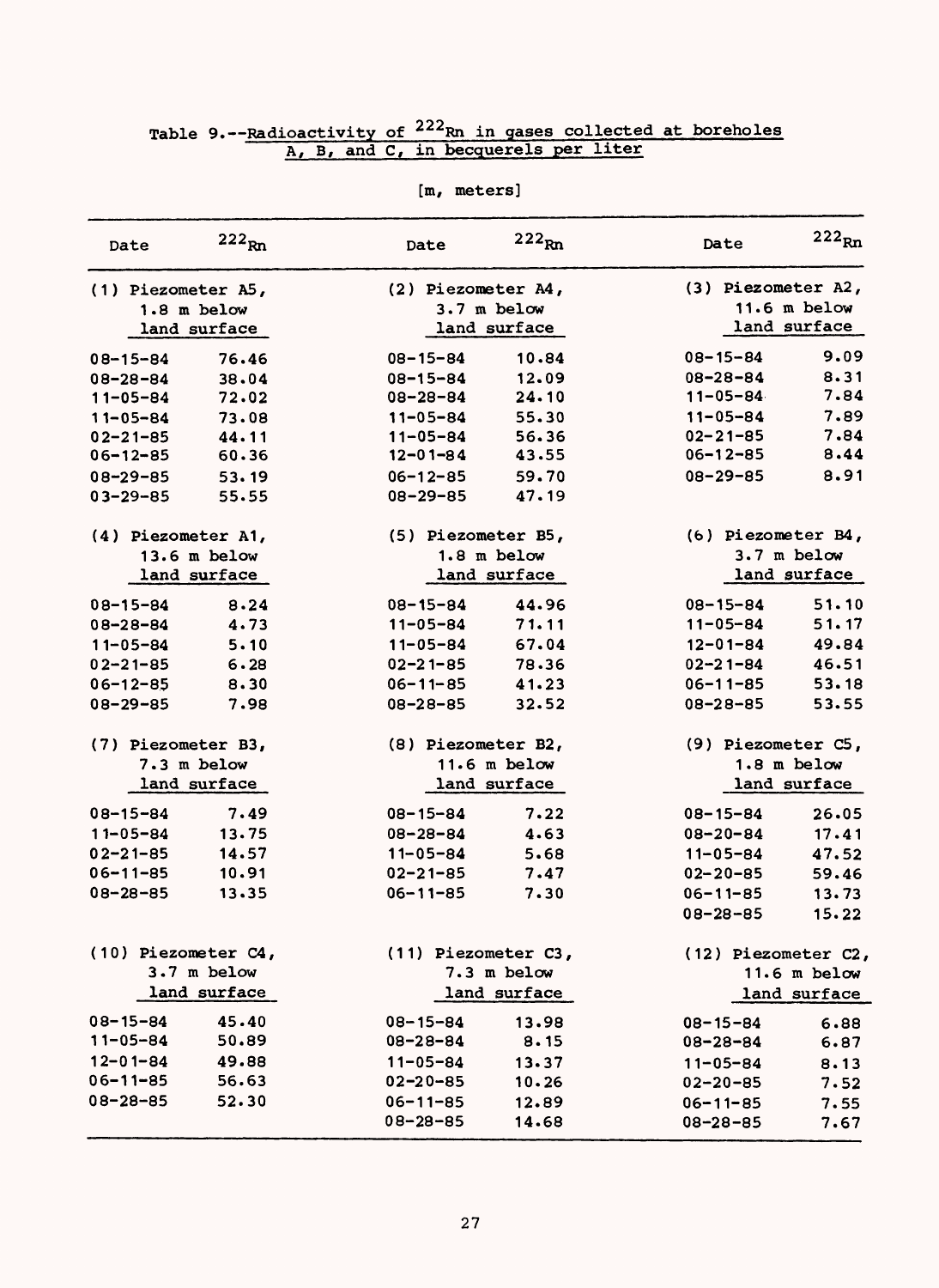| Date                | $222_{Rn}$     | Date                | $222_{Rn}$     | Date                | $222_{Rn}$     |
|---------------------|----------------|---------------------|----------------|---------------------|----------------|
| (1) Piezometer A5,  |                | (2) Piezometer A4,  |                | (3) Piezometer A2,  |                |
|                     | $1.8$ m below  |                     | $3.7m$ below   |                     | $11.6$ m below |
|                     | land surface   |                     | land surface   |                     | land surface   |
| $08 - 15 - 84$      | 76.46          | $08 - 15 - 84$      | 10.84          | 08-15-84            | 9.09           |
| $08 - 28 - 84$      | 38.04          | $08 - 15 - 84$      | 12.09          | $08 - 28 - 84$      | 8.31           |
| $11 - 05 - 84$      | 72.02          | $08 - 28 - 84$      | 24.10          | $11 - 05 - 84$      | 7.84           |
| $11 - 05 - 84$      | 73.08          | $11 - 05 - 84$      | 55.30          | $11 - 05 - 84$      | 7.89           |
| $02 - 21 - 85$      | 44.11          | $11 - 05 - 84$      | 56.36          | $02 - 21 - 85$      | 7.84           |
| $06 - 12 - 85$      | 60.36          | $12 - 01 - 84$      | 43.55          | $06 - 12 - 85$      | 8.44           |
| $08 - 29 - 85$      | 53.19          | $06 - 12 - 85$      | 59.70          | $08 - 29 - 85$      | 8.91           |
| $03 - 29 - 85$      | 55.55          | $08 - 29 - 85$      | 47.19          |                     |                |
| (4) Piezometer A1,  |                | (5) Piezometer B5,  |                | (6) Piezometer B4,  |                |
|                     | $13.6$ m below |                     | $1.8$ m below  |                     | $3.7m$ below   |
|                     | land surface   |                     | land surface   |                     | land surface   |
| $08 - 15 - 84$      | 8.24           | $08 - 15 - 84$      | 44.96          | $08 - 15 - 84$      | 51.10          |
| $08 - 28 - 84$      | 4.73           | $11 - 05 - 84$      | 71.11          | $11 - 05 - 84$      | 51.17          |
| $11 - 05 - 84$      | 5.10           | $11 - 05 - 84$      | 67.04          | $12 - 01 - 84$      | 49.84          |
| $02 - 21 - 85$      | 6.28           | $02 - 21 - 85$      | 78.36          | $02 - 21 - 84$      | 46.51          |
| $06 - 12 - 85$      | 8.30           | $06 - 11 - 85$      | 41.23          | $06 - 11 - 85$      | 53.18          |
| $08 - 29 - 85$      | 7.98           | $08 - 28 - 85$      | 32.52          | $08 - 28 - 85$      | 53.55          |
| (7) Piezometer B3,  |                | (8) Piezometer B2,  |                | (9) Piezometer C5,  |                |
|                     | $7.3$ m below  |                     | $11.6$ m below |                     | $1.8$ m below  |
|                     | land surface   |                     | land surface   |                     | land surface   |
| $08 - 15 - 84$      | 7.49           | $08 - 15 - 84$      | 7.22           | $08 - 15 - 84$      | 26.05          |
| $11 - 05 - 84$      | 13.75          | $08 - 28 - 84$      | 4.63           | $08 - 20 - 84$      | 17.41          |
| $02 - 21 - 85$      | 14.57          | $11 - 05 - 84$      | 5.68           | $11 - 05 - 84$      | 47.52          |
| $06 - 11 - 85$      | 10.91          | $02 - 21 - 85$      | 7.47           | $02 - 20 - 85$      | 59.46          |
| $08 - 28 - 85$      | 13.35          | $06 - 11 - 85$      | 7.30           | $06 - 11 - 85$      | 13.73          |
|                     |                |                     |                | $08 - 28 - 85$      | 15.22          |
| (10) Piezometer C4, |                | (11) Piezometer C3, |                | (12) Piezometer C2, |                |
|                     | 3.7 m below    |                     | 7.3 m below    |                     | 11.6 $m$ below |
|                     | land surface   |                     | land surface   |                     | land surface   |
| $08 - 15 - 84$      | 45.40          | $08 - 15 - 84$      | 13.98          | $08 - 15 - 84$      | 6.88           |
| $11 - 05 - 84$      | 50.89          | $08 - 28 - 84$      | 8.15           | $08 - 28 - 84$      | 6.87           |
| $12 - 01 - 84$      | 49.88          | $11 - 05 - 84$      | 13.37          | $11 - 05 - 84$      | 8.13           |
| $06 - 11 - 85$      | 56.63          | $02 - 20 - 85$      | 10.26          | $02 - 20 - 85$      | 7.52           |
| $08 - 28 - 85$      | 52.30          | $06 - 11 - 85$      | 12.89          | $06 - 11 - 85$      | 7.55           |
|                     |                | $08 - 28 - 85$      | 14.68          | $08 - 28 - 85$      | 7.67           |

### Table 9.--Radioactivity of <sup>222</sup>Rn in gases collected at boreholes A, B, and C, in becquerels per liter

[m, meters]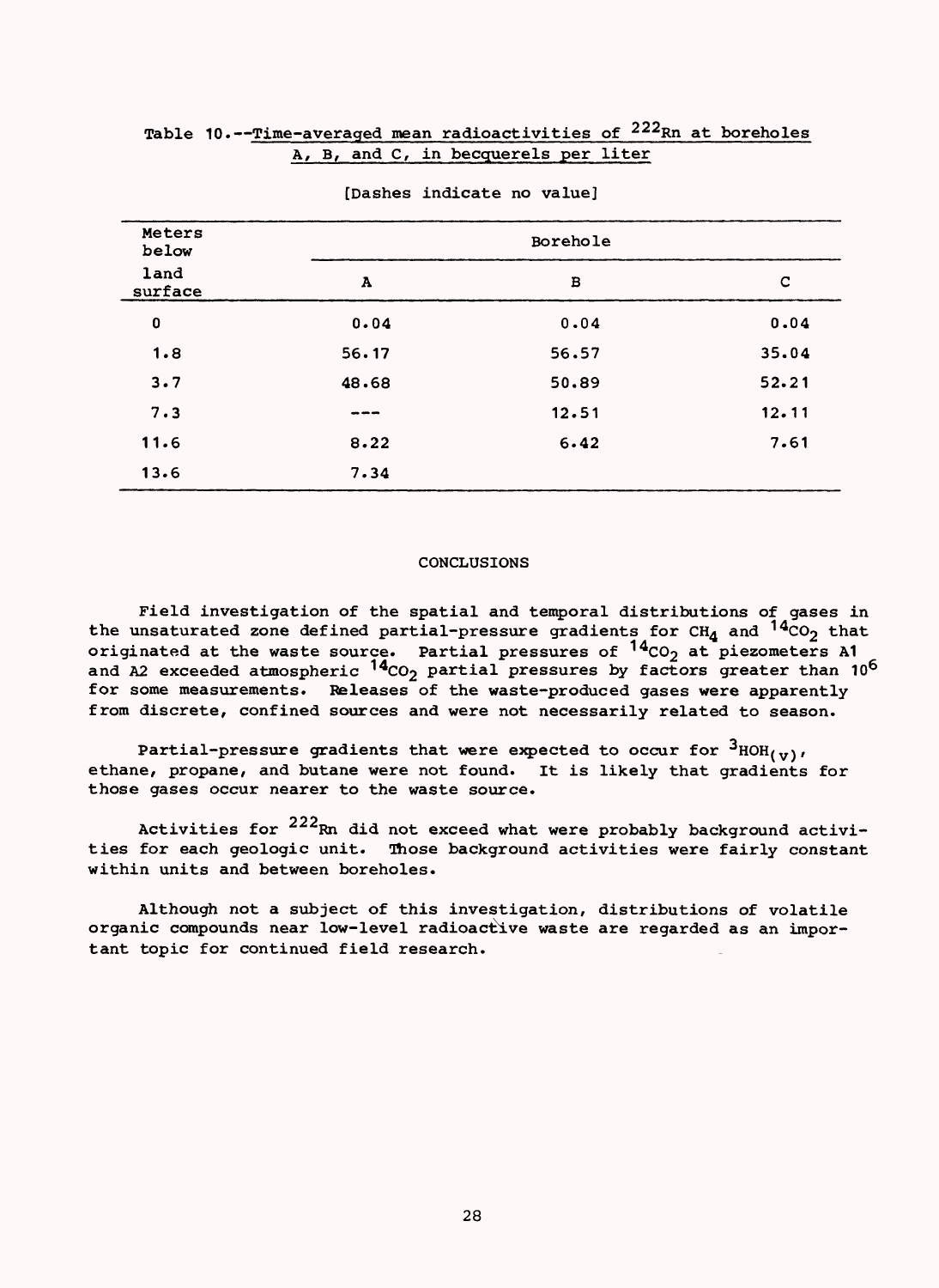### Table 10.--Time-averaged mean radioactivities of <sup>222</sup>Rn at boreholes A, B, and C, in becquerels per liter

| Meters<br>below |                        | Borehole |       |
|-----------------|------------------------|----------|-------|
| land<br>surface | $\boldsymbol{\Lambda}$ | в        | c     |
| $\mathbf 0$     | 0.04                   | 0.04     | 0.04  |
| 1.8             | 56.17                  | 56.57    | 35.04 |
| 3.7             | 48.68                  | 50.89    | 52.21 |
| 7.3             | ---                    | 12.51    | 12.11 |
| 11.6            | 8.22                   | 6.42     | 7.61  |
| 13.6            | 7.34                   |          |       |

#### [Dashes indicate no value]

### CONCLUSIONS

Field investigation of the spatial and temporal distributions of gases in the unsaturated zone defined partial-pressure gradients for CH $_4$  and  $^{14}$ CO $_2$  that originated at the waste source. Partial pressures of  $^{\prime\,4}$ CO<sub>2</sub> at piezometers A1 and A2 exceeded atmospheric  $^{14}$ CO<sub>2</sub> partial pressures by factors greater than 10<sup>6</sup> for some measurements. Releases of the waste-produced gases were apparently from discrete, confined sources and were not necessarily related to season.

Partial-pressure gradients that were expected to occur for  $3_{HOH_{(V)}},$ ethane, propane, and butane were not found. It is likely that gradients for those gases occur nearer to the waste source.

Activities for  $222$ Rn did not exceed what were probably background activities for each geologic unit. Those background activities were fairly constant within units and between boreholes.

Although not a subject of this investigation, distributions of volatile organic compounds near low-level radioactive waste are regarded as an important topic for continued field research.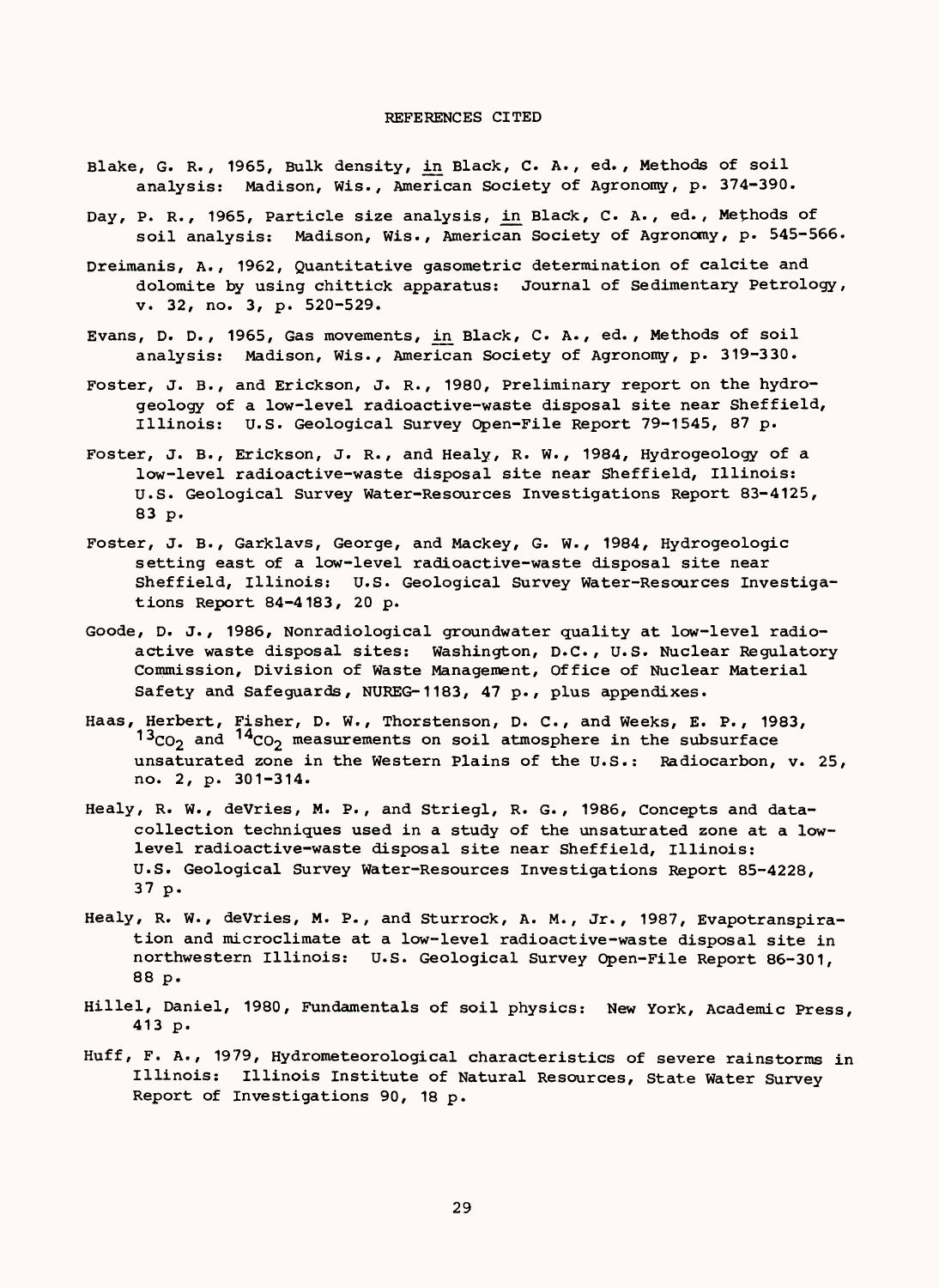#### REFERENCES CITED

- Blake, G. R., 1965, Bulk density, in Black, C. A., ed., Methods of soil analysis: Madison, Wis., American Society of Agronomy, p. 374-390.
- Day, P. R., 1965, Particle size analysis, in Black, C. A., ed., Methods of soil analysis: Madison, Wis., American Society of Agronomy, p. 545-566.
- Dreimanis, A., 1962, Quantitative gasometric determination of calcite and dolomite by using chittick apparatus: Journal of Sedimentary Petrology, v. 32, no. 3, p. 520-529.
- Evans, D. D., 1965, Gas movements, in Black, C. A., ed. , Methods of soil analysis: Madison, Wis., American Society of Agronomy, p. 319-330.
- Foster, J. B., and Erickson, J. R., 1980, Preliminary report on the hydrogeology of a low-level radioactive-waste disposal site near Sheffield, Illinois: U.S. Geological Survey Open-File Report 79-1545, 87 p.
- Foster, J. B., Erickson, J. R., and Healy, R. W., 1984, Hydrogeology of a low-level radioactive-waste disposal site near Sheffield, Illinois: U.S. Geological Survey Water-Resources Investigations Report 83-4125, 83 p.
- Foster, J. B., Garklavs, George, and Mackey, G. W., 1984, Hydrogeologic setting east of a low-level radioactive-waste disposal site near Sheffield, Illinois: U.S. Geological Survey Water-Resources Investigations Report 84-4183, 20 p.
- Goode, D. J., 1986, Nonradiological groundwater quality at low-level radioactive waste disposal sites: Washington, D.C., U.S. Nuclear Regulatory Commission, Division of Waste Management, Office of Nuclear Material Safety and Safeguards, NUREG-1183, 47 p., plus appendixes.
- Haas, Herbert, Fisher, D. W., Thorstenson, D. C., and Weeks, E. P., 1983,  $13_{CO_2}$  and  $14_{CO_2}$  measurements on soil atmosphere in the subsurface unsaturated zone in the Western Plains of the U.S.: Radiocarbon, v. 25, no. 2, p. 301-314.
- Healy, R. W., deVries, M. P., and Striegl, R. G., 1986, Concepts and datacollection techniques used in a study of the unsaturated zone at a lowlevel radioactive-waste disposal site near Sheffield, Illinois: U.S. Geological Survey Water-Resources Investigations Report 85-4228, 37 p.
- Healy, R. W., deVries, M. P., and Sturrock, A. M., Jr., 1987, Evapotranspiration and microclimate at a low-level radioactive-waste disposal site in northwestern Illinois: U.S. Geological Survey Open-File Report 86-301, 88 p.
- Hillel, Daniel, 1980, Fundamentals of soil physics: New York, Academic Press, 413 p.
- Huff, F. A., 1979, Hydrometeorological characteristics of severe rainstorms in Illinois: Illinois Institute of Natural Resources, State Water Survey Report of Investigations 90, 18 p.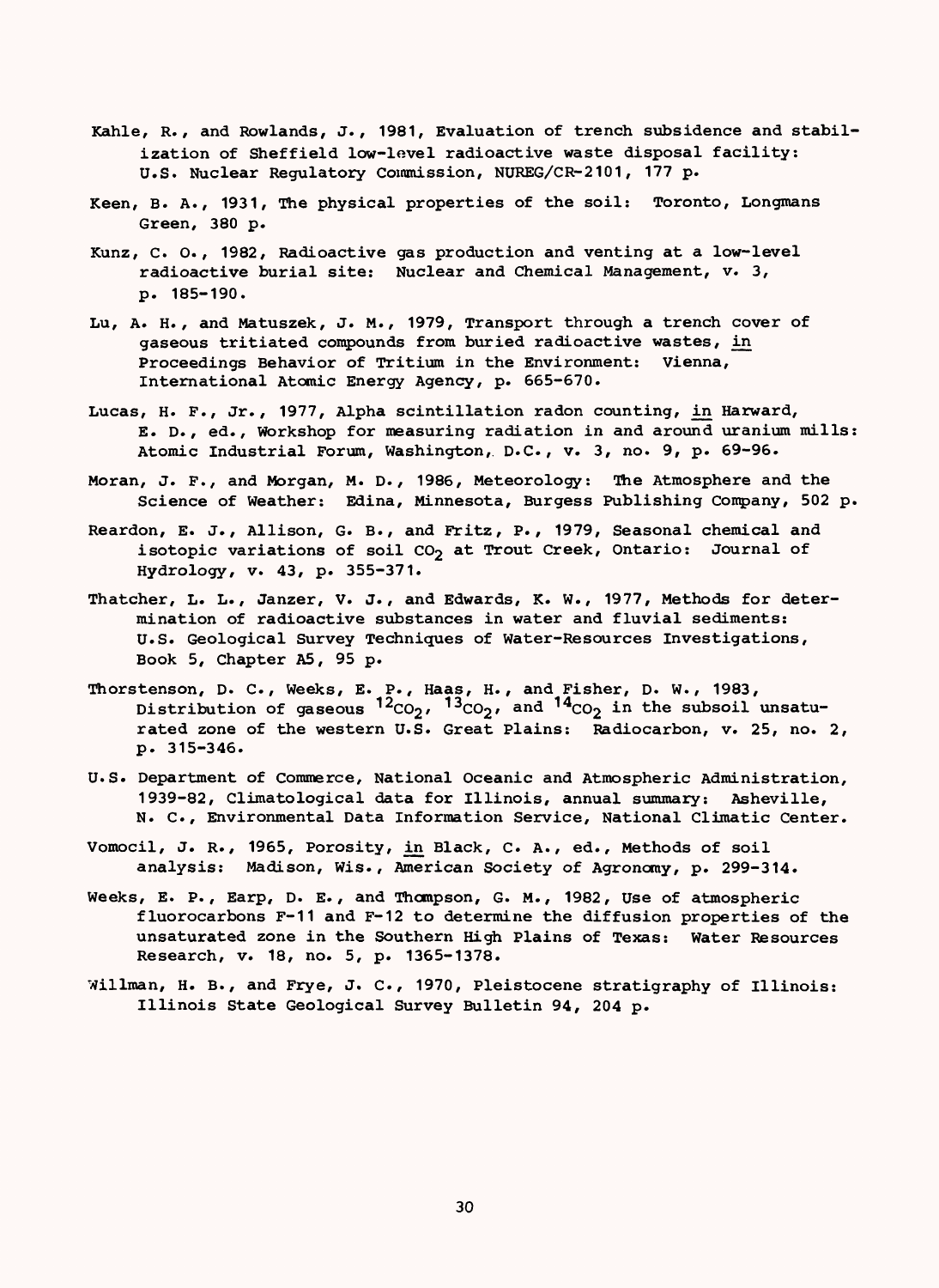- Kahle, R., and Rowlands, J., 1981, Evaluation of trench subsidence and stabilization of Sheffield low-level radioactive waste disposal facility: U.S. Nuclear Regulatory Commission, NUREG/CR-2101, 177 p.
- Keen, B. A., 1931, The physical properties of the soil: Toronto, Longmans Green, 380 p.
- Kunz, C. O., 1982, Radioactive gas production and venting at a low-level radioactive burial site: Nuclear and Chemical Management, v. 3, p. 185-190.
- Lu, A. H., and Matuszek, J. M., 1979, Transport through a trench cover of gaseous tritiated compounds from buried radioactive wastes, in Proceedings Behavior of Tritium in the Environment: Vienna, International Atomic Energy Agency, p. 665-670.
- Lucas, H. P., Jr., 1977, Alpha scintillation radon counting, in Harward, E. D., ed., Workshop for measuring radiation in and around uranium mills: Atomic Industrial Forum, Washington, D.C., v. 3, no. 9, p. 69-96.
- Moran, J. P., and Morgan, M. D., 1986, Meteorology: The Atmosphere and the Science of Weather: Edina, Minnesota, Burgess Publishing Company, 502 p.
- Reardon, E. J., Allison, G. B., and Fritz, P., 1979, Seasonal chemical and isotopic variations of soil  $CO<sub>2</sub>$  at Trout Creek, Ontario: Journal of Hydrology, v. 43, p. 355-371.
- Thatcher, L. L., Janzer, V. J., and Edwards, K. W., 1977, Methods for determination of radioactive substances in water and fluvial sediments: U.S. Geological Survey Techniques of Water-Resources Investigations, Book 5, Chapter A5, 95 p.
- Thorstenson, D. C., Weeks, E. P., Haas, H., and Fisher, D. W., 1983, Distribution of gaseous  $12_{CO_2}$ ,  $13_{CO_2}$ , and  $14_{CO_2}$  in the subsoil unsaturated zone of the western U.S. Great Plains: Radiocarbon, v. 25, no. 2, p. 315-346.
- U.S. Department of Commerce, National Oceanic and Atmospheric Administration, 1939-82, Climatological data for Illinois, annual summary: Asheville, N. C., Environmental Data Information Service, National Climatic Center.
- Vomocil, J. R., 1965, Porosity, in Black, C. A., ed., Methods of soil analysis: Madison, Wis., American Society of Agronomy, p. 299-314.
- Weeks, E. P., Earp, D. E., and Thompson, G. M., 1982, Use of atmospheric fluorocarbons F-11 and F-12 to determine the diffusion properties of the unsaturated zone in the Southern High Plains of Texas: Water Resources Research, v. 18, no. 5, p. 1365-1378.
- Willman, H. B., and Frye, J. C., 1970, Pleistocene stratigraphy of Illinois: Illinois State Geological Survey Bulletin 94, 204 p.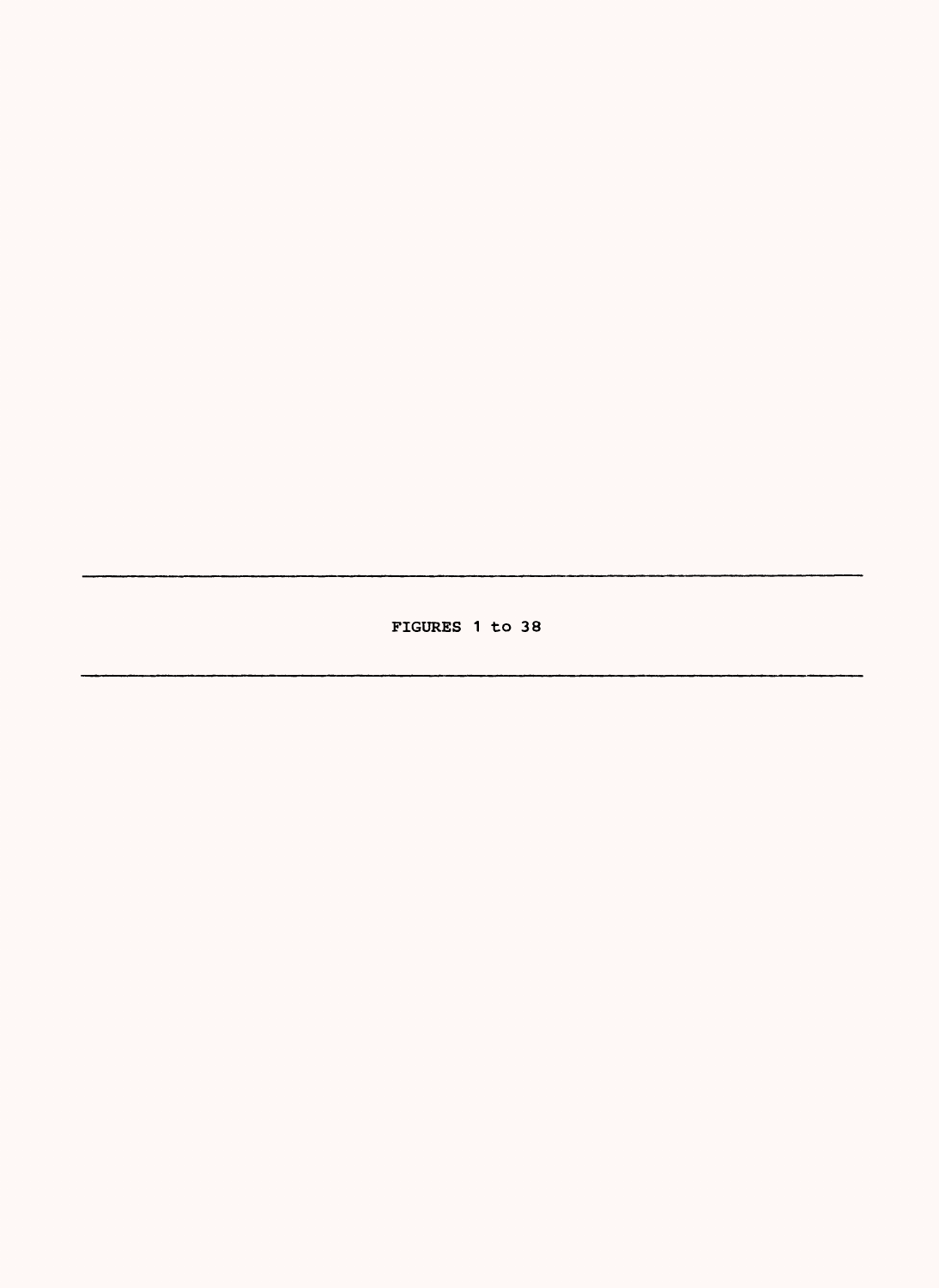FIGURES 1 to 38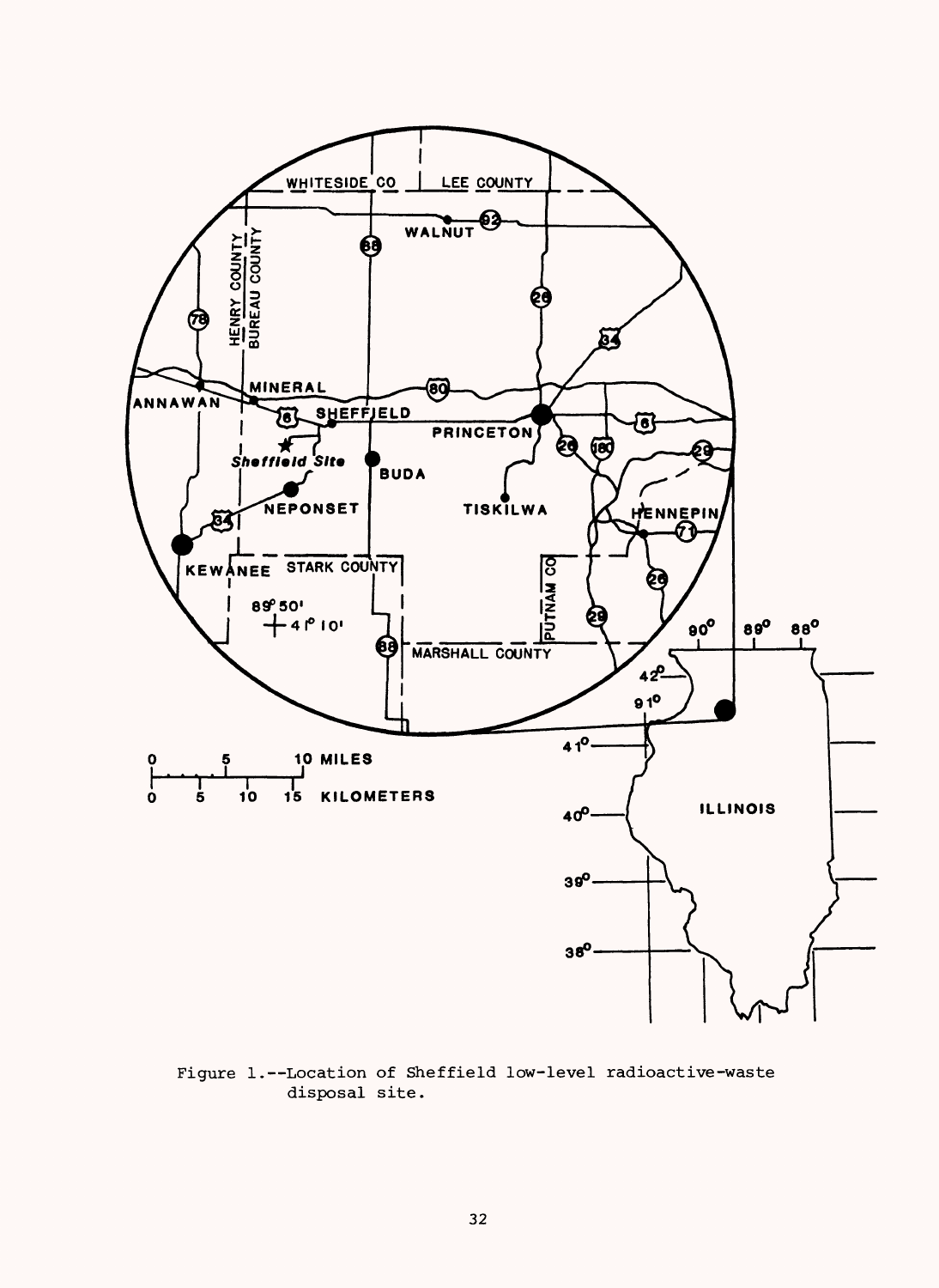

Figure 1.--Location of Sheffield low-level radioactive-waste disposal site.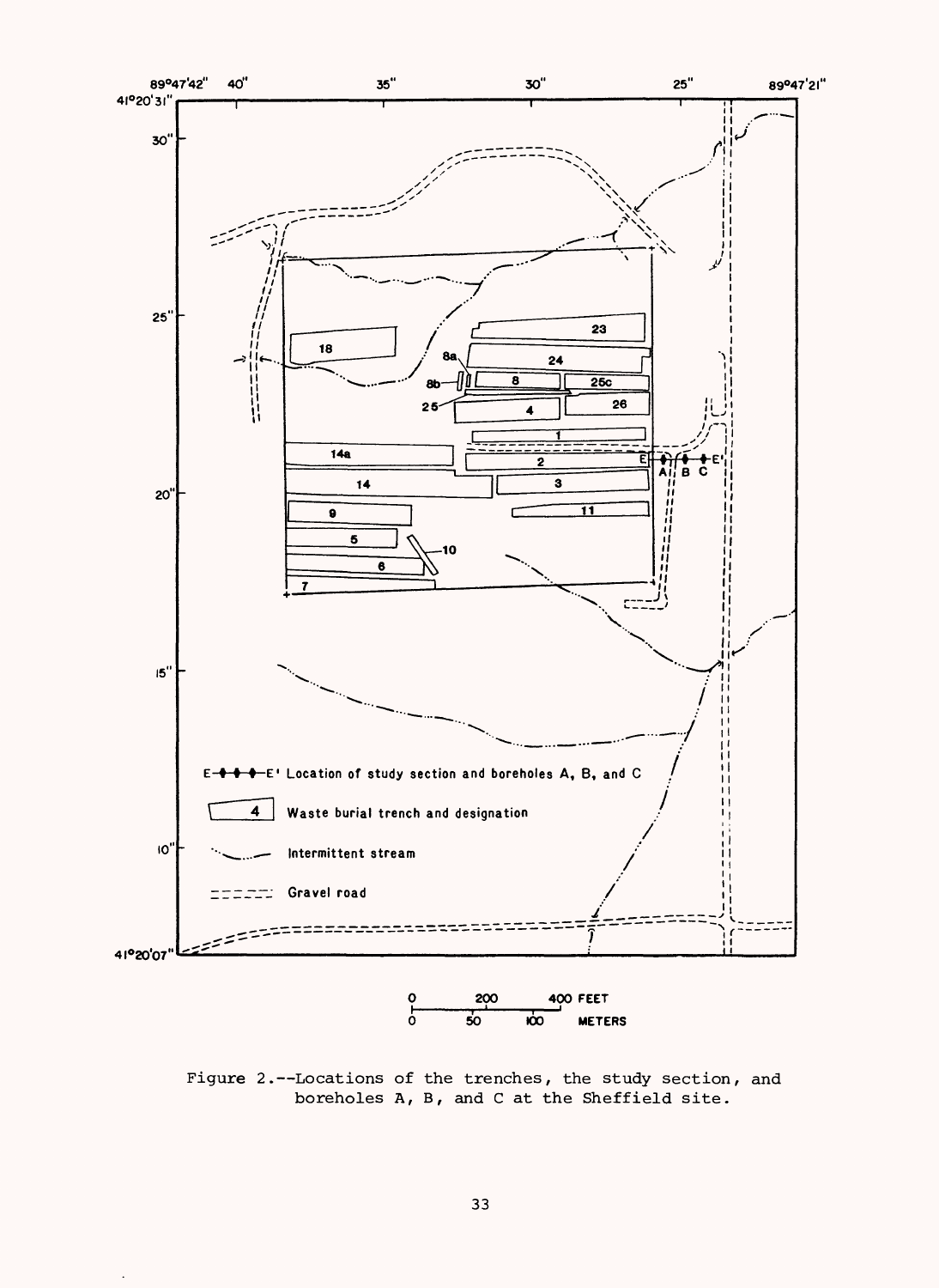

Figure 2.--Locations of the trenches, the study section, and boreholes A, B, and C at the Sheffield site.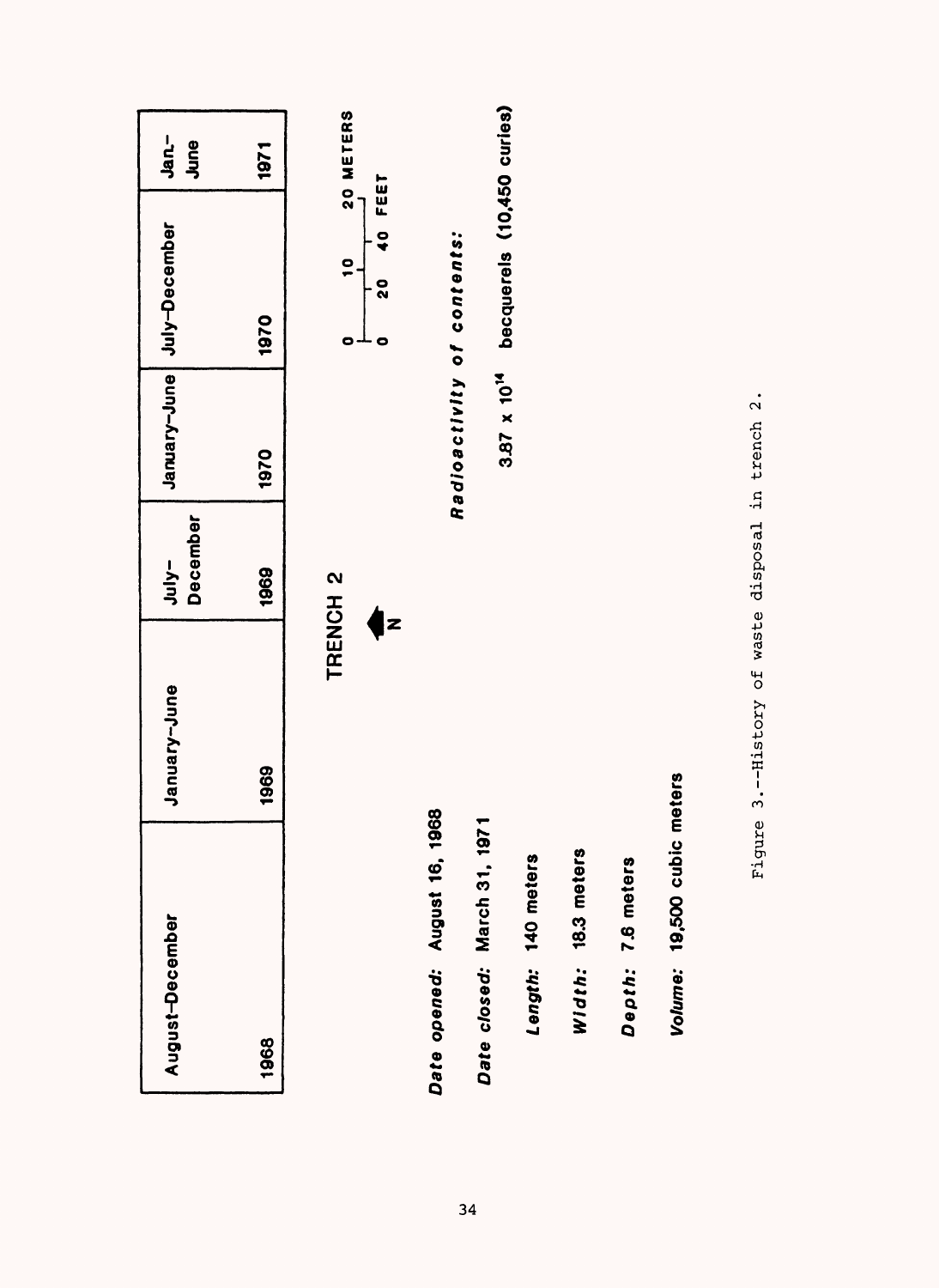| August-December            |                      | January-June                                 | December<br>$y-y$ | January-June               | July-December                                      | Jan-<br>June |
|----------------------------|----------------------|----------------------------------------------|-------------------|----------------------------|----------------------------------------------------|--------------|
| 1968                       |                      | 1969                                         | 1969              | 1970                       | 1970                                               | 1971         |
|                            |                      | TRENCH <sub>2</sub>                          |                   |                            | $\frac{1}{2}$<br>0                                 | 20 METERS    |
|                            |                      | Z                                            |                   |                            | FEET<br>$\mathbf{v}$<br>$\frac{0}{2}$<br>$\bullet$ |              |
| Date opened:               | August 16, 18        | 68                                           |                   | Radioactivity of contents: |                                                    |              |
| Date closed: March 31, 197 |                      |                                              |                   | $3.87 \times 10^{14}$      | becquerels (10,450 curies)                         |              |
|                            | Length: 140 meters   |                                              |                   |                            |                                                    |              |
|                            | Width: 18.3 meters   |                                              |                   |                            |                                                    |              |
|                            | Depth: 7.6 meters    |                                              |                   |                            |                                                    |              |
|                            | Volume: 19,500 cubic | meters                                       |                   |                            |                                                    |              |
|                            | Figure               | 3. -- History of waste disposal in trench 2. |                   |                            |                                                    |              |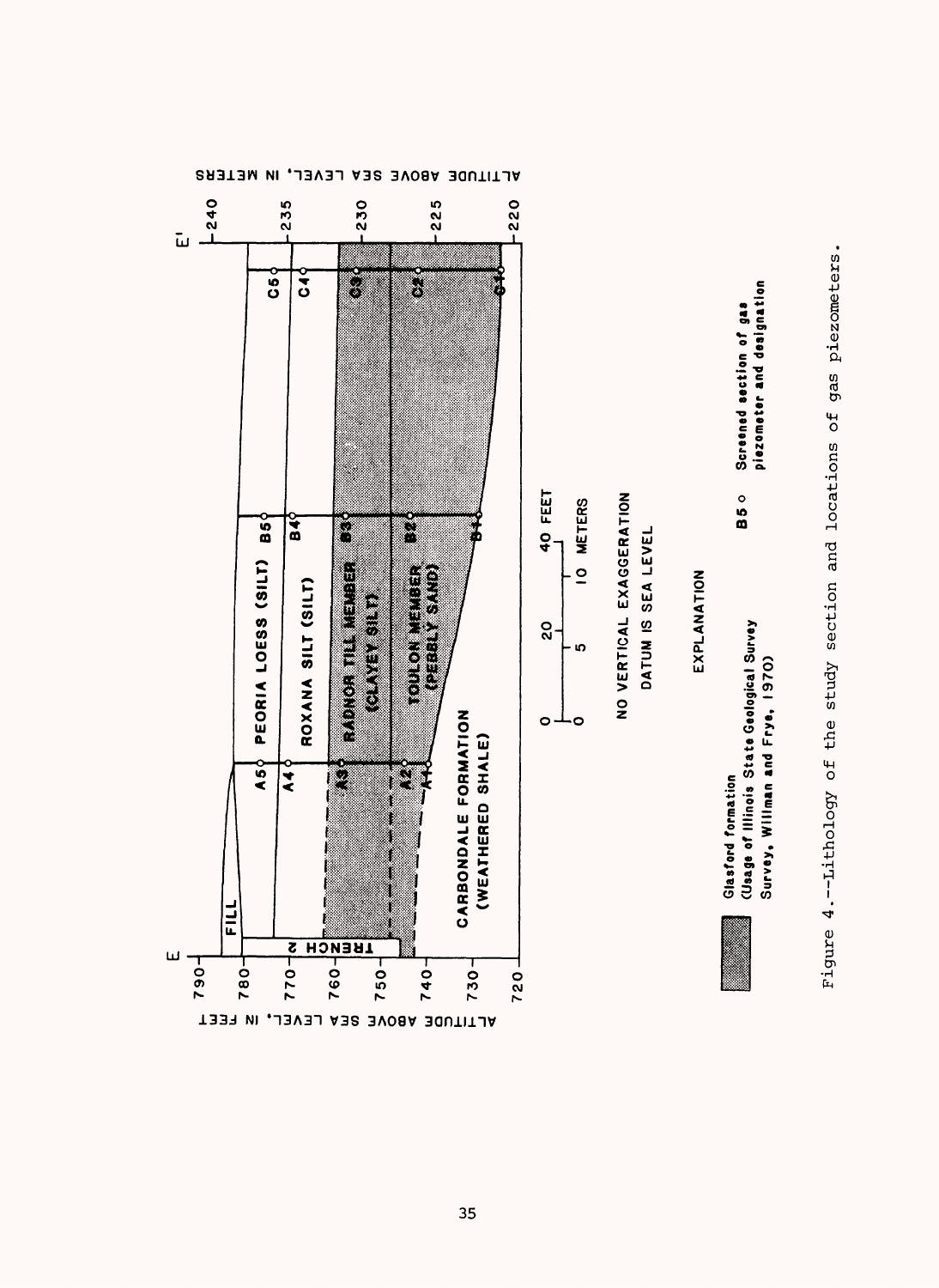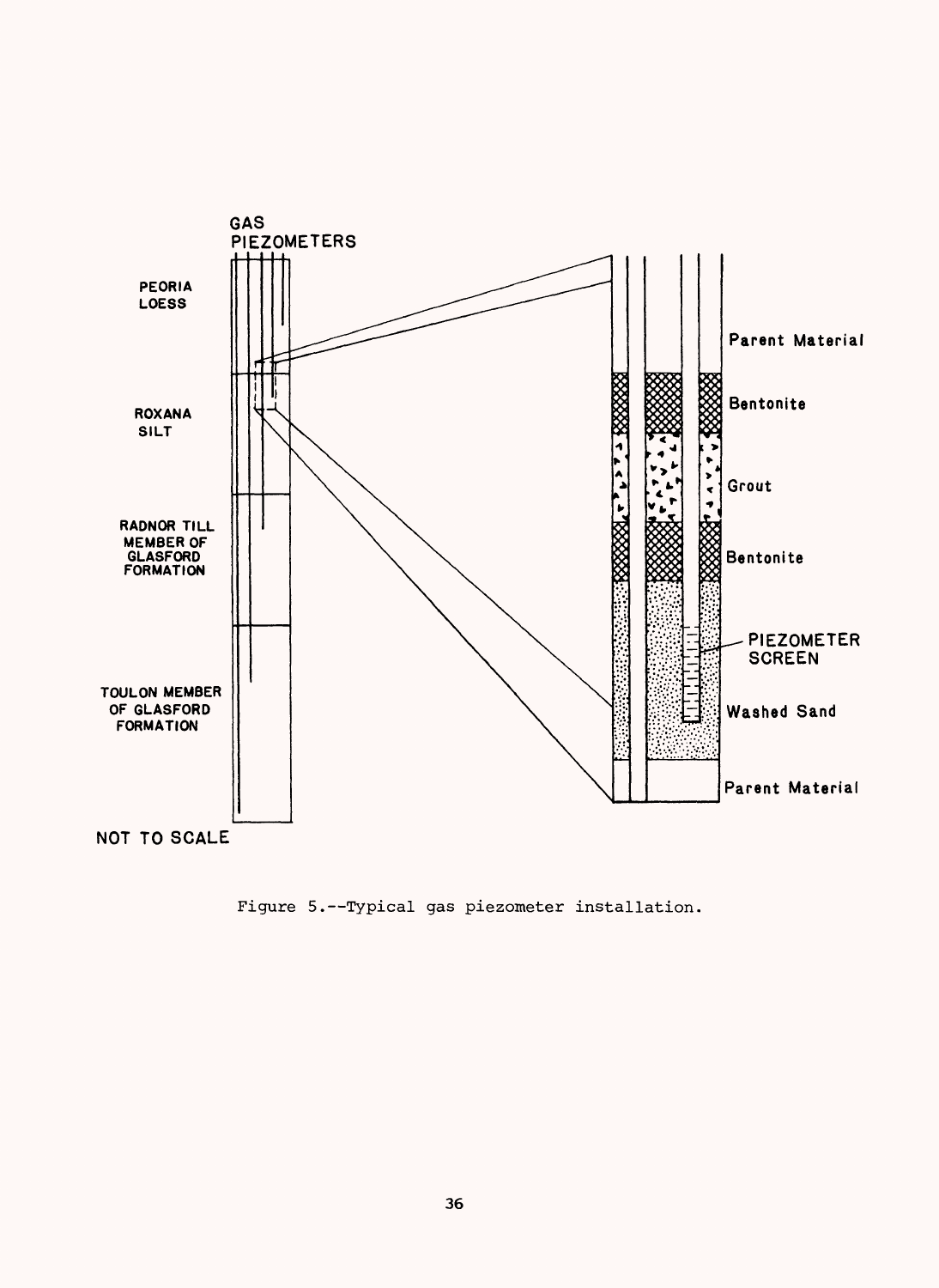

Figure 5.--Typical gas piezometer installation.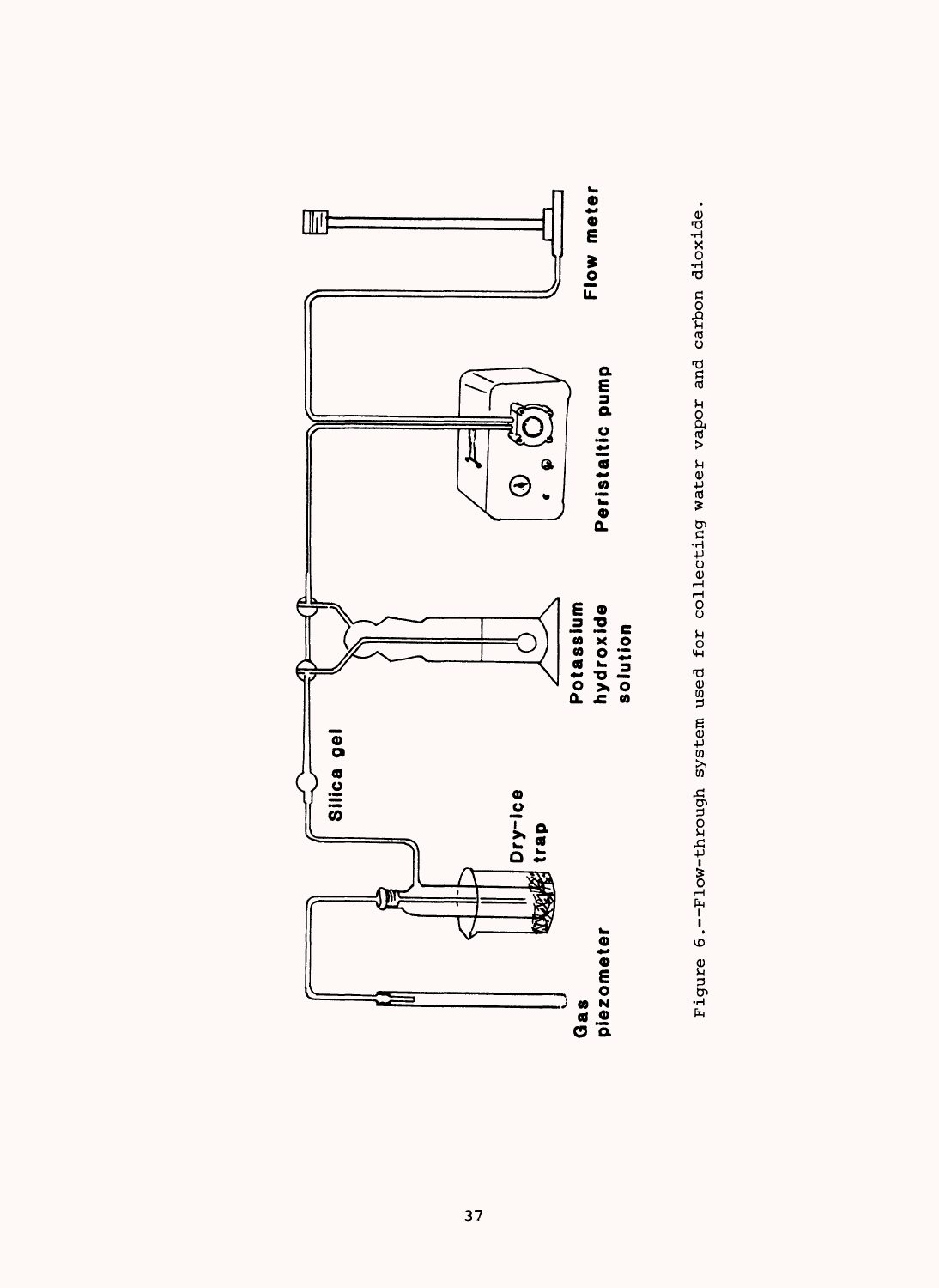

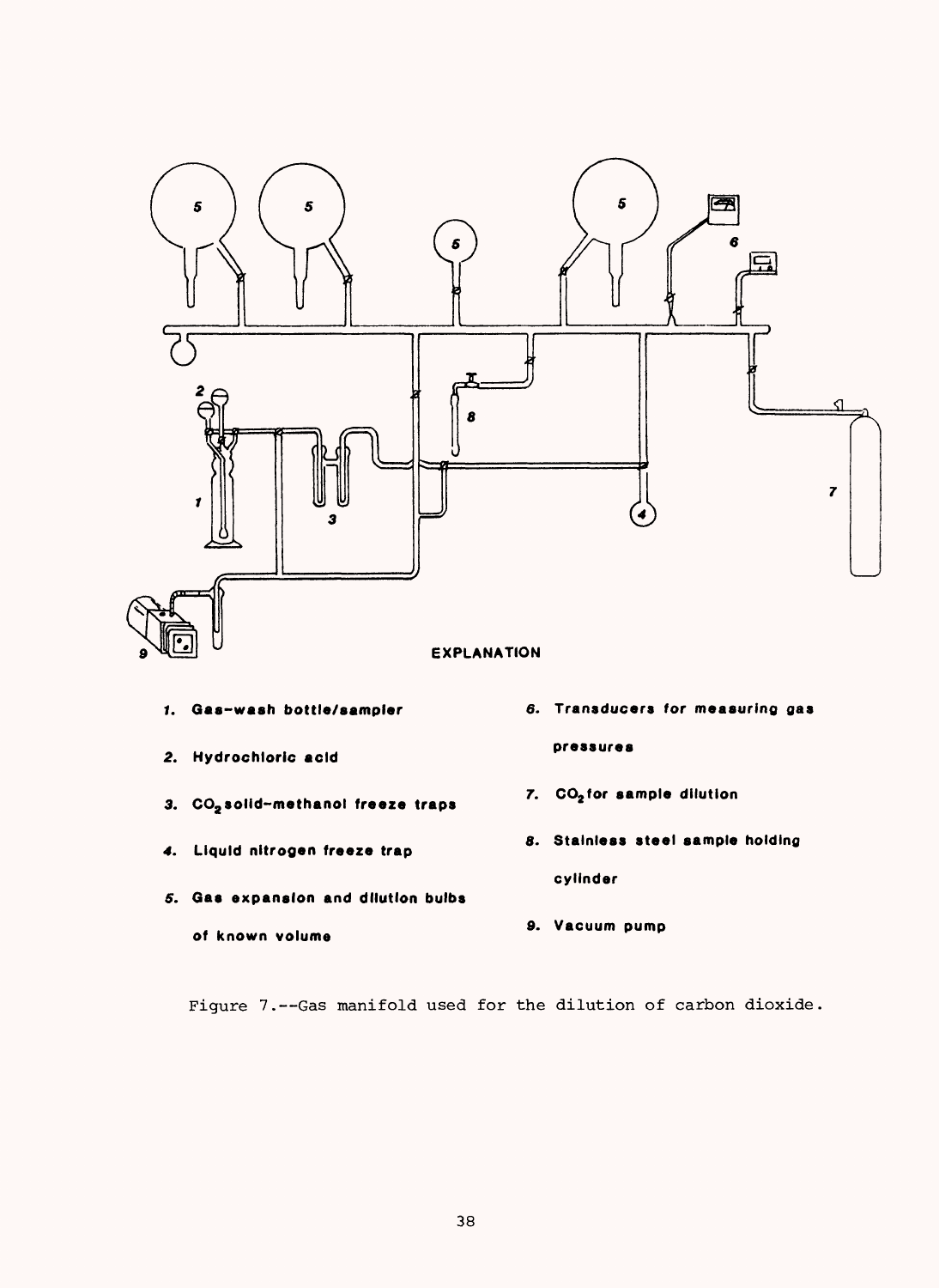

- **1. Gas-wash bottle/sampler**
- **2. Hydrochloric acid**
- **3. CO2 solid-methanol freeze traps**
- **4. Liquid nitrogen freeze trap**

**of known volume**

- **5. Gas expansion and dilution bulbs**
- **pressures**
- **7. CO2 for sample dilution**
- **8. Stainless steel sample holding cylinder**
- **9. Vacuum pump**

Figure 7.--Gas manifold used for the dilution of carbon dioxide.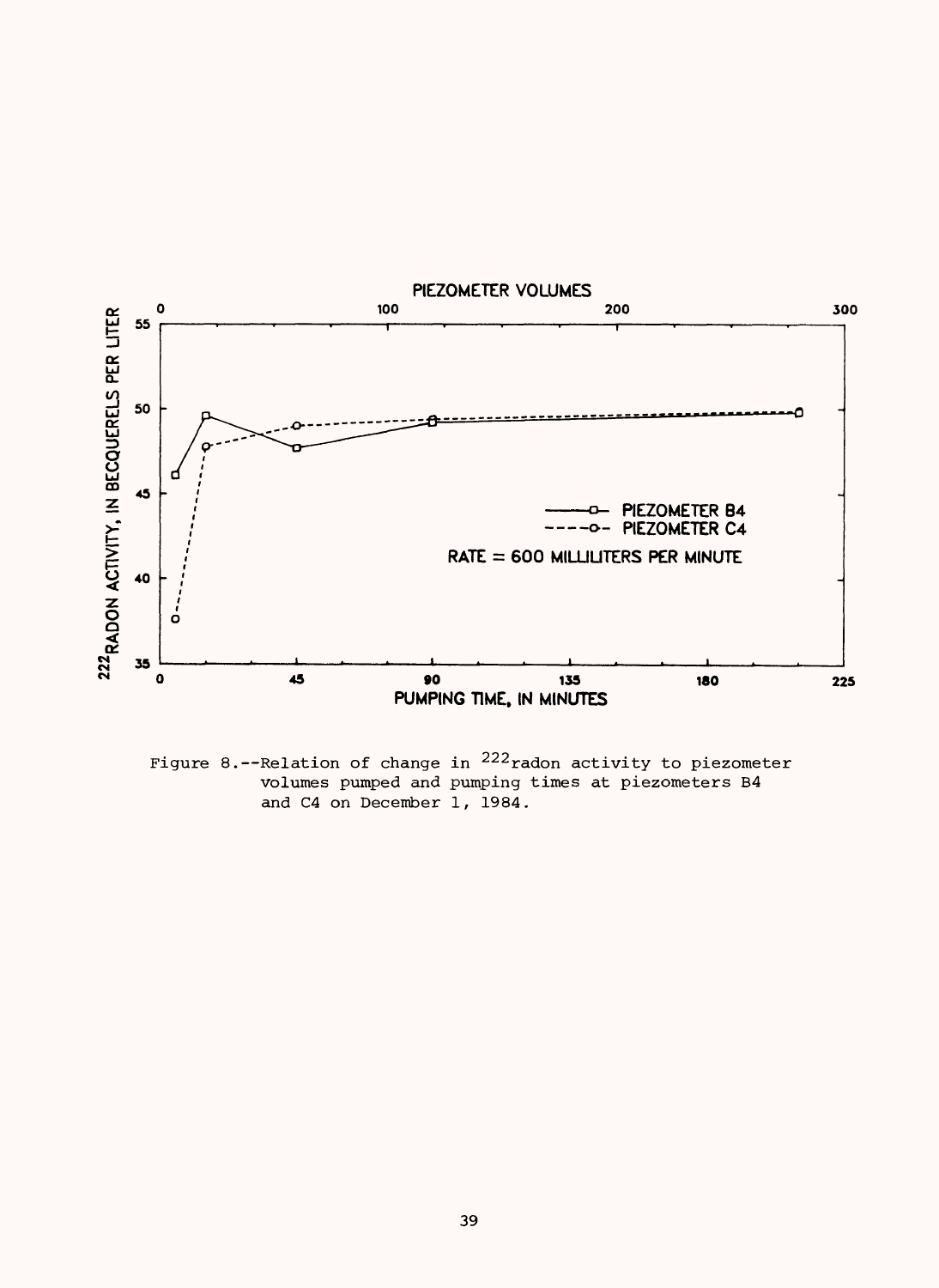

Figure 8.--Relation of change in  $^{222}$  radon activity to piezometer volumes pumped and pumping times at piezometers B4 and C4 on December I, 1984.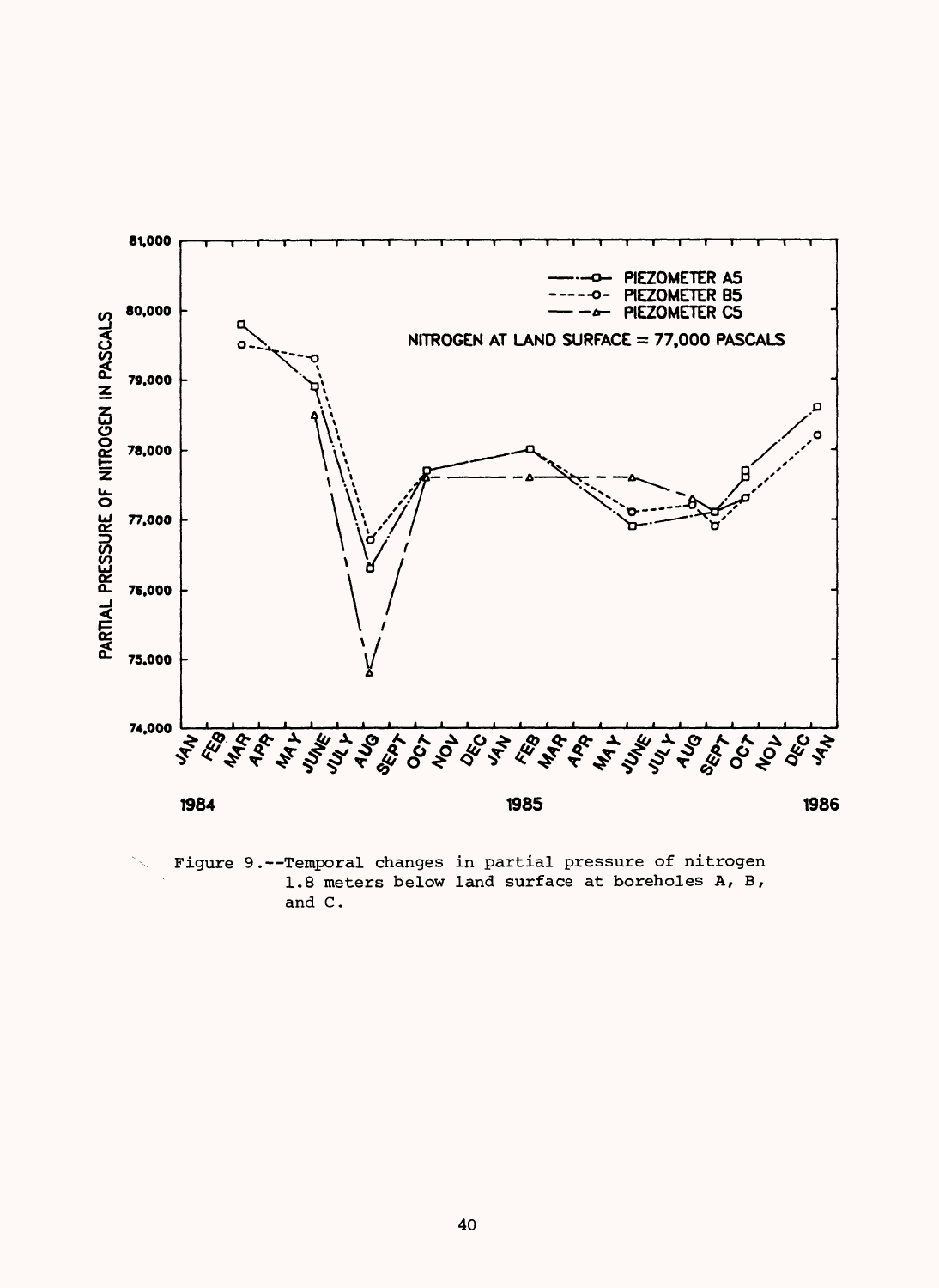

Figure 9.--Temporal changes in partial pressure of nitrogen 1.8 meters below land surface at boreholes A, B, and C.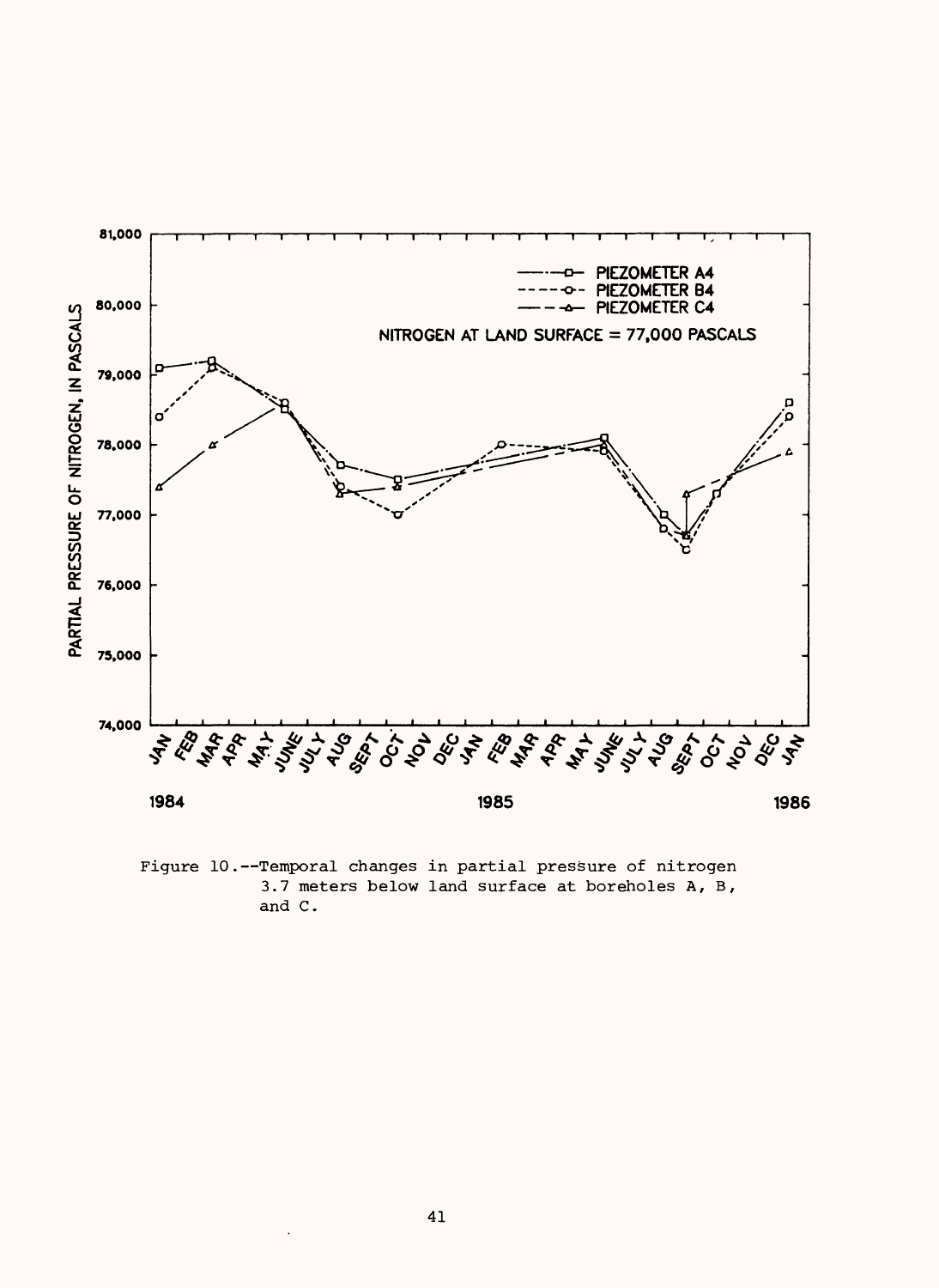

Figure 10.--Temporal changes in partial pressure of nitrogen 3.7 meters below land surface at boreholes A, B, and C.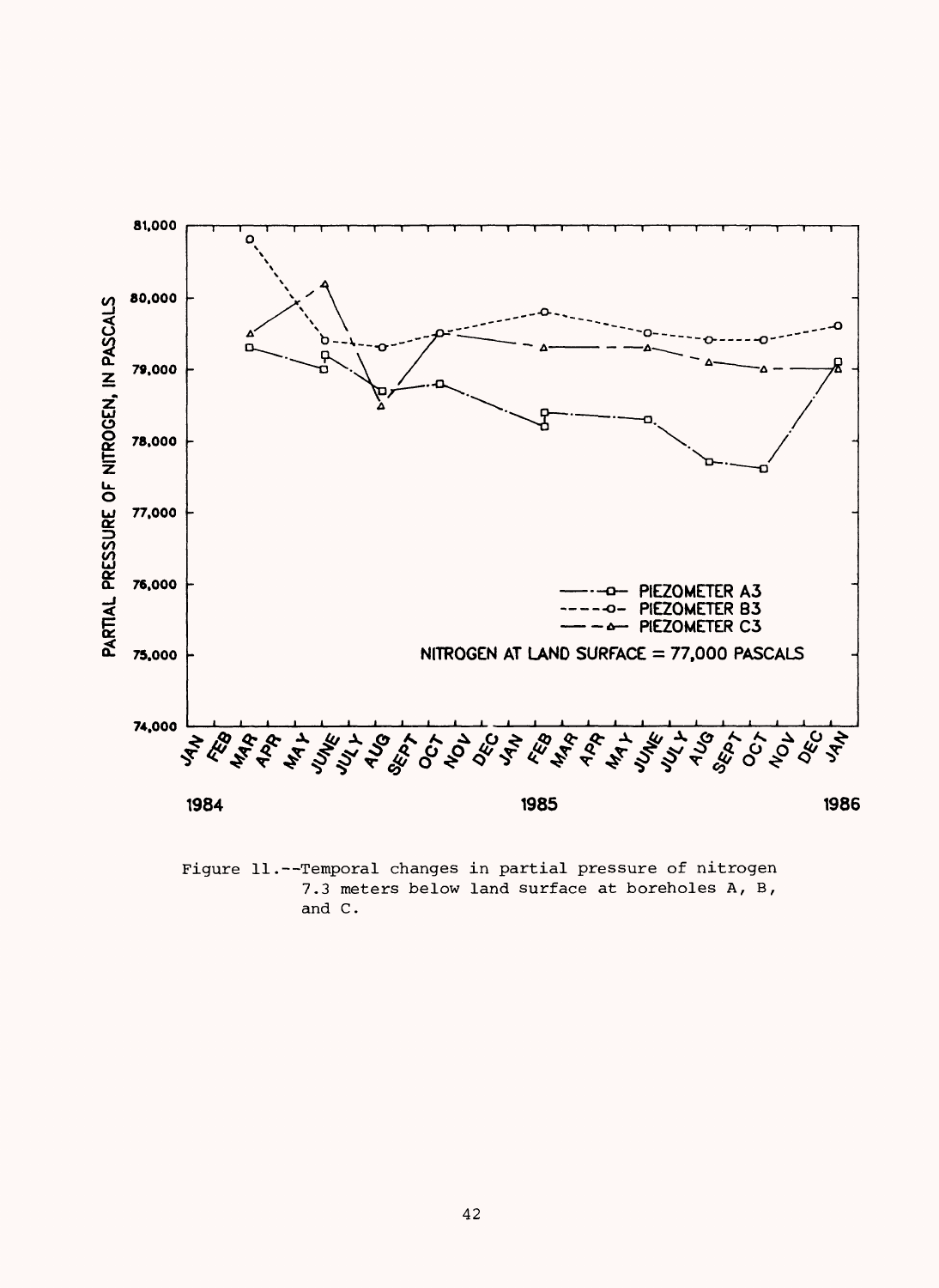

Figure 11.--Temporal changes in partial pressure of nitrogen 7.3 meters below land surface at boreholes A, B, and C.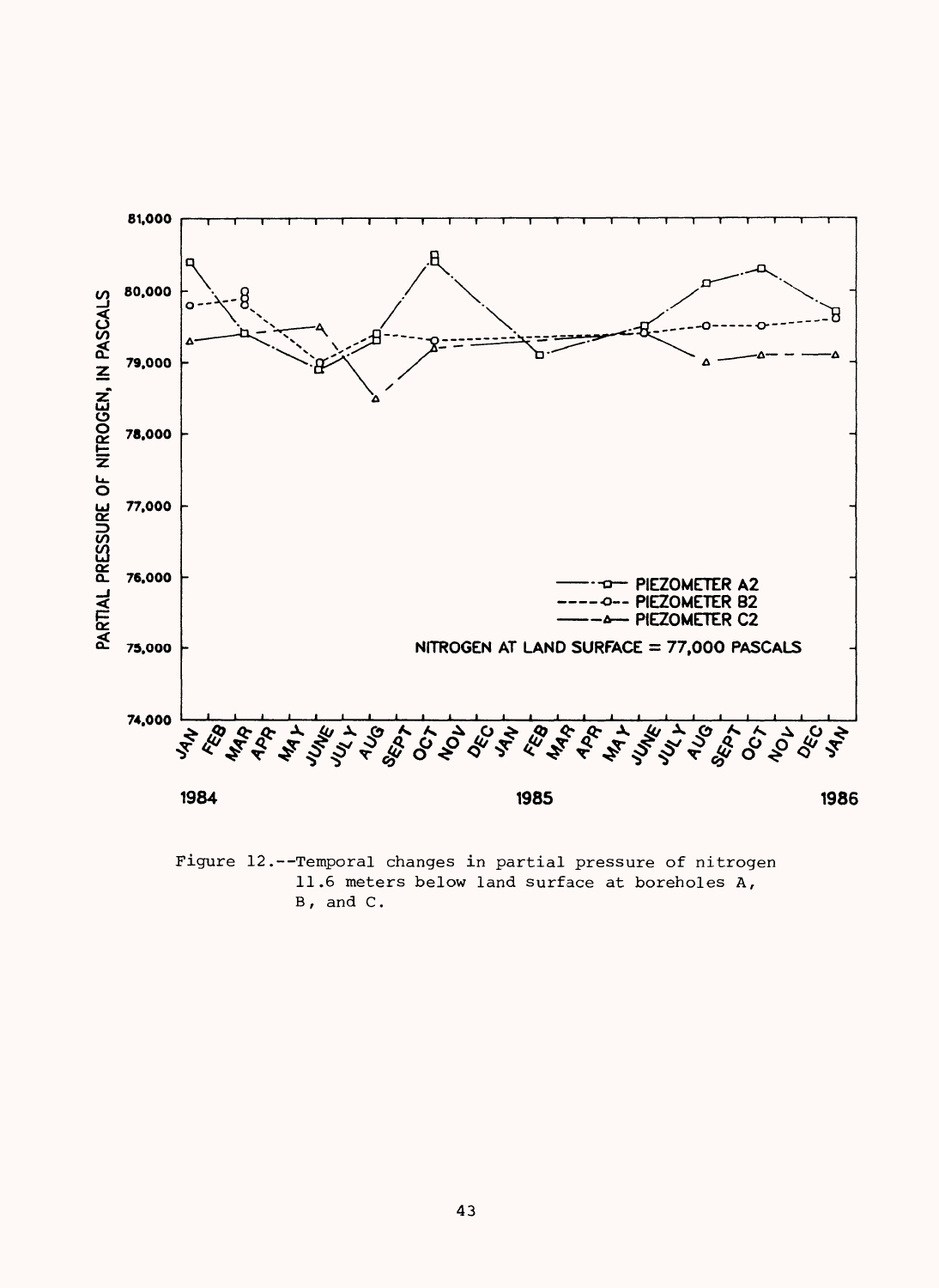

Figure 12.--Temporal changes in partial pressure of nitrogen 11.6 meters below land surface at boreholes A,  $B$ , and  $C$ .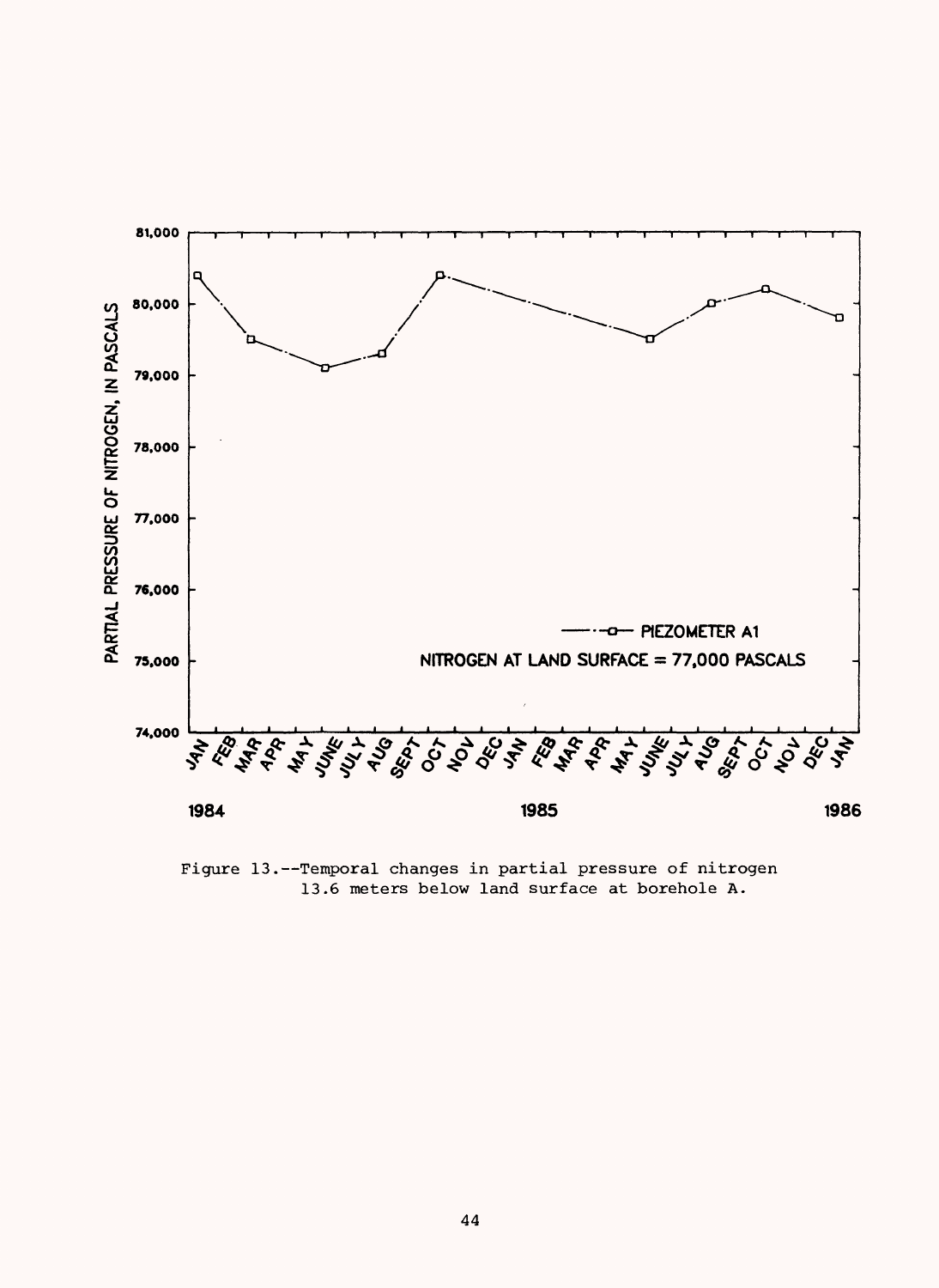

Figure 13.--Temporal changes in partial pressure of nitrogen 13.6 meters below land surface at borehole A.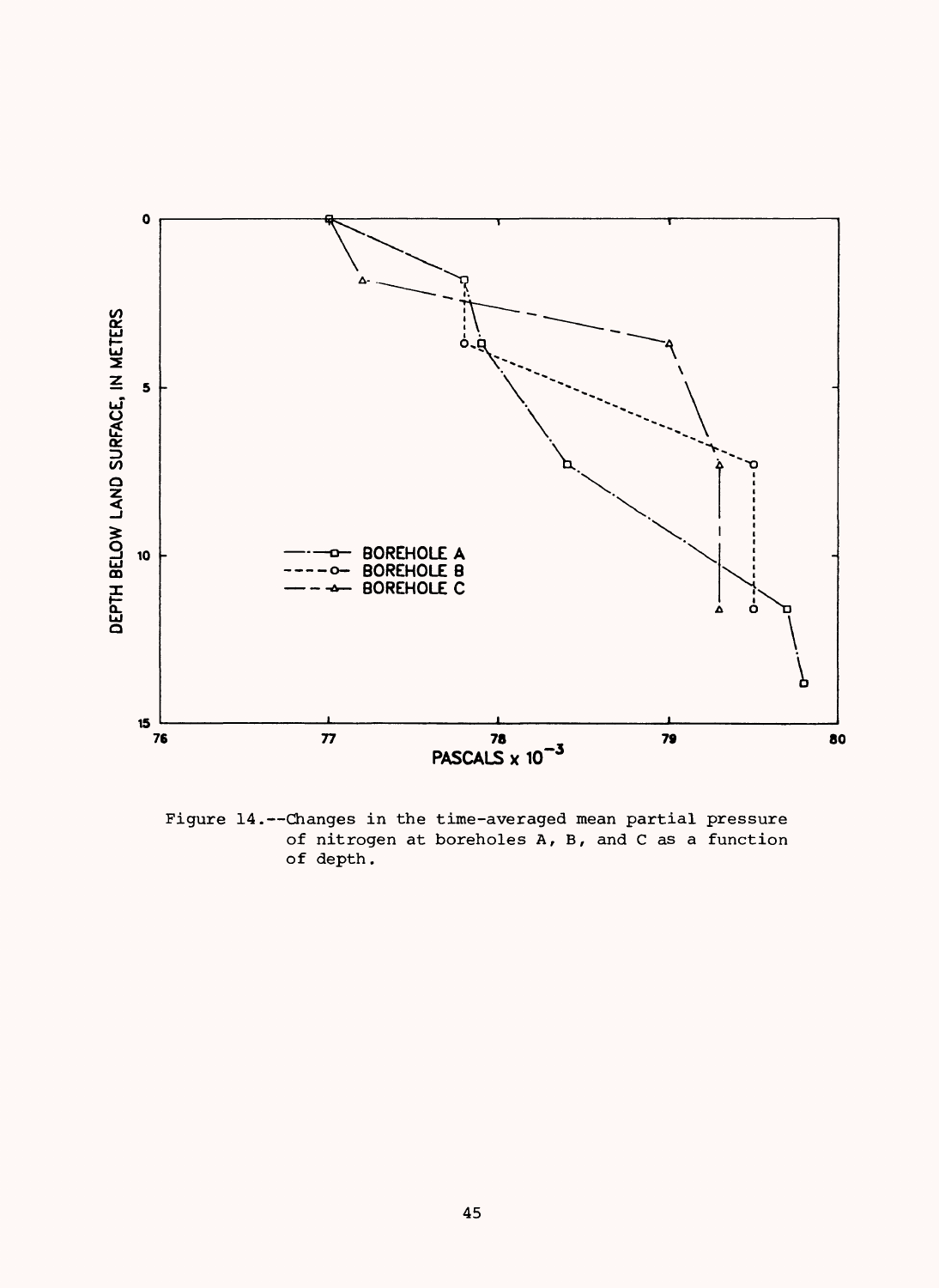

Figure 14.--Changes in the time-averaged mean partial pressure of nitrogen at boreholes A, B, and C as a function of depth.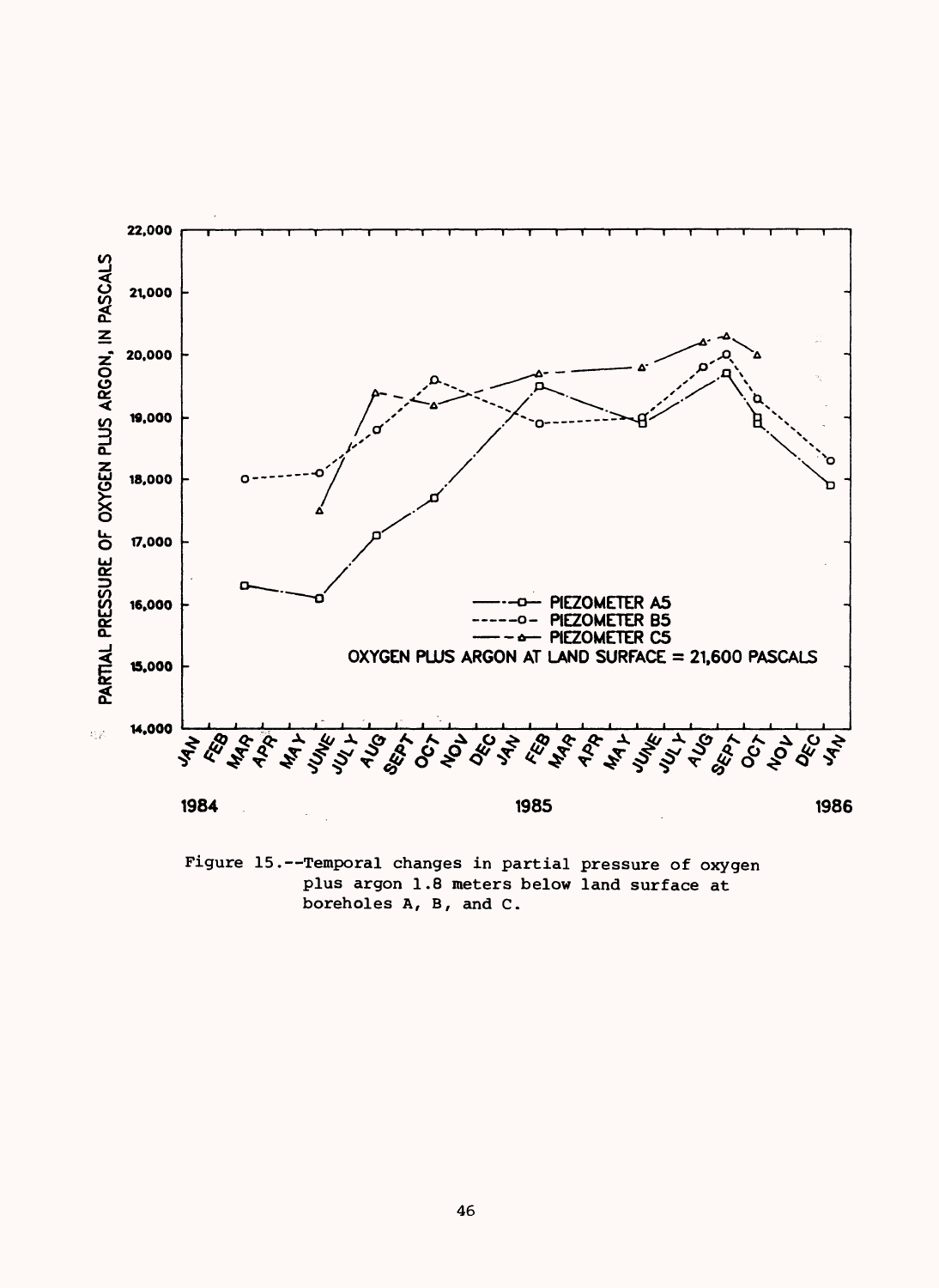

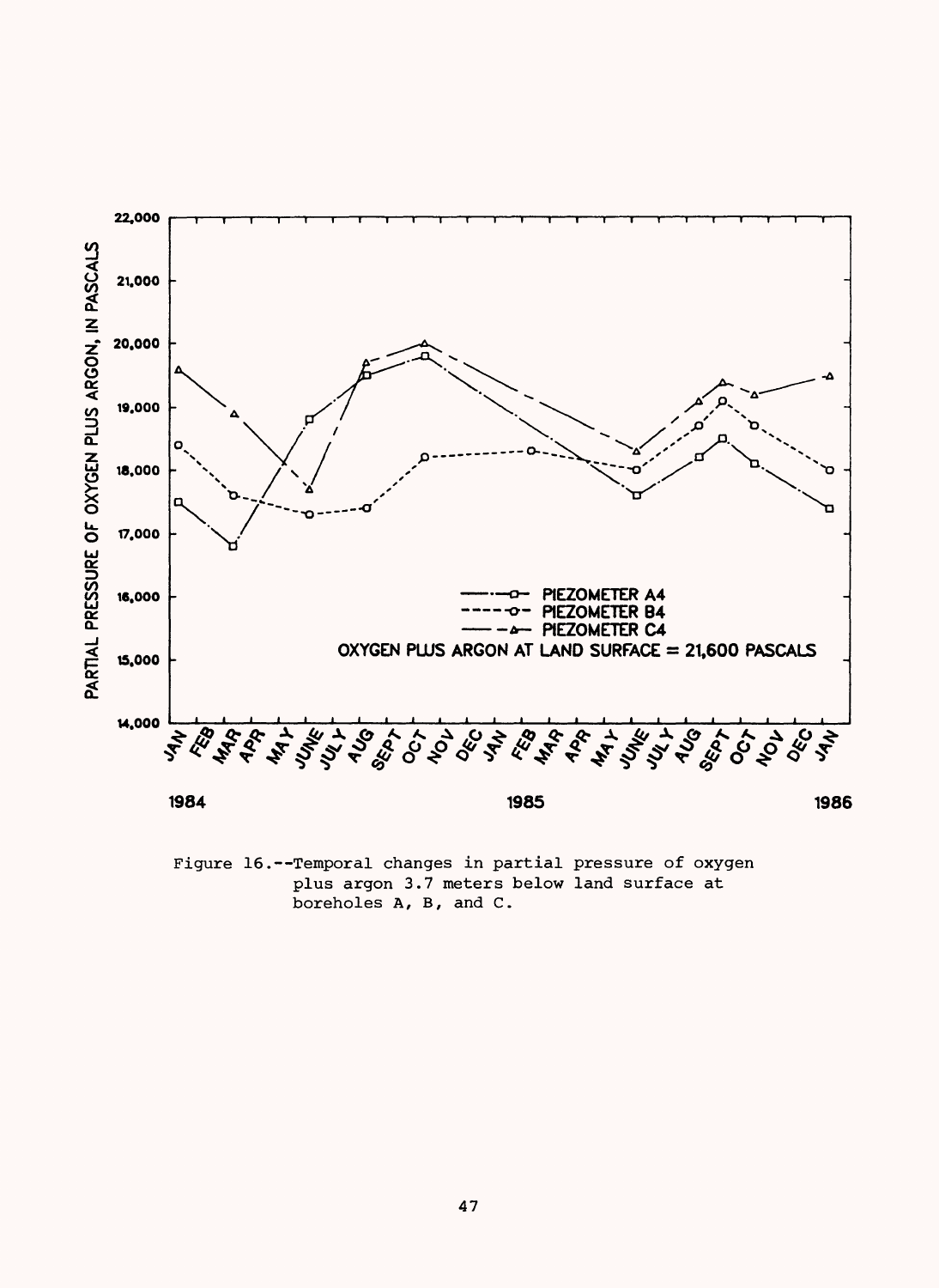

Figure 16.--Temporal changes in partial pressure of oxygen plus argon 3.7 meters below land surface at boreholes A, B, and C.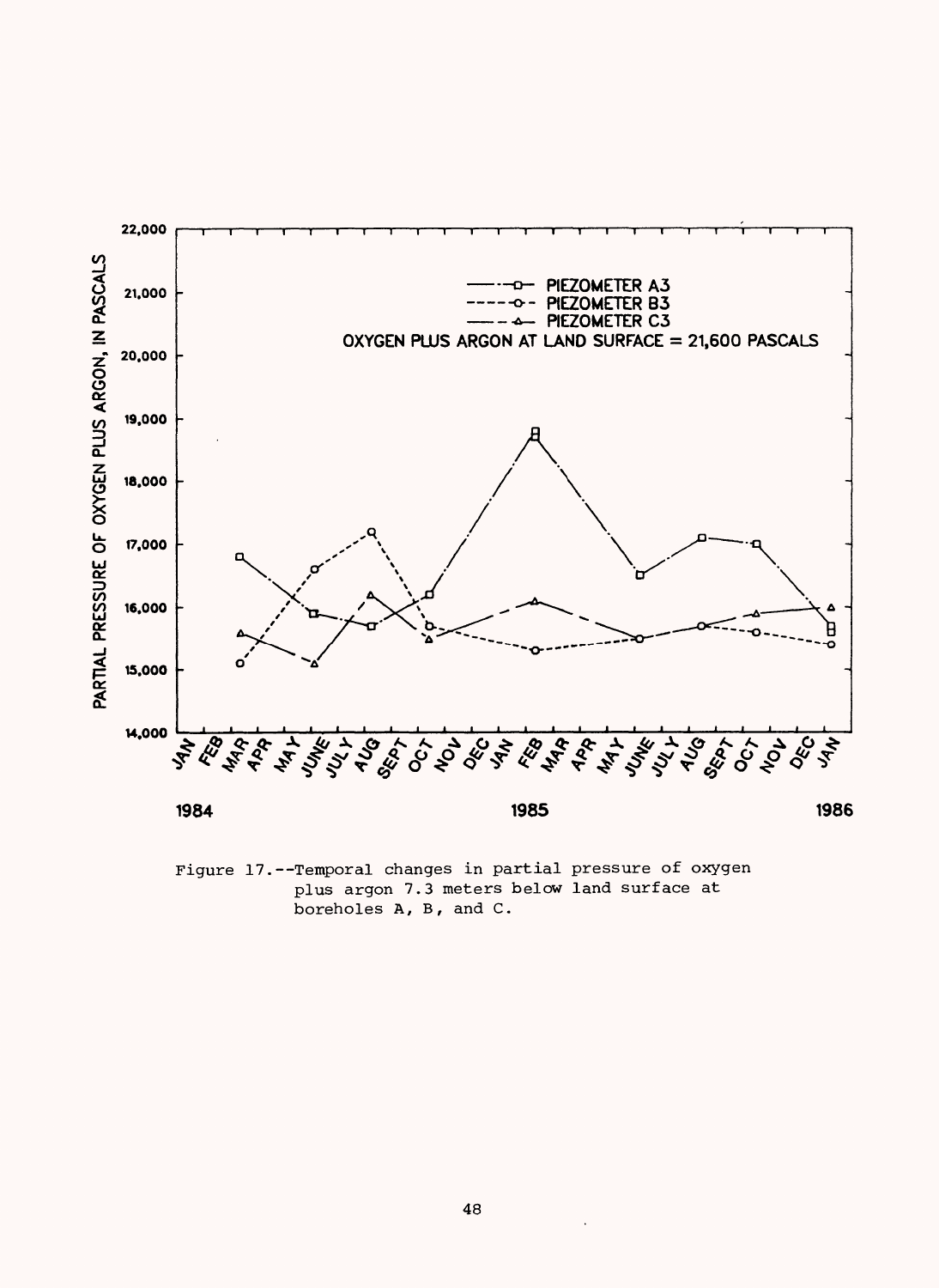

Figure 17.--Temporal changes in partial pressure of oxygen plus argon 7.3 meters below land surface at boreholes A, B, and C.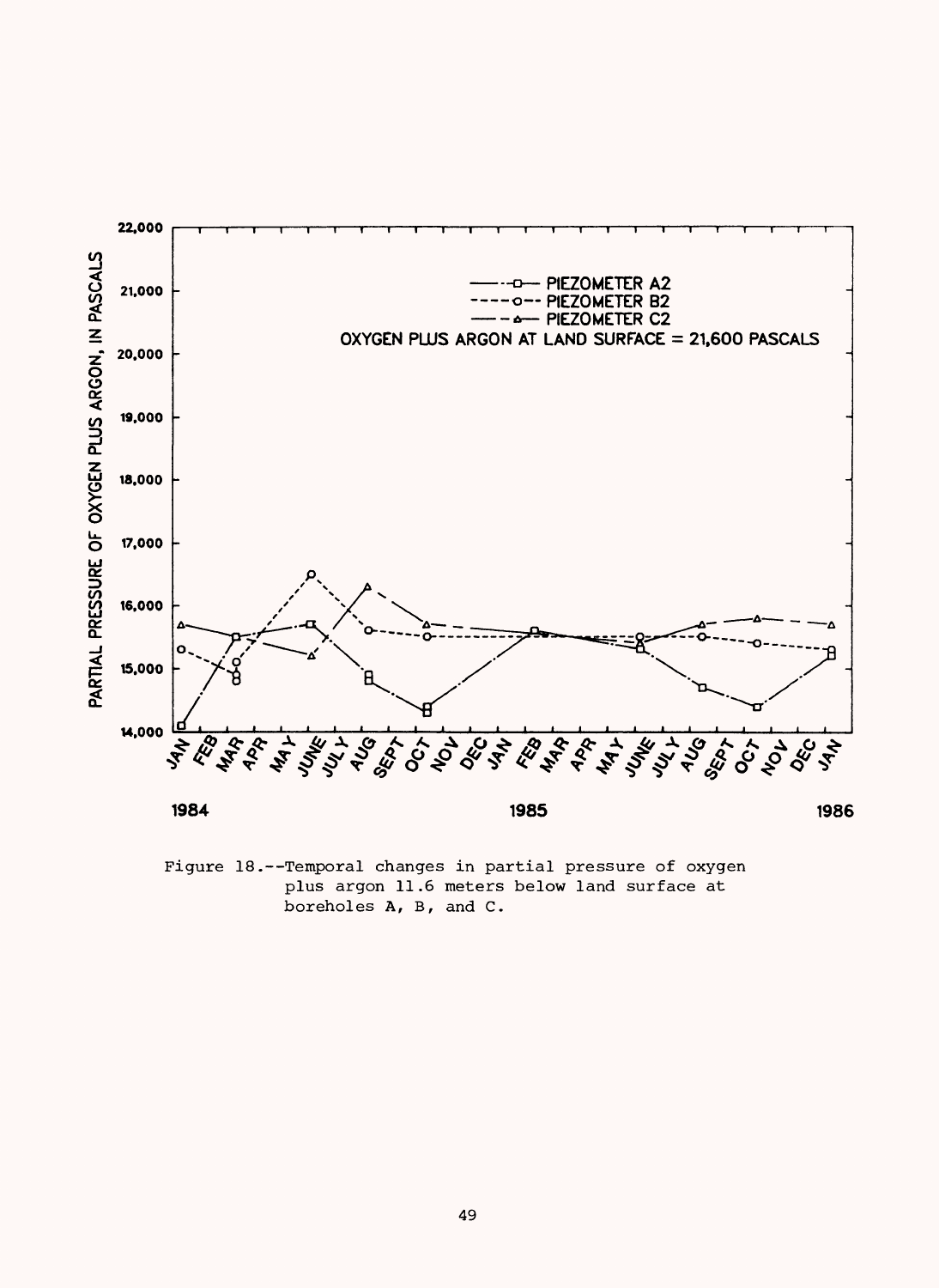

Figure 18.--Temporal changes in partial pressure of oxygen plus argon 11.6 meters below land surface at boreholes A, B, and C.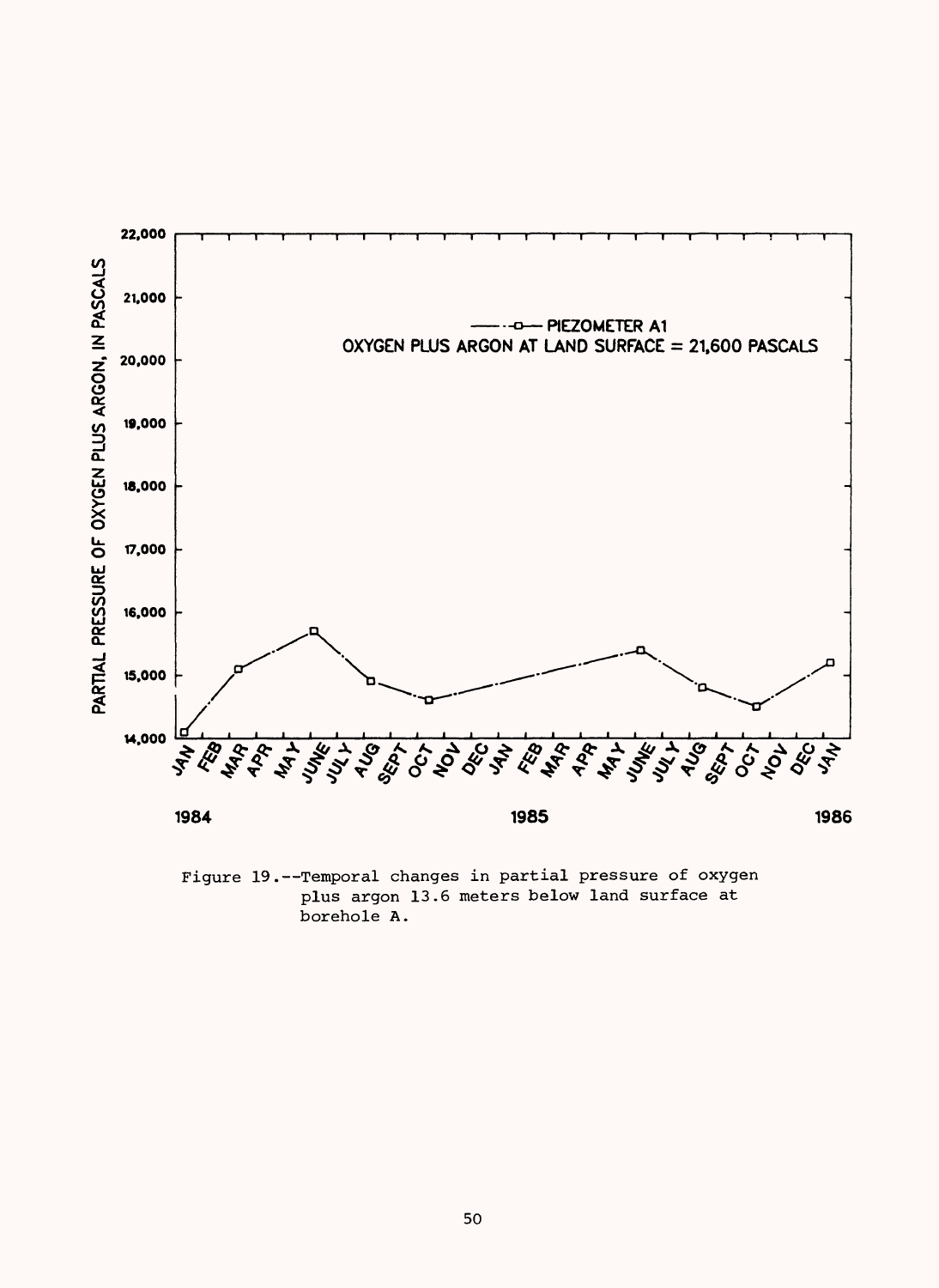

Figure 19.--Temporal changes in partial pressure of oxygen plus argon 13.6 meters below land surface at borehole A.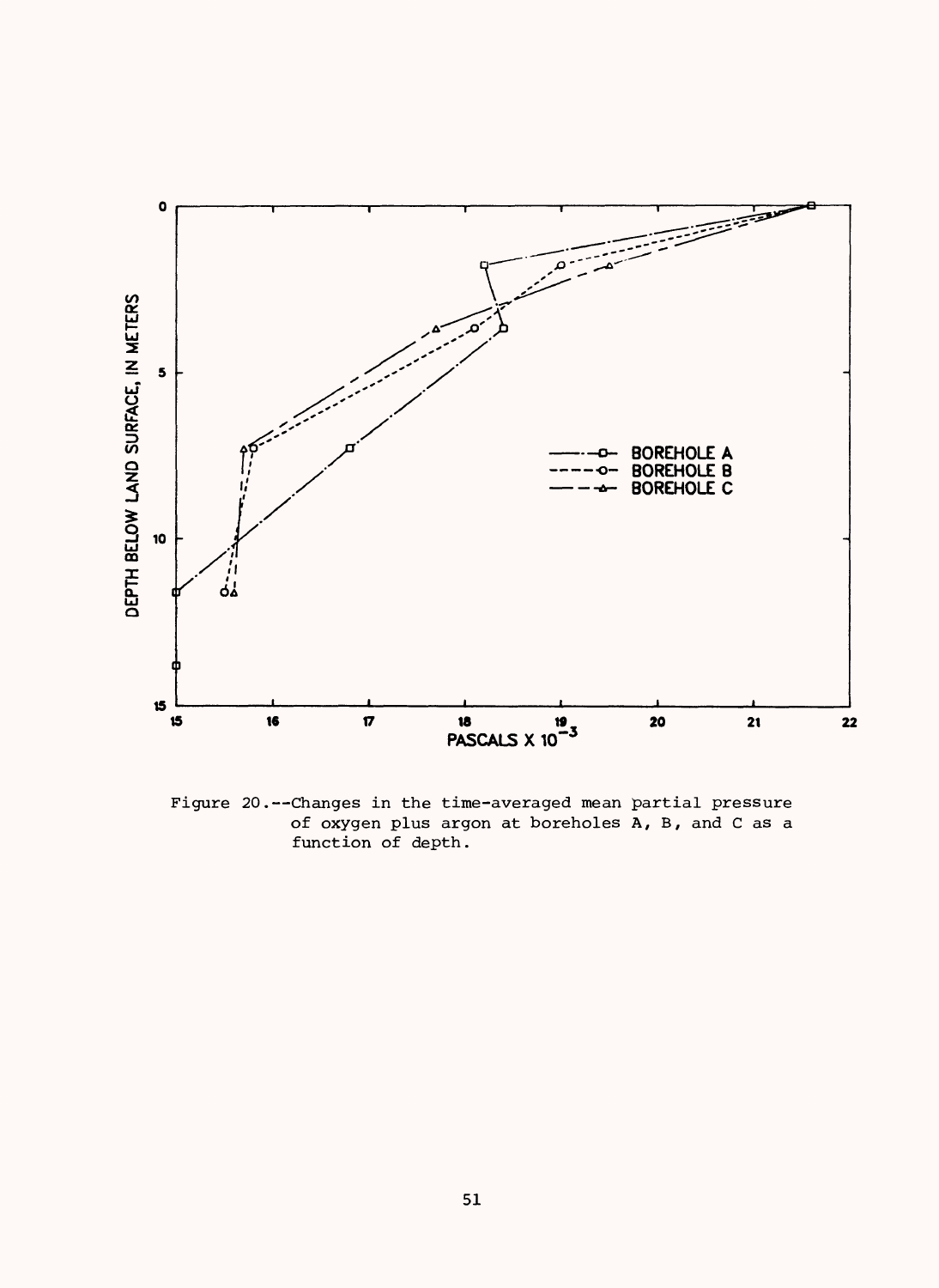

Figure 20.--Changes in the time-averaged mean partial pressure *of* oxygen plus argon at boreholes A, B, and C as a function *of* depth.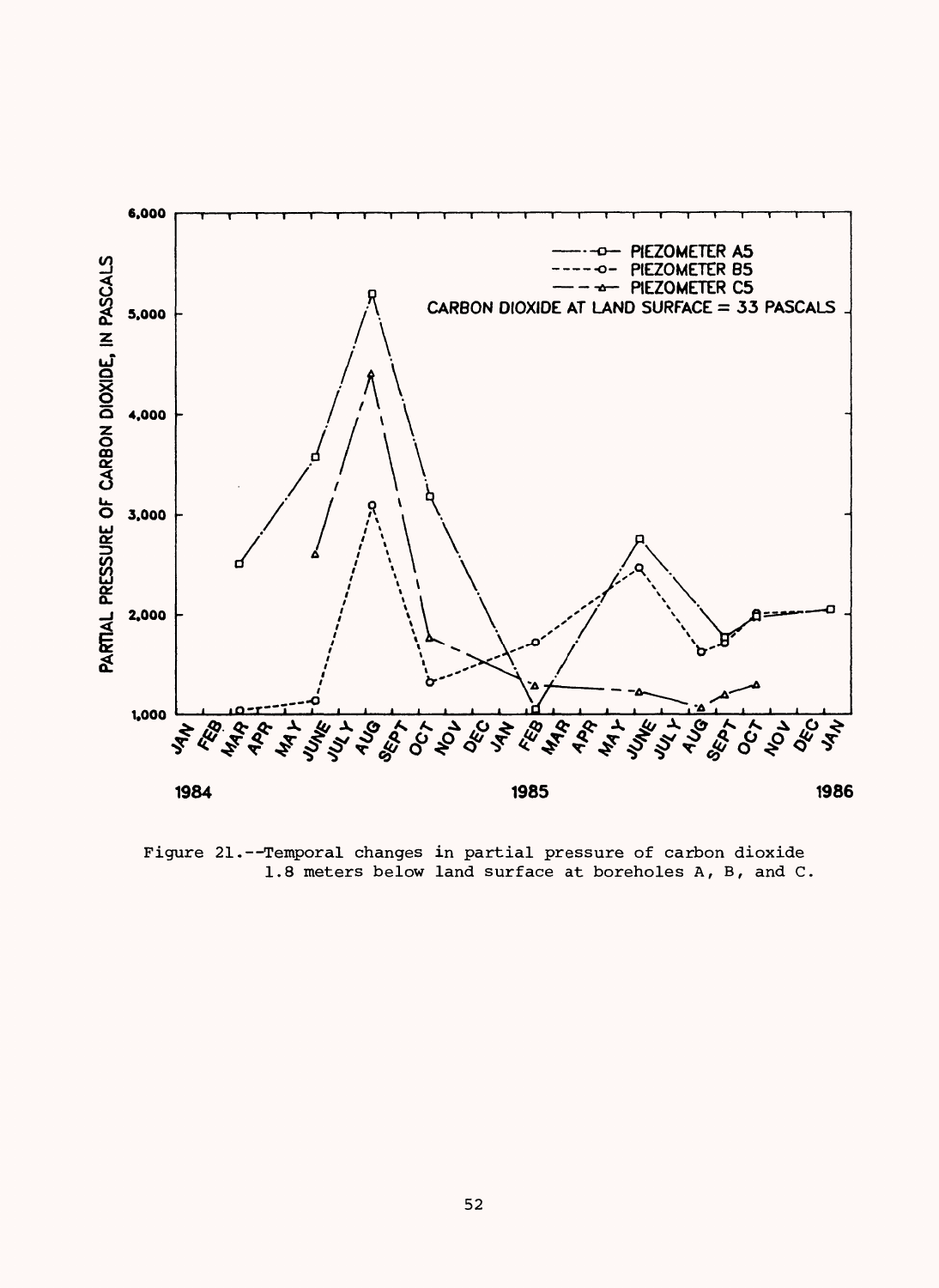

Figure 21.--Temporal changes in partial pressure of carbon dioxide 1.8 meters below land surface at boreholes A, B, and C.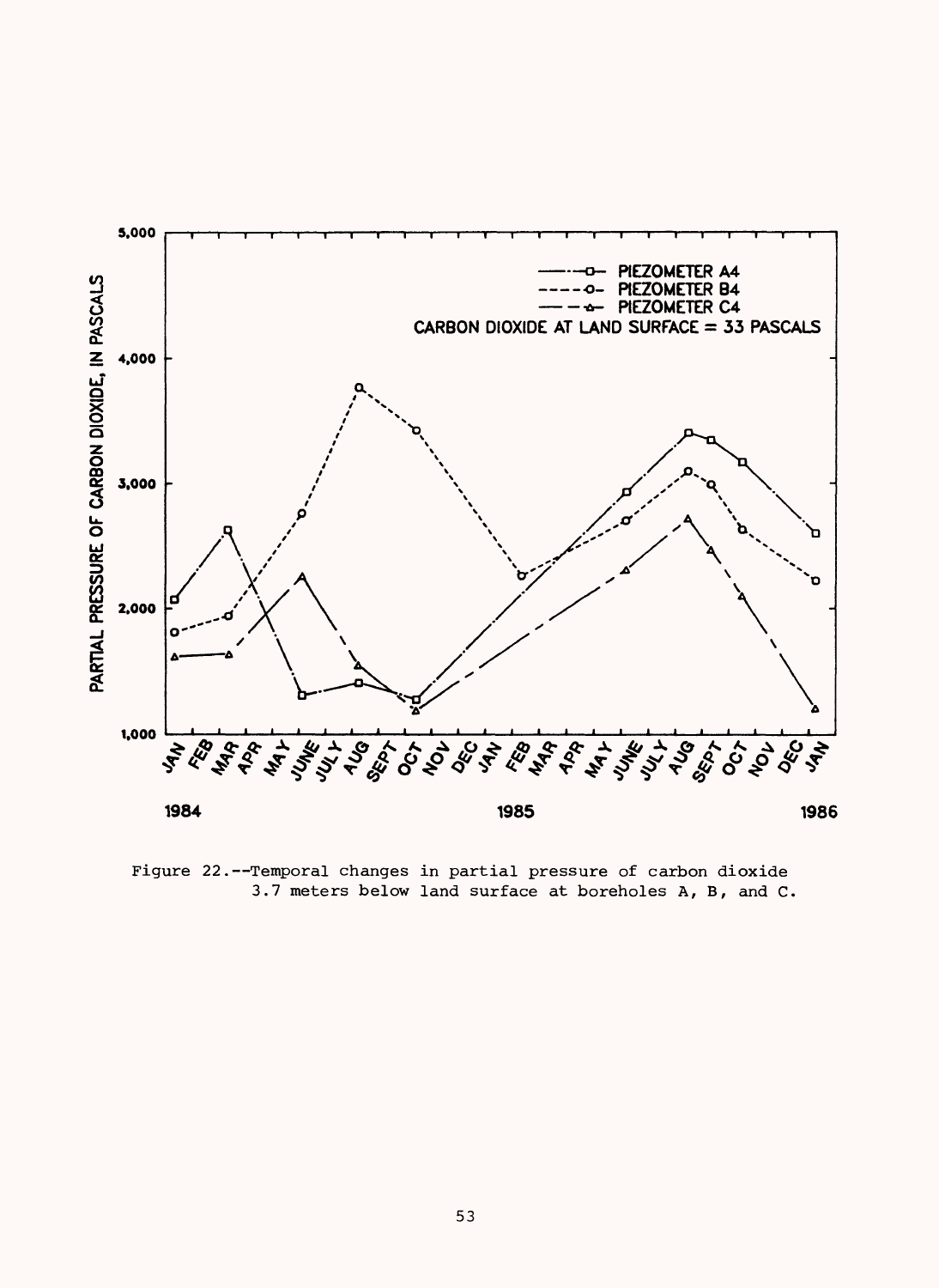

Figure 22.--Temporal changes in partial pressure of carbon dioxide 3.7 meters below land surface at boreholes A, B, and C.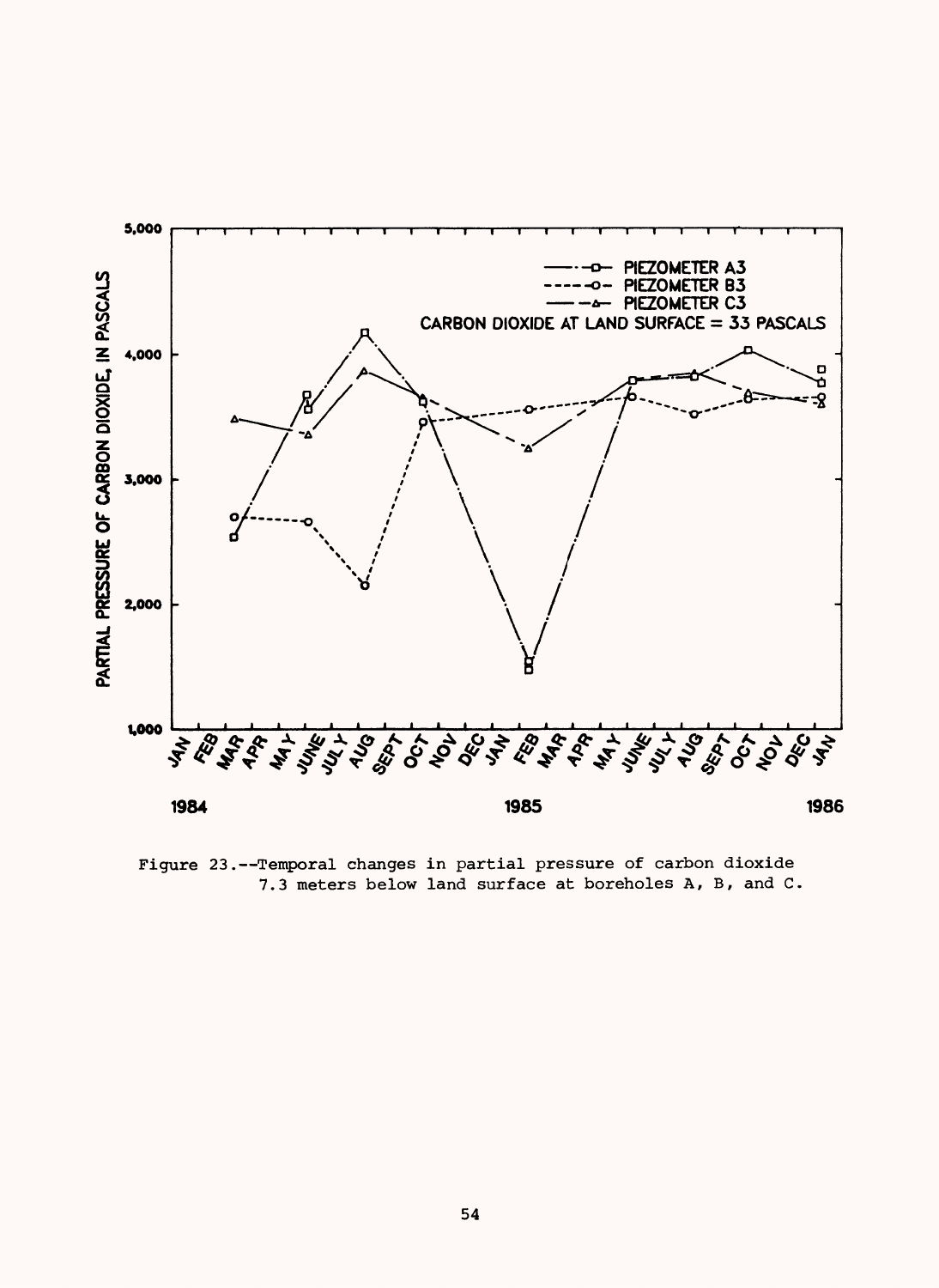

Figure 23.--Temporal changes in partial pressure of carbon dioxide 7.3 meters below land surface at boreholes A, B, and C.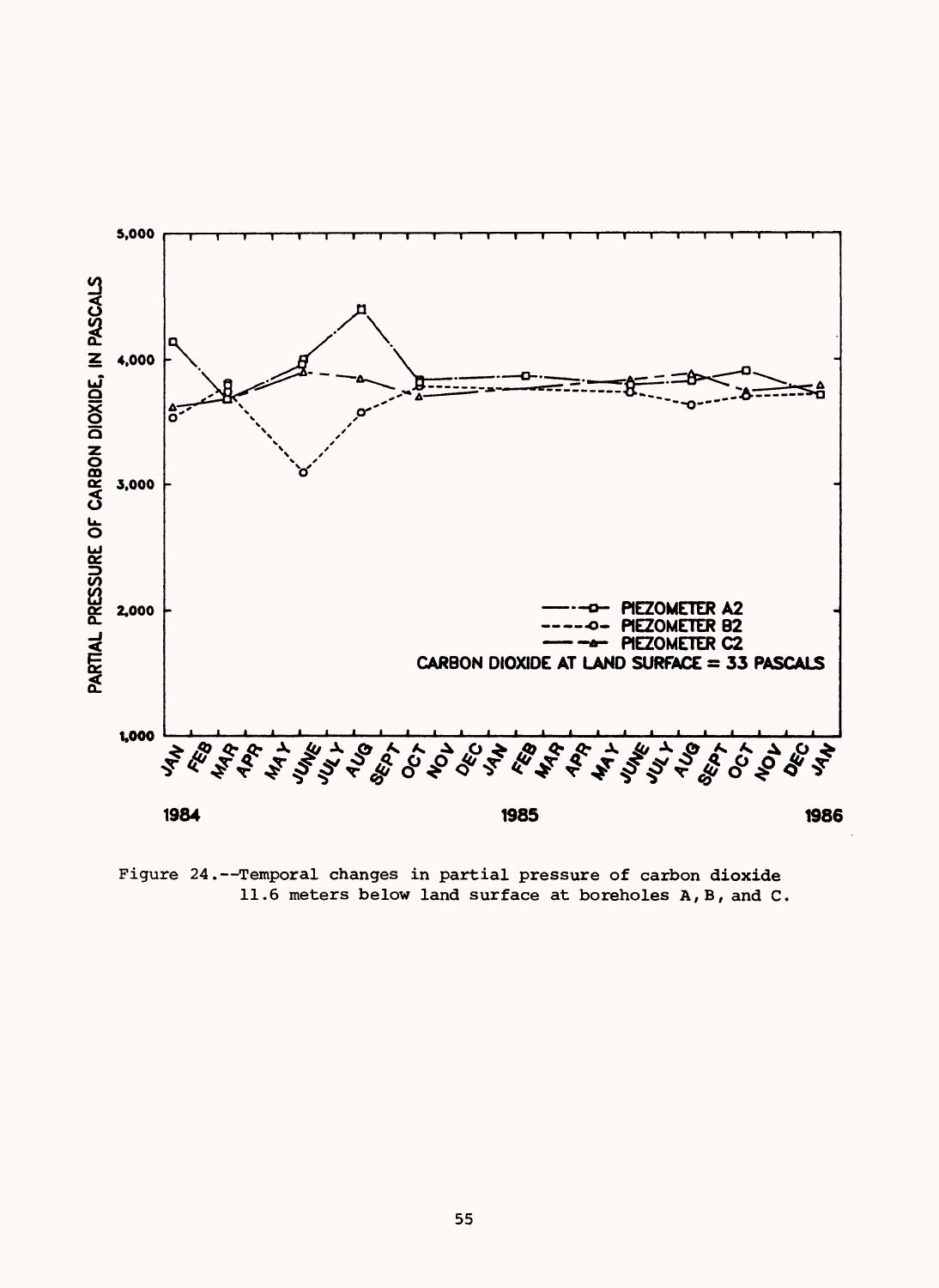

Figure 24.--Temporal changes in partial pressure of carbon dioxide 11.6 meters below land surface at boreholes A,B, and C.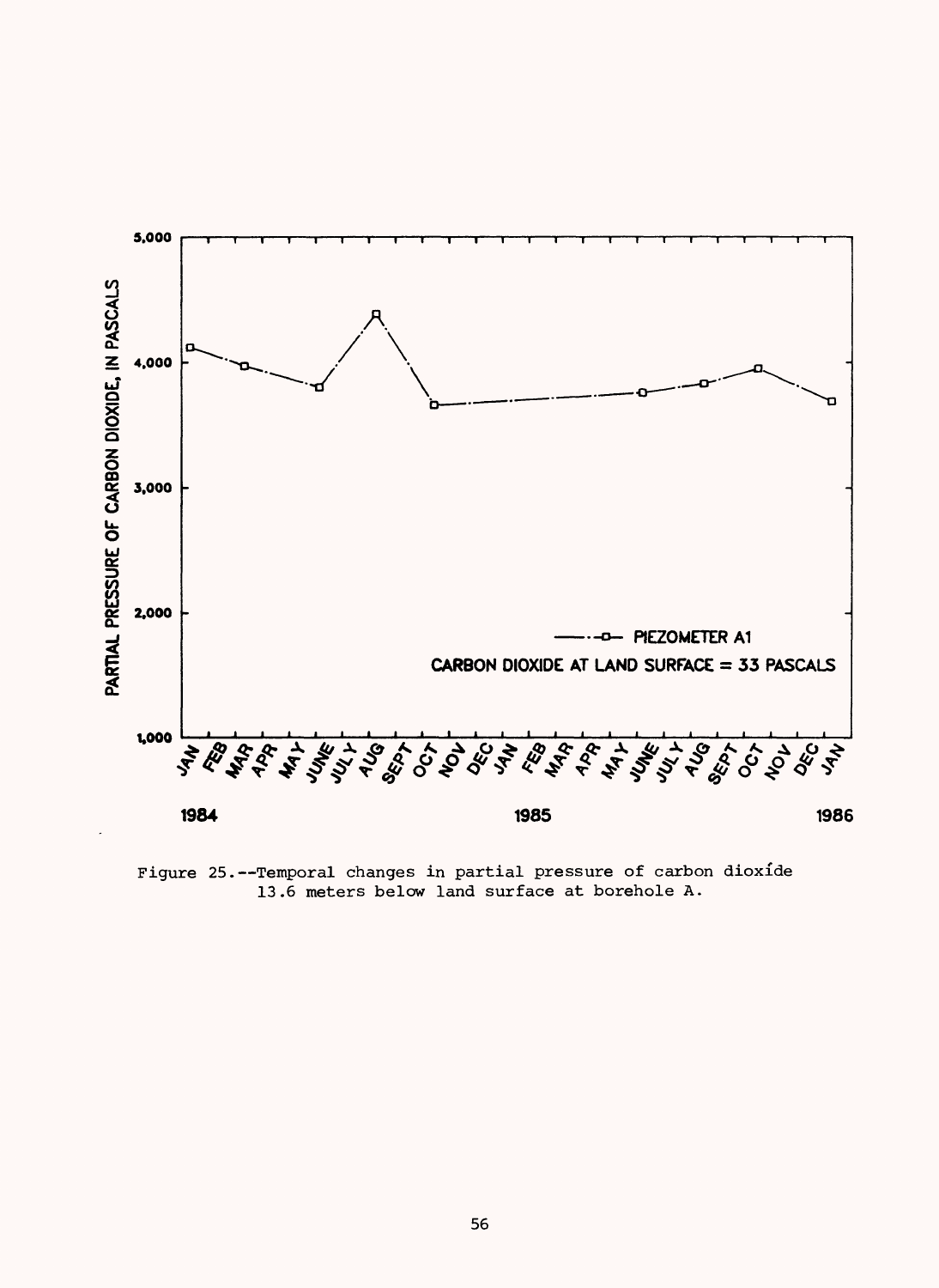

Figure 25.--Temporal changes in partial pressure of carbon dioxide 13.6 meters below land surface at borehole A.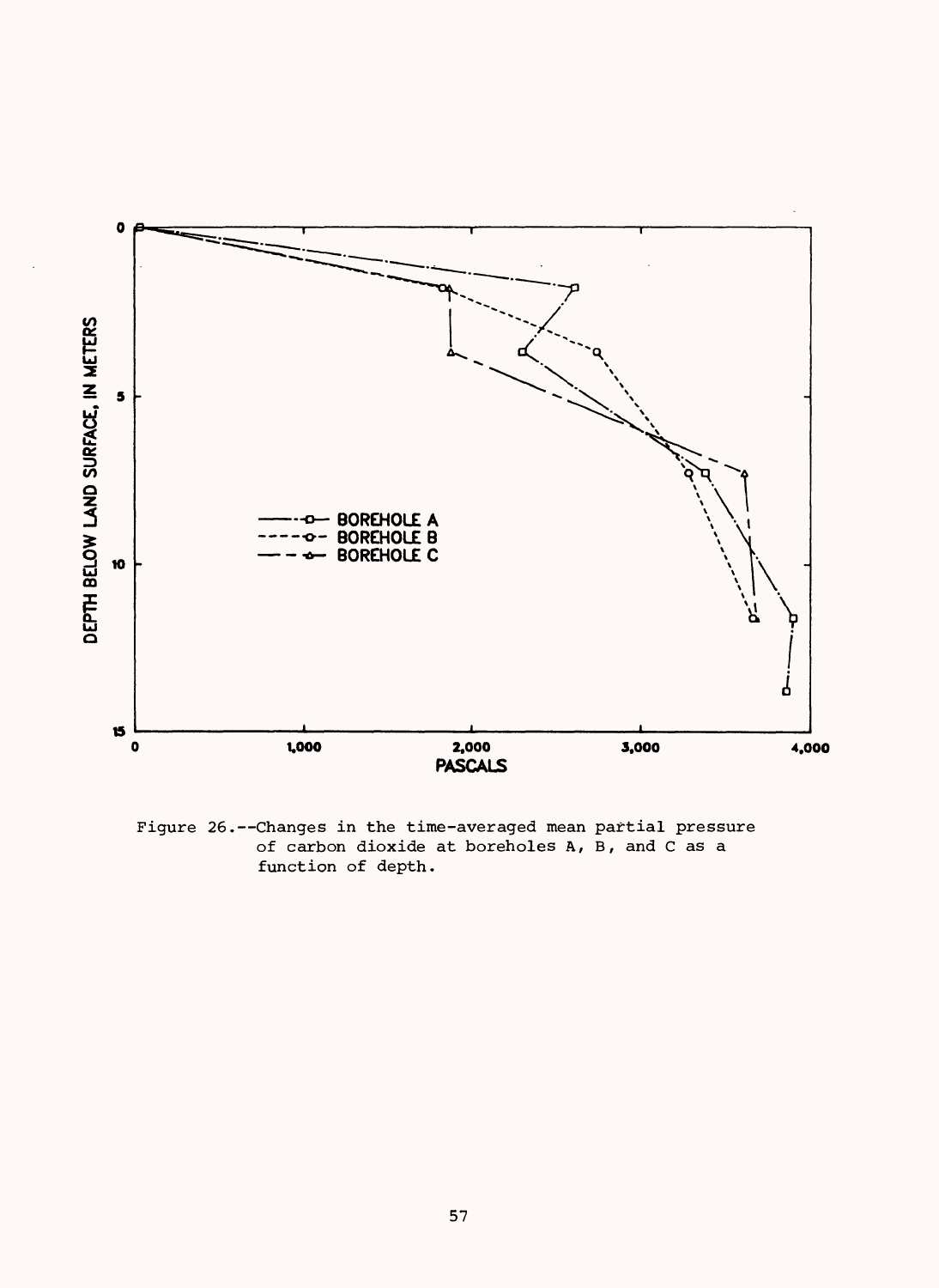

Figure 26.--Changes in the time-averaged mean partial pressure of carbon dioxide at boreholes A, B, and C as a function of depth.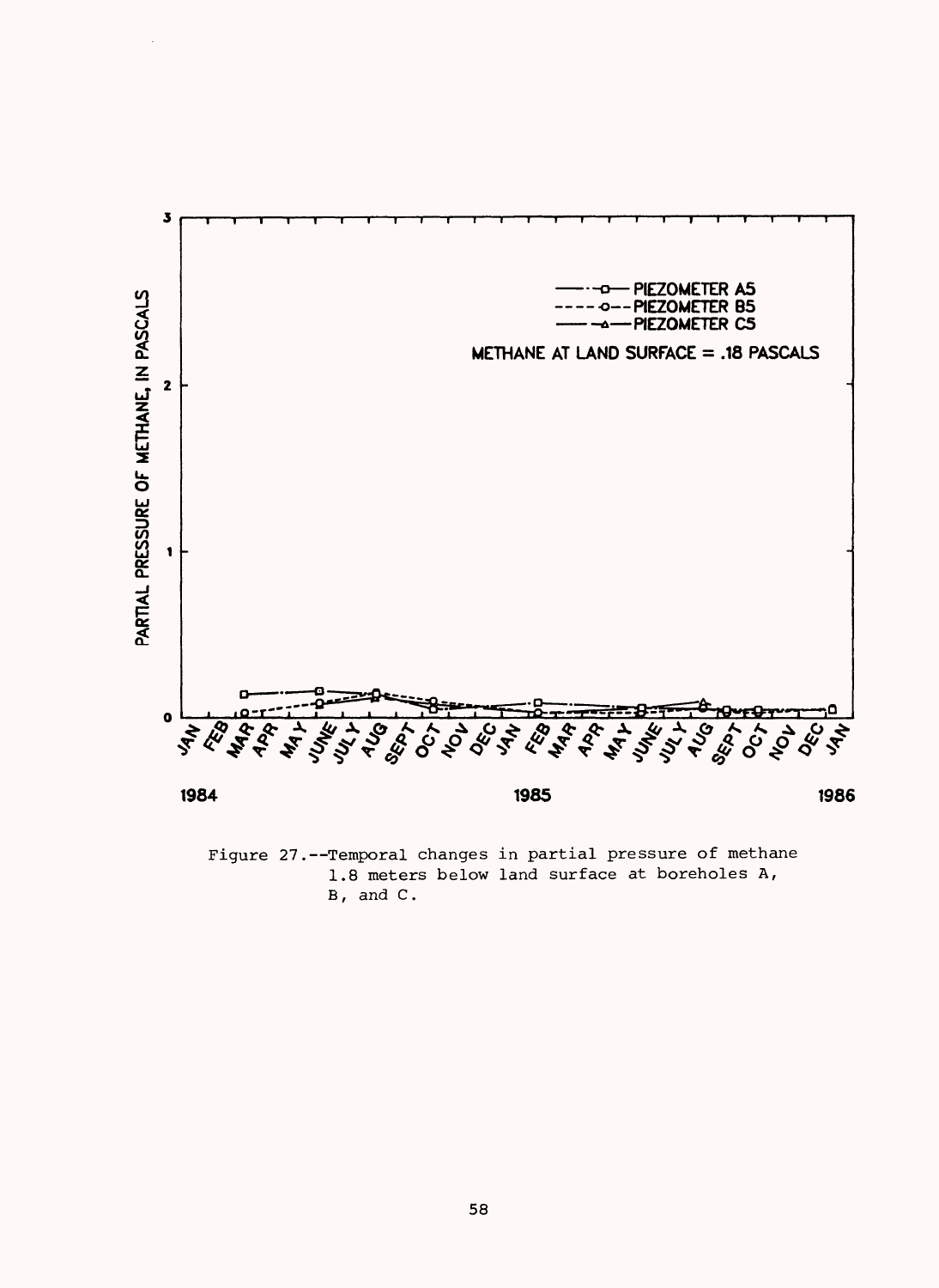

Figure 27.--Temporal changes in partial pressure of methane 1.8 meters below land surface at boreholes A,  $B$ , and  $C$ .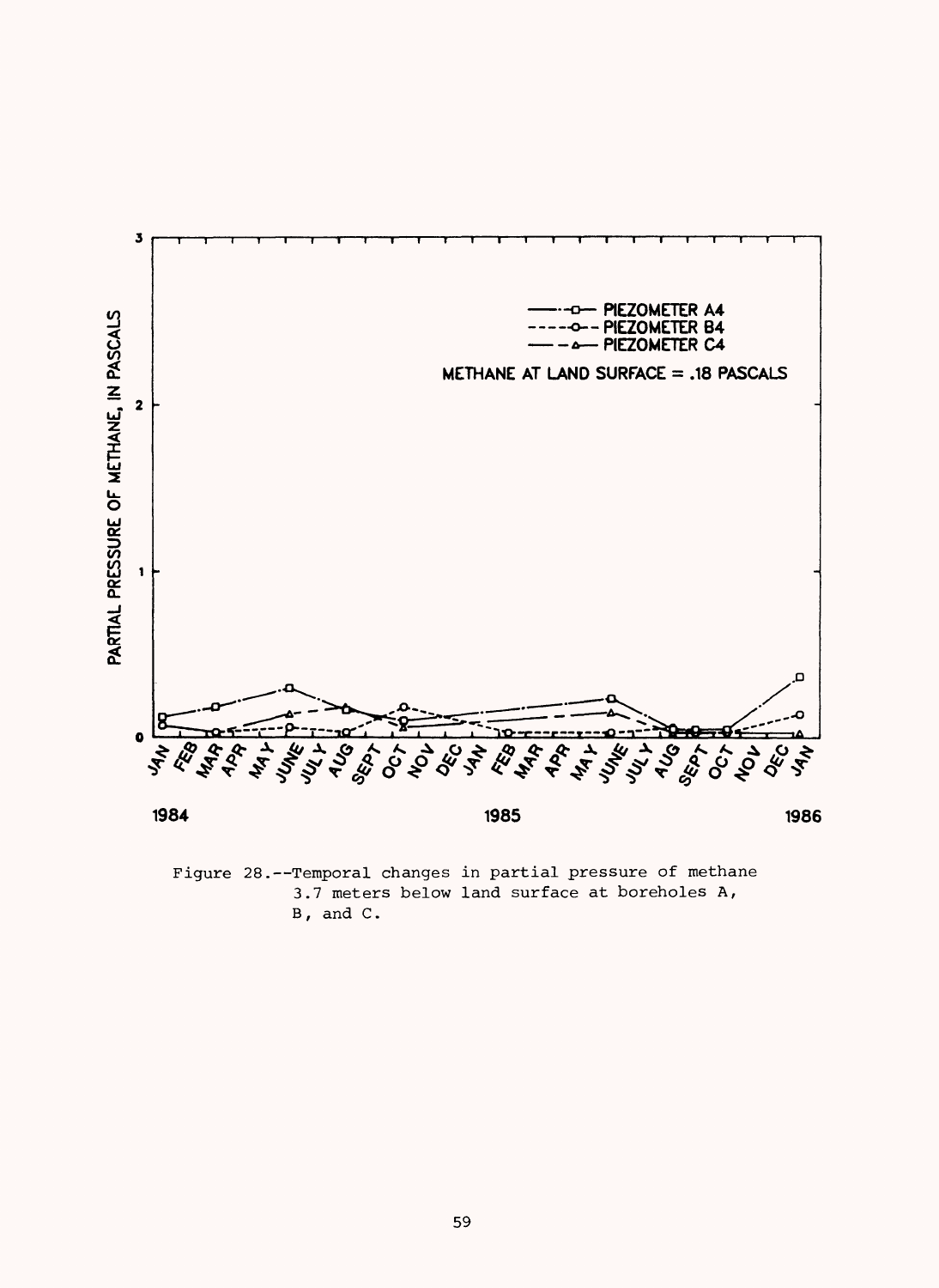

Figure 28.--Temporal changes in partial pressure of methane 3.7 meters below land surface at boreholes A,  $B$ , and  $C$ .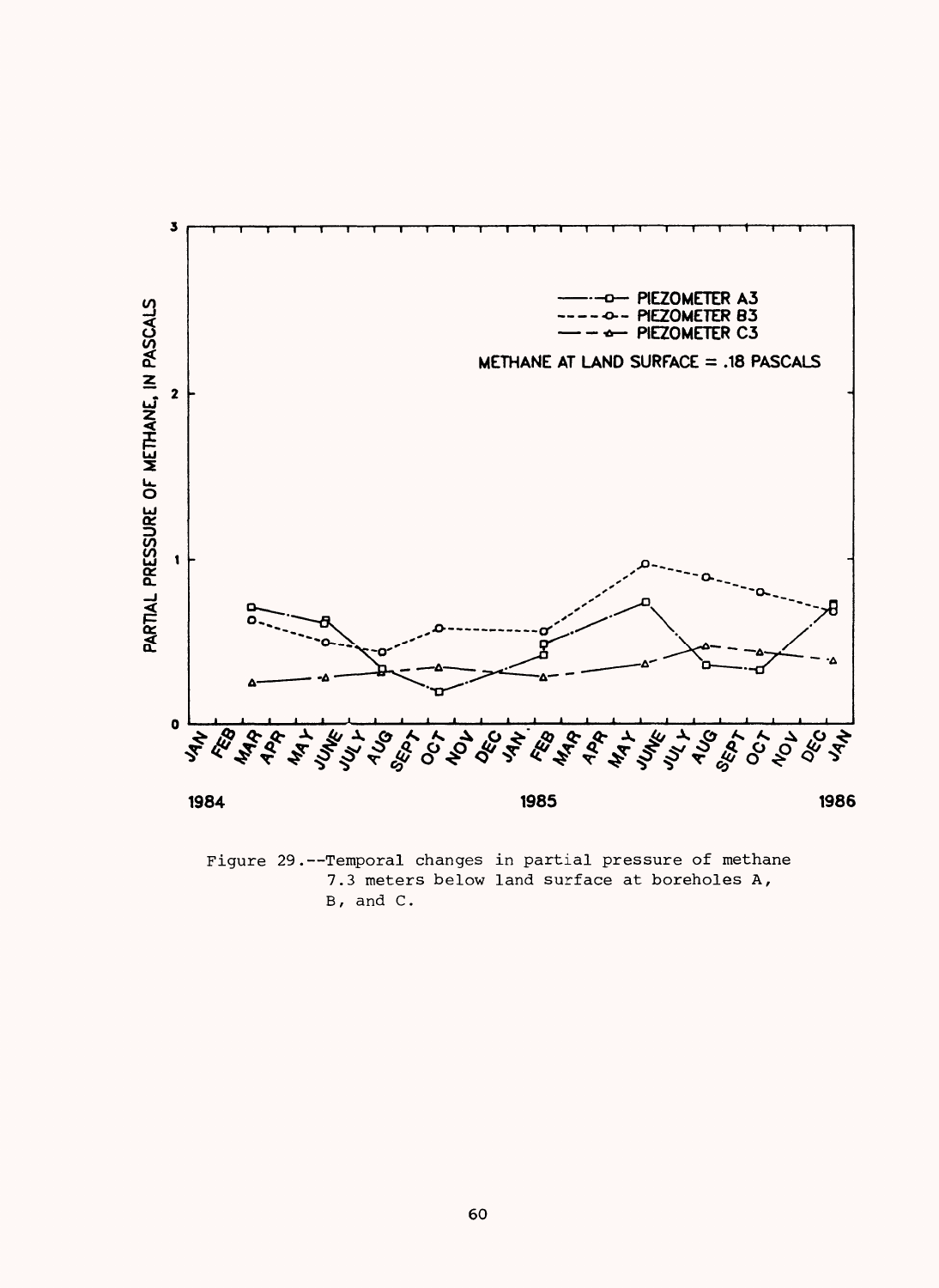

Figure 29.--Temporal changes in partial pressure of methane 7.3 meters below land surface at boreholes A, B, and C.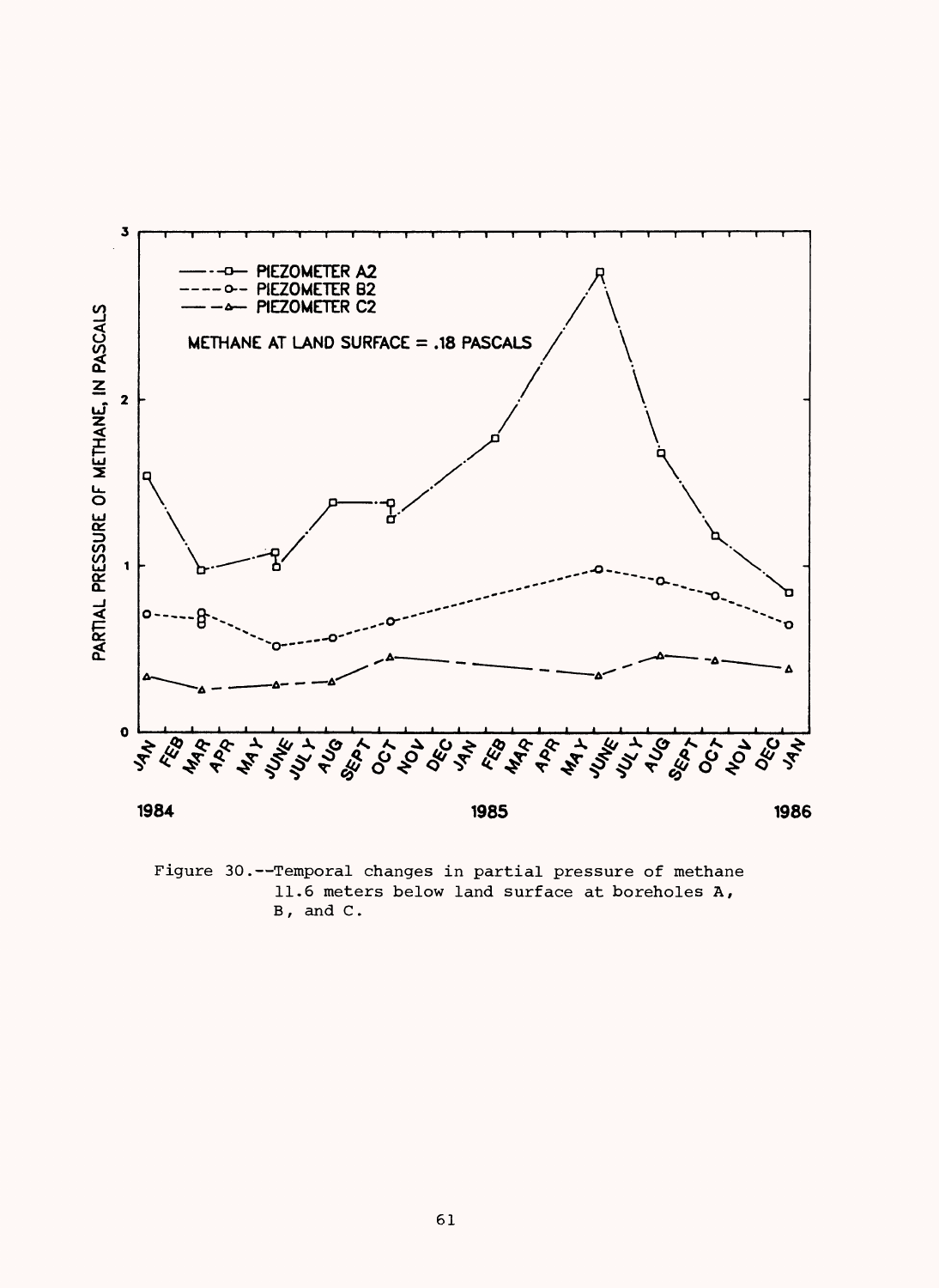

Figure 30.--Temporal changes in partial pressure of methane 11.6 meters below land surface at boreholes A, B, and C.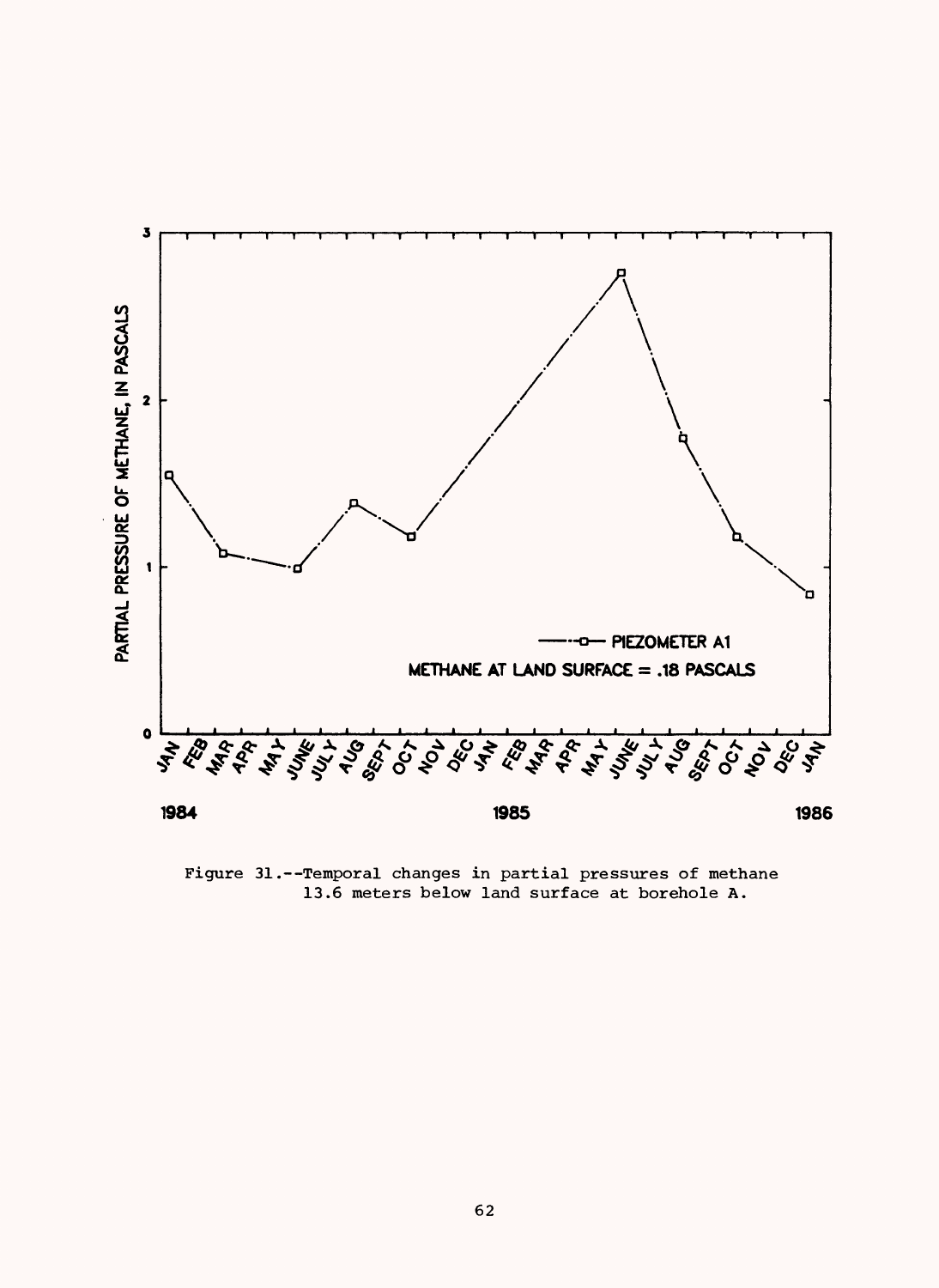

Figure 31.--Temporal changes in partial pressures of methane 13.6 meters below land surface at borehole A.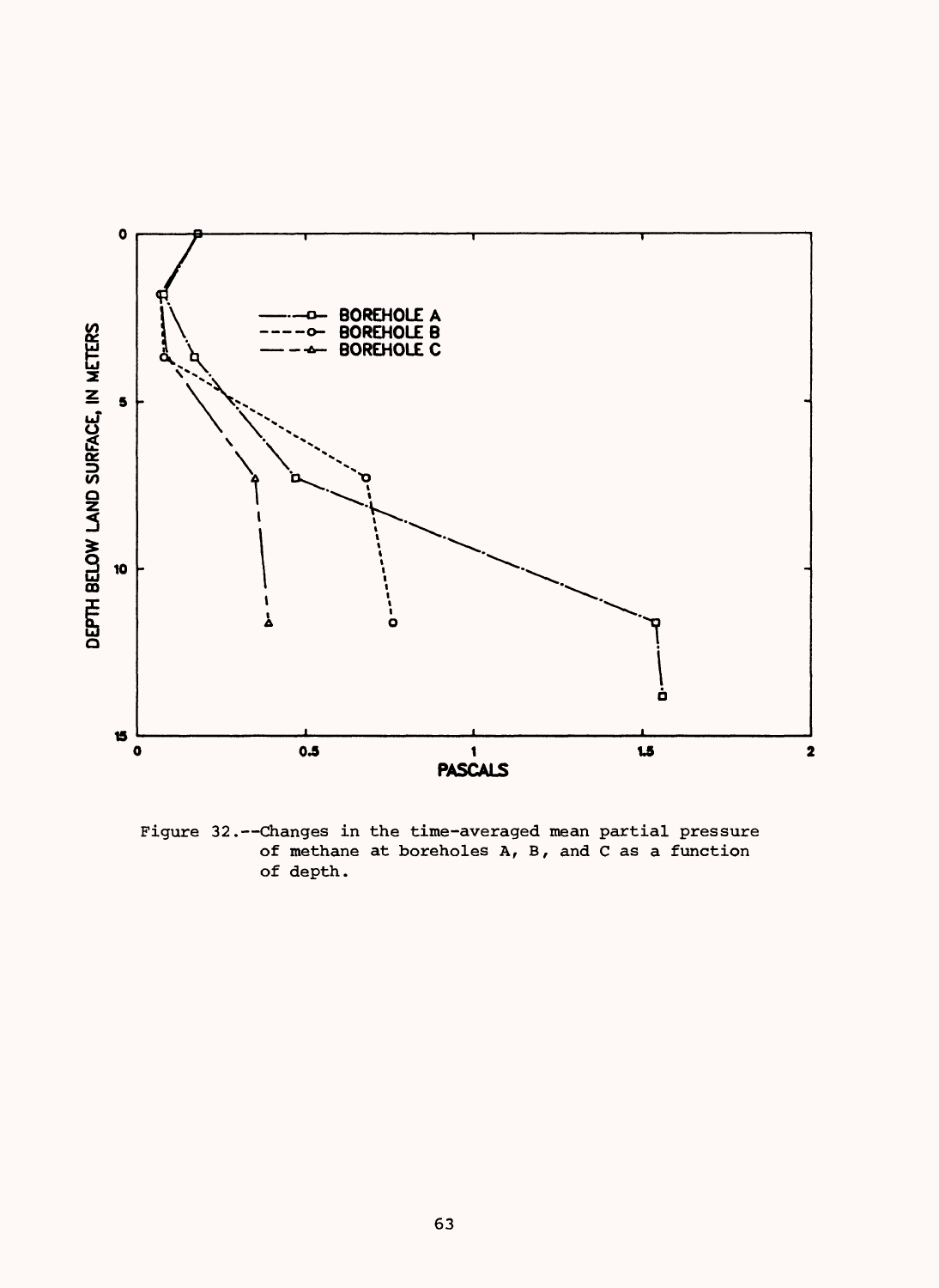

Figure 32. -- Changes in the time-averaged mean partial pressure of methane at boreholes A, B, and C as a function of depth.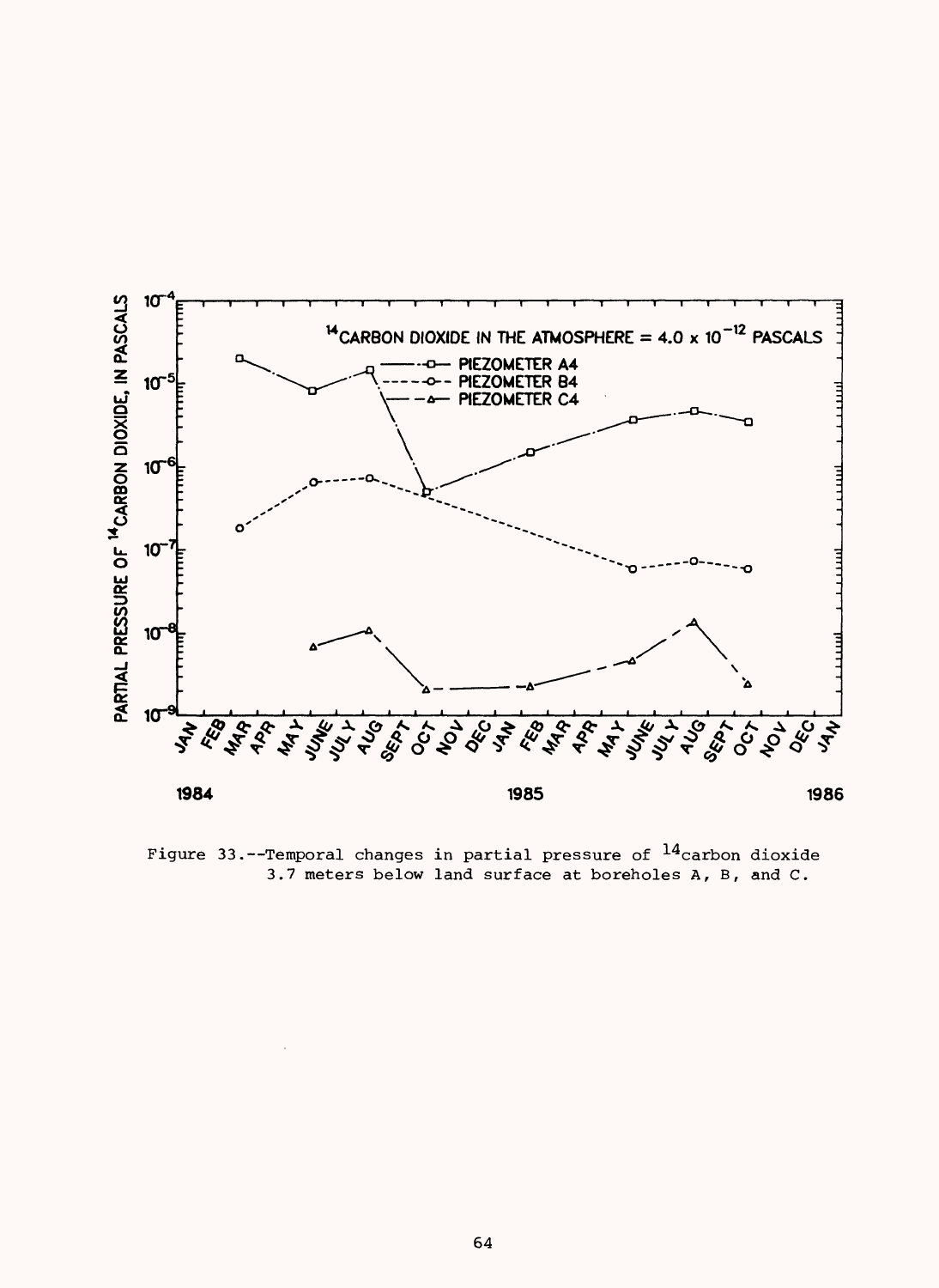

Figure 33. --Temporal changes in partial pressure of  $^{14}$ carbon dioxide 3.7 meters below land surface at boreholes A, B, and C.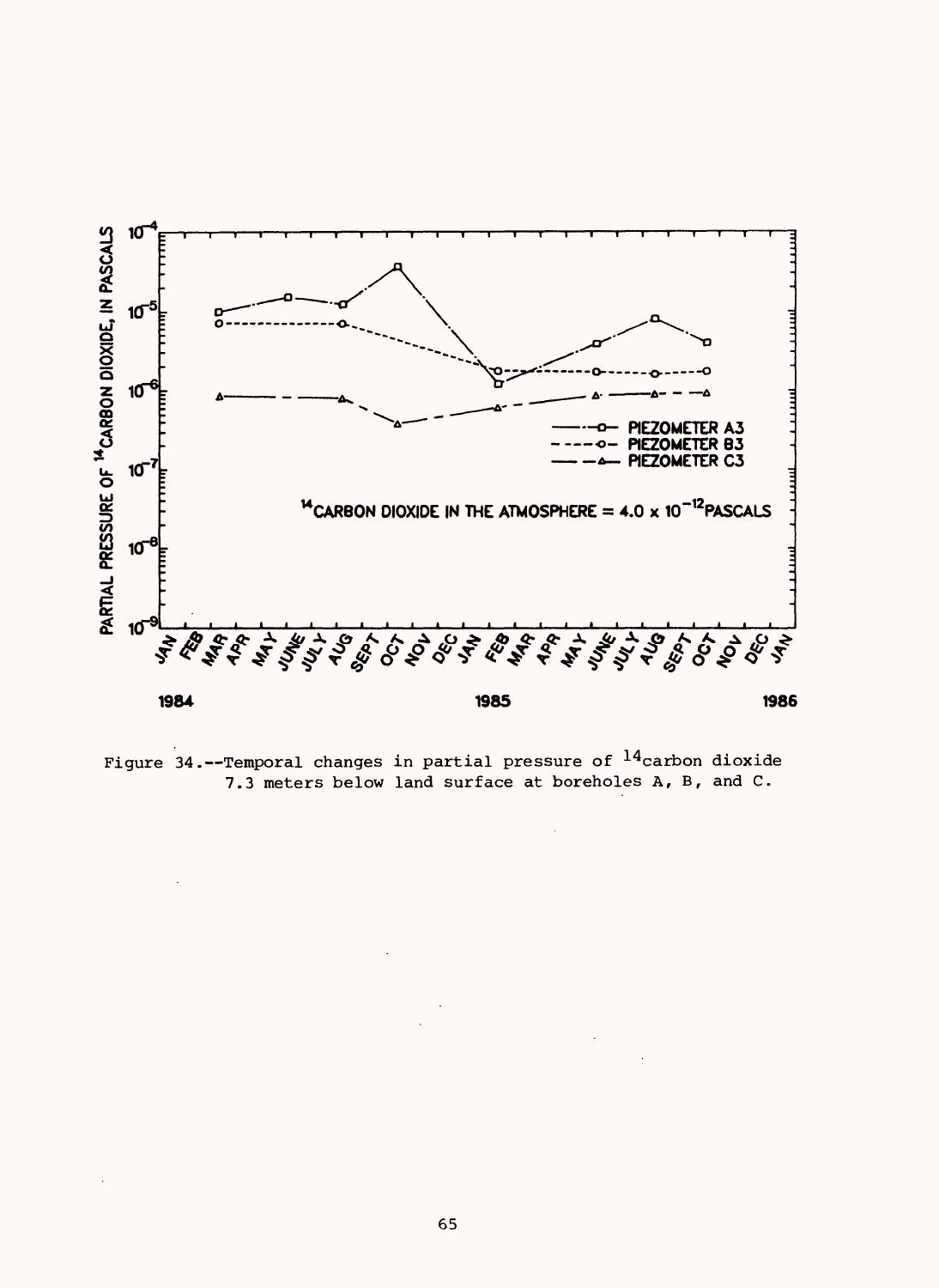

Figure 34.--Temporal changes in partial pressure of  $^{14}$ carbon dioxide 7.3 meters below land surface at boreholes A, B, and C.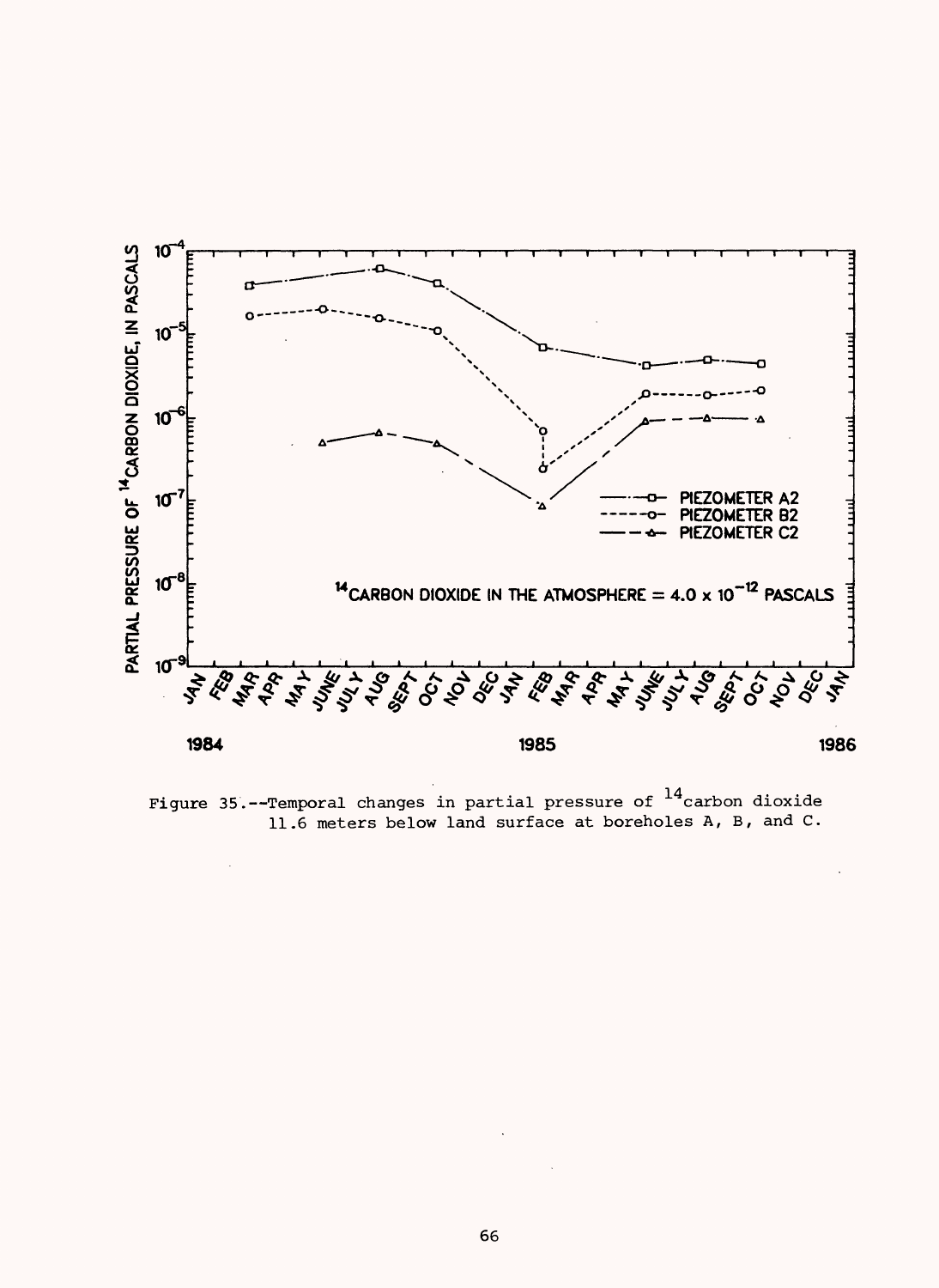

Figure 35.--Temporal changes in partial pressure of  $^{14}$ carbon dioxide 11.6 meters below land surface at boreholes A, B, and C.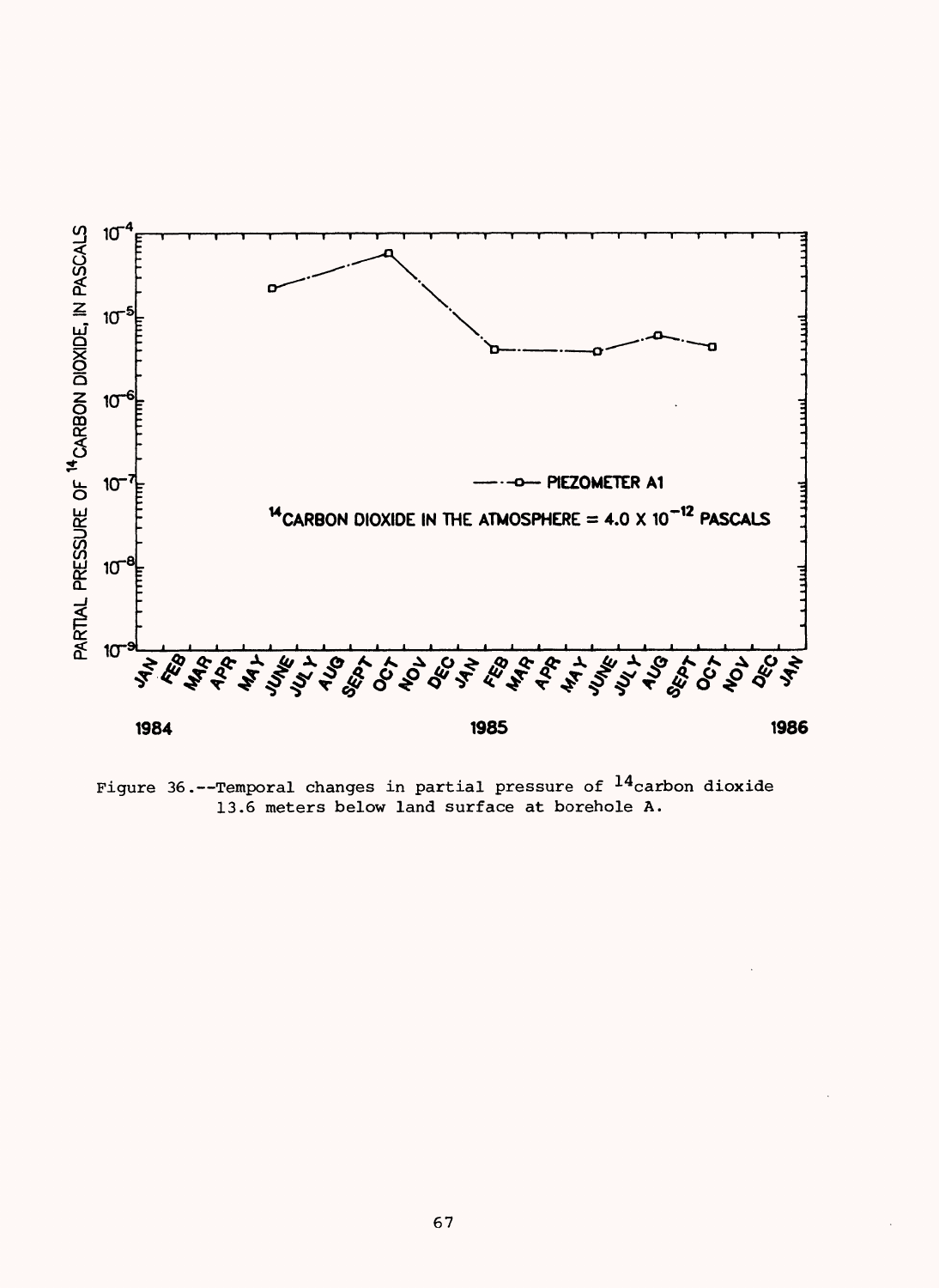

Figure 36.--Temporal changes in partial pressure of  $^{14}$ carbon dioxide 13.6 meters below land surface at borehole A.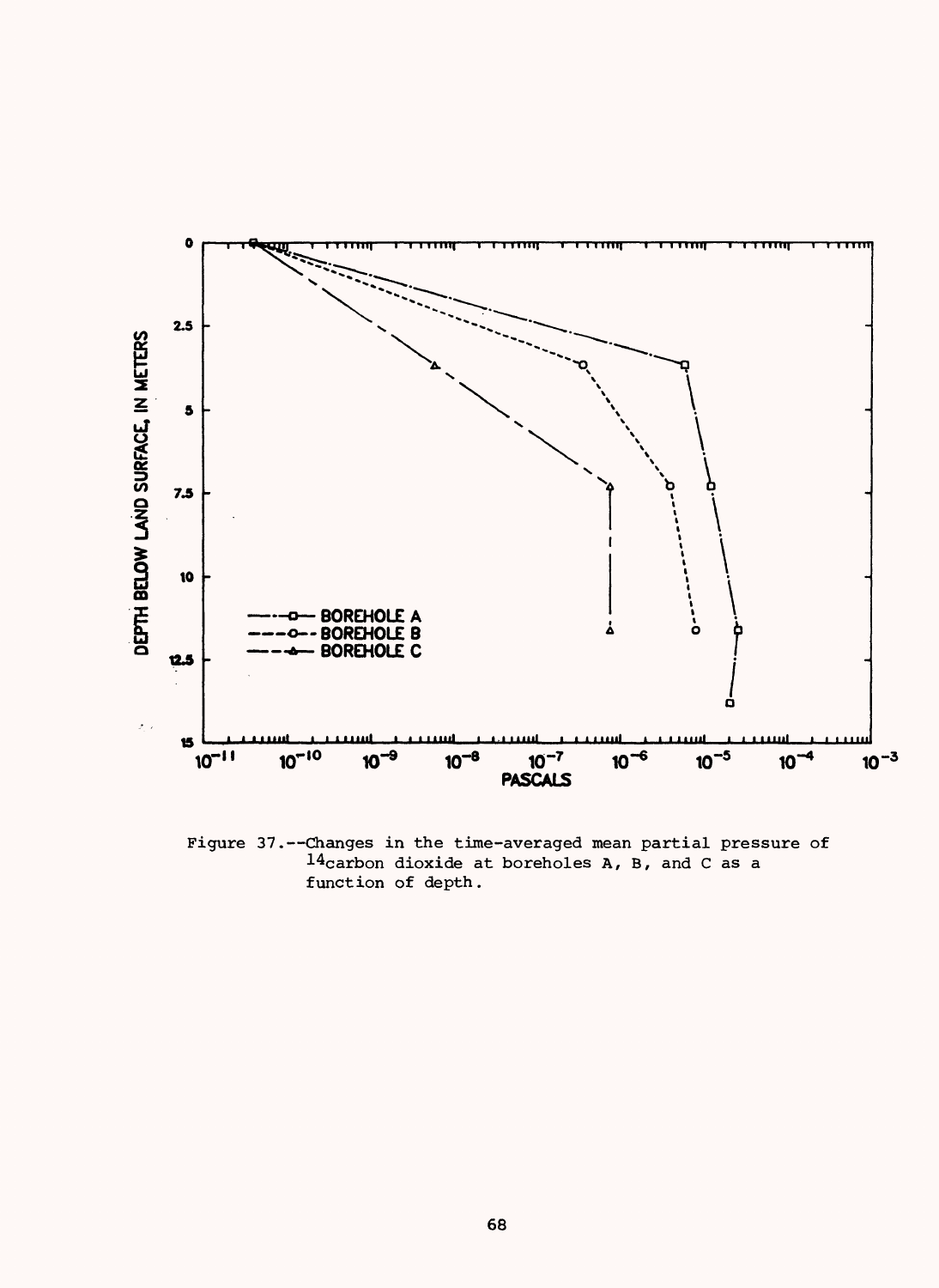

Figure 37.--Changes in the time-averaged mean partial pressure of 14carbon dioxide at boreholes A, B, and C as a function of depth.